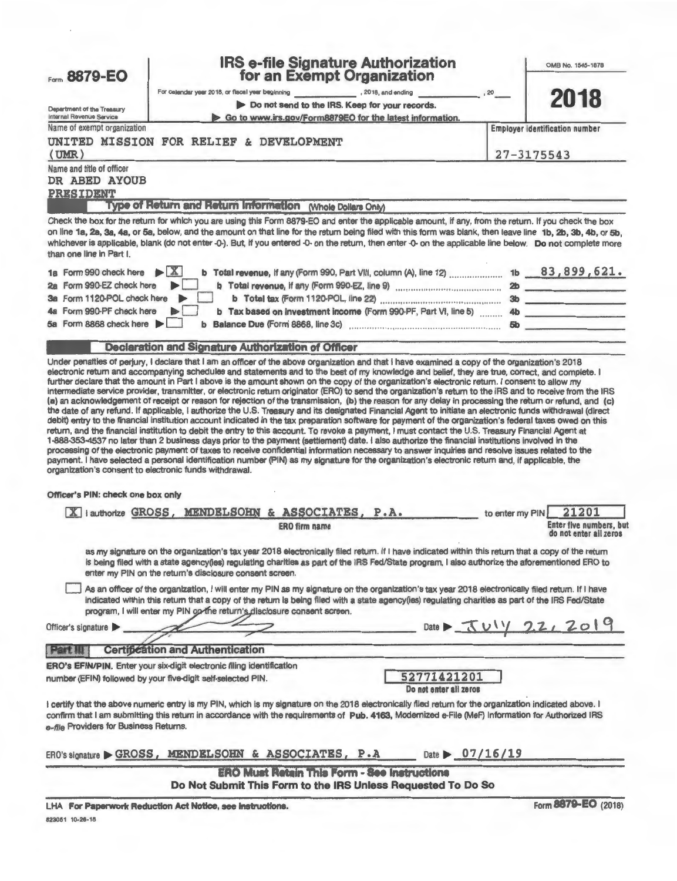|                                                                                             |                                                                                                                                              | <b>IRS e-file Signature Authorization</b>                                                                                                                                                                                                                                                                                                                                                                                                                                                                                                                                                                                                                                              |                                                                                                                    |                                       | OMB No. 1545-1878                                          |
|---------------------------------------------------------------------------------------------|----------------------------------------------------------------------------------------------------------------------------------------------|----------------------------------------------------------------------------------------------------------------------------------------------------------------------------------------------------------------------------------------------------------------------------------------------------------------------------------------------------------------------------------------------------------------------------------------------------------------------------------------------------------------------------------------------------------------------------------------------------------------------------------------------------------------------------------------|--------------------------------------------------------------------------------------------------------------------|---------------------------------------|------------------------------------------------------------|
| Form 8879-EO                                                                                |                                                                                                                                              | for an Exempt Organization                                                                                                                                                                                                                                                                                                                                                                                                                                                                                                                                                                                                                                                             |                                                                                                                    |                                       |                                                            |
|                                                                                             |                                                                                                                                              |                                                                                                                                                                                                                                                                                                                                                                                                                                                                                                                                                                                                                                                                                        | $\sim$ 20                                                                                                          |                                       | 2018                                                       |
| Department of the Treasury                                                                  |                                                                                                                                              | Do not send to the IRS. Keep for your records.                                                                                                                                                                                                                                                                                                                                                                                                                                                                                                                                                                                                                                         |                                                                                                                    |                                       |                                                            |
| Internal Revenue Service<br>Name of exempt organization                                     |                                                                                                                                              | Go to www.irs.gov/Form8879EO for the latest information.                                                                                                                                                                                                                                                                                                                                                                                                                                                                                                                                                                                                                               |                                                                                                                    | <b>Employer identification number</b> |                                                            |
|                                                                                             | UNITED MISSION FOR RELIEF & DEVELOPMENT                                                                                                      |                                                                                                                                                                                                                                                                                                                                                                                                                                                                                                                                                                                                                                                                                        |                                                                                                                    |                                       |                                                            |
| (UMR)                                                                                       |                                                                                                                                              |                                                                                                                                                                                                                                                                                                                                                                                                                                                                                                                                                                                                                                                                                        |                                                                                                                    | 27-3175543                            |                                                            |
| Name and title of officer<br>DR ABED AYOUB<br><b>PRESIDENT</b>                              |                                                                                                                                              |                                                                                                                                                                                                                                                                                                                                                                                                                                                                                                                                                                                                                                                                                        |                                                                                                                    |                                       |                                                            |
|                                                                                             |                                                                                                                                              | Type of Return and Return Information (Whole Dollars Only)                                                                                                                                                                                                                                                                                                                                                                                                                                                                                                                                                                                                                             |                                                                                                                    |                                       |                                                            |
| than one line in Part I.<br>1a Form 990 check here $\blacktriangleright$ X                  |                                                                                                                                              | Check the box for the return for which you are using this Form 8879-EO and enter the applicable amount, if any, from the return. If you check the box<br>on line 1a, 2a, 3a, 4a, or 5a, below, and the amount on that line for the return being filed with this form was blank, then leave line 1b, 2b, 3b, 4b, or 5b,<br>whichever is applicable, blank (do not enter -0-). But, if you entered -0- on the return, then enter -0- on the applicable line below. Do not complete more                                                                                                                                                                                                  |                                                                                                                    |                                       |                                                            |
| 2a Form 990-EZ check here                                                                   |                                                                                                                                              |                                                                                                                                                                                                                                                                                                                                                                                                                                                                                                                                                                                                                                                                                        |                                                                                                                    |                                       |                                                            |
| 3a Form 1120-POL check here                                                                 |                                                                                                                                              |                                                                                                                                                                                                                                                                                                                                                                                                                                                                                                                                                                                                                                                                                        |                                                                                                                    |                                       |                                                            |
| 4a Form 990-PF check here                                                                   |                                                                                                                                              | b Tax based on investment income (Form 990-PF, Part VI, line 5)  4b                                                                                                                                                                                                                                                                                                                                                                                                                                                                                                                                                                                                                    |                                                                                                                    |                                       |                                                            |
| 5a Form 8868 check here                                                                     |                                                                                                                                              |                                                                                                                                                                                                                                                                                                                                                                                                                                                                                                                                                                                                                                                                                        |                                                                                                                    |                                       |                                                            |
|                                                                                             |                                                                                                                                              | <b>Declaration and Signature Authorization of Officer</b>                                                                                                                                                                                                                                                                                                                                                                                                                                                                                                                                                                                                                              |                                                                                                                    |                                       |                                                            |
| organization's consent to electronic funds withdrawal.<br>Officer's PIN: check one box only |                                                                                                                                              | 1-888-353-4537 no later than 2 business days prior to the payment (settlement) date. I also authorize the financial institutions involved in the<br>processing of the electronic payment of taxes to receive confidential information necessary to answer inquiries and resolve issues related to the<br>payment. I have selected a personal identification number (PIN) as my signature for the organization's electronic return and, if applicable, the                                                                                                                                                                                                                              |                                                                                                                    |                                       |                                                            |
|                                                                                             |                                                                                                                                              | X lauthorize GROSS, MENDELSOHN & ASSOCIATES, P.A.                                                                                                                                                                                                                                                                                                                                                                                                                                                                                                                                                                                                                                      | to enter my PIN                                                                                                    |                                       |                                                            |
|                                                                                             |                                                                                                                                              |                                                                                                                                                                                                                                                                                                                                                                                                                                                                                                                                                                                                                                                                                        |                                                                                                                    |                                       |                                                            |
|                                                                                             |                                                                                                                                              | <b>ERO firm name</b>                                                                                                                                                                                                                                                                                                                                                                                                                                                                                                                                                                                                                                                                   |                                                                                                                    |                                       | 21201<br>Enter five numbers, but<br>do not enter all zeros |
|                                                                                             | enter my PIN on the return's disclosure consent screen.                                                                                      | as my signature on the organization's tax year 2018 electronically filed return. If I have indicated within this return that a copy of the return<br>is being filed with a state agency(les) regulating charities as part of the IRS Fed/State program, I also authorize the aforementioned ERO to<br>As an officer of the organization, I will enter my PIN as my signature on the organization's tax year 2018 electronically filed return. If I have<br>indicated within this return that a copy of the return is being filed with a state agency(ies) regulating charities as part of the IRS Fed/State<br>program, I will enter my PIN op the return's disclosure consent screen. |                                                                                                                    |                                       |                                                            |
| Officer's signature                                                                         |                                                                                                                                              |                                                                                                                                                                                                                                                                                                                                                                                                                                                                                                                                                                                                                                                                                        |                                                                                                                    |                                       |                                                            |
| <b>Part III</b>                                                                             | <b>Certification and Authentication</b>                                                                                                      |                                                                                                                                                                                                                                                                                                                                                                                                                                                                                                                                                                                                                                                                                        | Date $\frac{1}{11}$ Date $\frac{1}{11}$ $\frac{1}{11}$ $\frac{1}{11}$ $\frac{1}{11}$ $\frac{1}{11}$ $\frac{1}{11}$ |                                       |                                                            |
|                                                                                             |                                                                                                                                              |                                                                                                                                                                                                                                                                                                                                                                                                                                                                                                                                                                                                                                                                                        |                                                                                                                    |                                       |                                                            |
|                                                                                             | <b>ERO's EFIN/PIN.</b> Enter your six-digit electronic filing identification<br>number (EFIN) followed by your five-digit self-selected PIN. |                                                                                                                                                                                                                                                                                                                                                                                                                                                                                                                                                                                                                                                                                        | 52771421201<br>Do not enter all zeros                                                                              |                                       |                                                            |
| e-file Providers for Business Returns.                                                      |                                                                                                                                              | I certify that the above numeric entry is my PIN, which is my signature on the 2018 electronically filed return for the organization indicated above. I<br>confirm that I am submitting this return in accordance with the requirements of Pub. 4163, Modernized e-File (MeF) Information for Authorized IRS                                                                                                                                                                                                                                                                                                                                                                           |                                                                                                                    |                                       |                                                            |
|                                                                                             |                                                                                                                                              | ERO's signature GROSS, MENDELSOHN & ASSOCIATES, P.A.                                                                                                                                                                                                                                                                                                                                                                                                                                                                                                                                                                                                                                   | Date $\geq 07/16/19$                                                                                               |                                       |                                                            |
|                                                                                             |                                                                                                                                              | <b>ERO Must Retain This Form - See Instructions</b><br>Do Not Submit This Form to the IRS Unless Requested To Do So                                                                                                                                                                                                                                                                                                                                                                                                                                                                                                                                                                    |                                                                                                                    |                                       |                                                            |

823051 10-26-18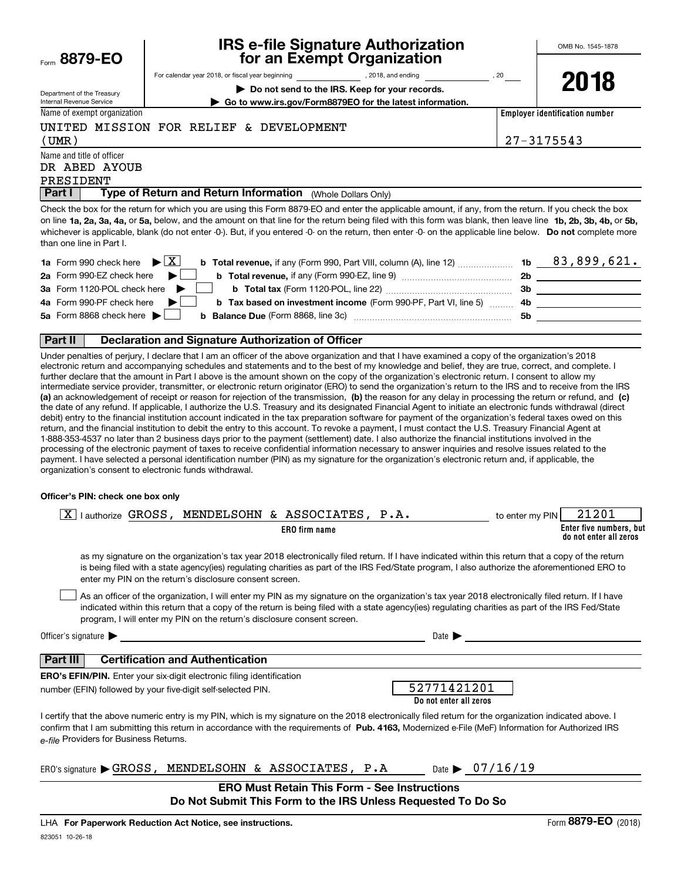| Form | 8879-EO |  |
|------|---------|--|
|      |         |  |

# **IRS e-file Signature Authorization for an Exempt Organization**

**2018**

| Department of the Treasury |  |
|----------------------------|--|
| Internal Revenue Service   |  |

**| Do not send to the IRS. Keep for your records.**

**| Go to www.irs.gov/Form8879EO for the latest information.**

For calendar year 2018, or fiscal year beginning and the state of the state of 2018, and ending calendary permu

Name of exempt organization

UNITED MISSION FOR RELIEF & DEVELOPMENT

**Employer identification number**

(UMR) 27-3175543

Name and title of officer PRESIDENT DR ABED AYOUB

**Part I** | Type of Return and Return Information (Whole Dollars Only)

on line **1a, 2a, 3a, 4a,** or **5a,** below, and the amount on that line for the return being filed with this form was blank, then leave line **1b, 2b, 3b, 4b,** or **5b,** whichever is applicable, blank (do not enter -0-). But, if you entered -0- on the return, then enter -0- on the applicable line below. **Do not** complete more Check the box for the return for which you are using this Form 8879-EO and enter the applicable amount, if any, from the return. If you check the box than one line in Part I.

| <b>1a</b> Form 990 check here $\triangleright$ $\boxed{X}$                                                                                     | 1b   | 83,899,621. |
|------------------------------------------------------------------------------------------------------------------------------------------------|------|-------------|
| 2a Form 990-EZ check here $\blacktriangleright$<br><b>b</b> Total revenue, if any (Form 990-EZ, line 9)                                        | 2b   |             |
| 3a Form 1120-POL check here                                                                                                                    | 3b   |             |
| 4a Form 990-PF check here<br><b>b Tax based on investment income</b> (Form 990-PF, Part VI, line 5)                                            | - 4b |             |
| 5a Form 8868 check here $\blacktriangleright$<br><b>b</b> Balance Due (Form 8868, line 3c) <b>Constanting Balance Due</b> (Form 8868, line 3c) | .5b  |             |
|                                                                                                                                                |      |             |

#### **Part II Declaration and Signature Authorization of Officer**

**(a)** an acknowledgement of receipt or reason for rejection of the transmission, (b) the reason for any delay in processing the return or refund, and (c) Under penalties of perjury, I declare that I am an officer of the above organization and that I have examined a copy of the organization's 2018 electronic return and accompanying schedules and statements and to the best of my knowledge and belief, they are true, correct, and complete. I further declare that the amount in Part I above is the amount shown on the copy of the organization's electronic return. I consent to allow my intermediate service provider, transmitter, or electronic return originator (ERO) to send the organization's return to the IRS and to receive from the IRS the date of any refund. If applicable, I authorize the U.S. Treasury and its designated Financial Agent to initiate an electronic funds withdrawal (direct debit) entry to the financial institution account indicated in the tax preparation software for payment of the organization's federal taxes owed on this return, and the financial institution to debit the entry to this account. To revoke a payment, I must contact the U.S. Treasury Financial Agent at 1-888-353-4537 no later than 2 business days prior to the payment (settlement) date. I also authorize the financial institutions involved in the processing of the electronic payment of taxes to receive confidential information necessary to answer inquiries and resolve issues related to the payment. I have selected a personal identification number (PIN) as my signature for the organization's electronic return and, if applicable, the organization's consent to electronic funds withdrawal.

#### **Officer's PIN: check one box only**

| 21201<br>lauthorize GROSS, MENDELSOHN & ASSOCIATES, P.A.<br>to enter my PIN<br>Enter five numbers, but<br>ERO firm name<br>do not enter all zeros                                                                                                                                                                                                                                |
|----------------------------------------------------------------------------------------------------------------------------------------------------------------------------------------------------------------------------------------------------------------------------------------------------------------------------------------------------------------------------------|
| as my signature on the organization's tax year 2018 electronically filed return. If I have indicated within this return that a copy of the return<br>is being filed with a state agency(ies) regulating charities as part of the IRS Fed/State program, I also authorize the aforementioned ERO to<br>enter my PIN on the return's disclosure consent screen.                    |
| As an officer of the organization, I will enter my PIN as my signature on the organization's tax year 2018 electronically filed return. If I have<br>indicated within this return that a copy of the return is being filed with a state agency(ies) regulating charities as part of the IRS Fed/State<br>program, I will enter my PIN on the return's disclosure consent screen. |
| Officer's signature $\blacktriangleright$<br>Date 1                                                                                                                                                                                                                                                                                                                              |
| <b>Certification and Authentication</b><br>Part III                                                                                                                                                                                                                                                                                                                              |
| <b>ERO's EFIN/PIN.</b> Enter your six-digit electronic filing identification<br>52771421201<br>number (EFIN) followed by your five-digit self-selected PIN.<br>Do not enter all zeros                                                                                                                                                                                            |
| I certify that the above numeric entry is my PIN, which is my signature on the 2018 electronically filed return for the organization indicated above. I<br>confirm that I am submitting this return in accordance with the requirements of Pub. 4163, Modernized e-File (MeF) Information for Authorized IRS<br>e-file Providers for Business Returns.                           |
| MENDELSOHN & ASSOCIATES, P.A $_{\text{Date}}$ $\rightarrow$ 07/16/19<br>ERO's signature $\blacktriangleright$ GROSS,                                                                                                                                                                                                                                                             |
| <b>ERO Must Retain This Form - See Instructions</b><br>Do Not Submit This Form to the IRS Unless Requested To Do So                                                                                                                                                                                                                                                              |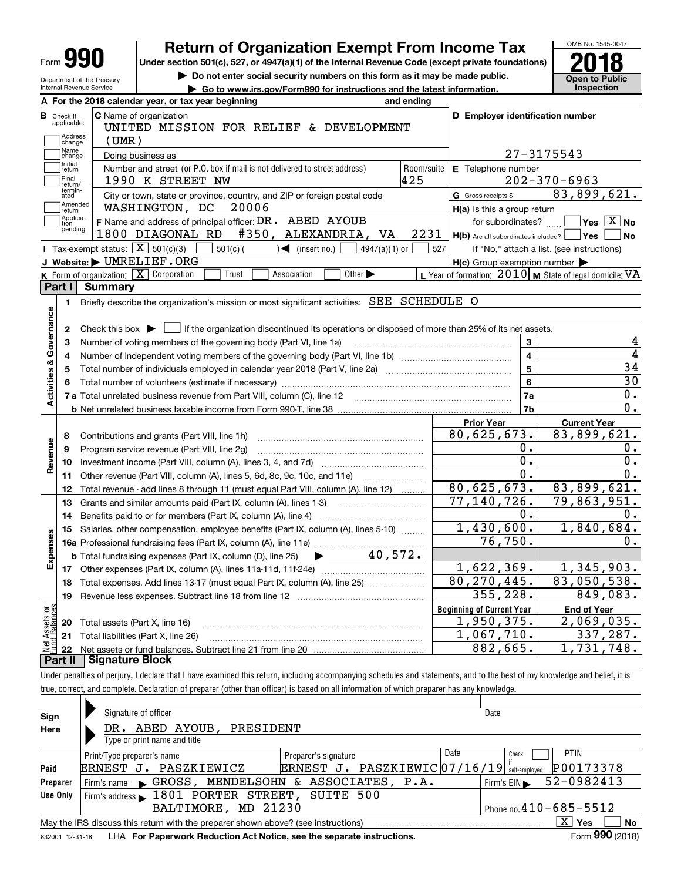|                                                                                                                         | <b>Return of Organization Exempt From Income Tax</b>                                                                                                                       |                   |                                                                       | OMB No. 1545-0047                                         |  |  |  |
|-------------------------------------------------------------------------------------------------------------------------|----------------------------------------------------------------------------------------------------------------------------------------------------------------------------|-------------------|-----------------------------------------------------------------------|-----------------------------------------------------------|--|--|--|
| Form <b>YY</b>                                                                                                          | Under section 501(c), 527, or 4947(a)(1) of the Internal Revenue Code (except private foundations)                                                                         |                   |                                                                       |                                                           |  |  |  |
| Department of the Treasury                                                                                              | Do not enter social security numbers on this form as it may be made public.                                                                                                |                   |                                                                       | <b>Open to Public</b>                                     |  |  |  |
| <b>Inspection</b><br>Internal Revenue Service<br>Go to www.irs.gov/Form990 for instructions and the latest information. |                                                                                                                                                                            |                   |                                                                       |                                                           |  |  |  |
|                                                                                                                         | A For the 2018 calendar year, or tax year beginning                                                                                                                        | and ending        |                                                                       |                                                           |  |  |  |
| <b>C</b> Name of organization<br><b>B</b> Check if<br>applicable:                                                       | D Employer identification number                                                                                                                                           |                   |                                                                       |                                                           |  |  |  |
| Address                                                                                                                 | UNITED MISSION FOR RELIEF & DEVELOPMENT                                                                                                                                    |                   |                                                                       |                                                           |  |  |  |
| $($ UMR $)$<br>change<br>Name                                                                                           |                                                                                                                                                                            |                   |                                                                       |                                                           |  |  |  |
| change<br>Initial                                                                                                       | Doing business as                                                                                                                                                          |                   |                                                                       | 27-3175543                                                |  |  |  |
| return<br>Final                                                                                                         | Number and street (or P.O. box if mail is not delivered to street address)<br>1990 K STREET NW                                                                             | Room/suite<br>425 | E Telephone number                                                    | $202 - 370 - 6963$                                        |  |  |  |
| return/<br>termin-                                                                                                      |                                                                                                                                                                            |                   |                                                                       | 83,899,621.                                               |  |  |  |
| ated<br>Amended                                                                                                         | City or town, state or province, country, and ZIP or foreign postal code<br>WASHINGTON, DC<br>20006                                                                        |                   | G Gross receipts \$                                                   |                                                           |  |  |  |
| return<br>Applica-                                                                                                      | F Name and address of principal officer: DR. ABED AYOUB                                                                                                                    |                   | H(a) Is this a group return                                           | $\sqrt{}$ Yes $\sqrt{}$ X $\sqrt{}$ No                    |  |  |  |
| tion<br>pending                                                                                                         | 1800 DIAGONAL RD<br>#350, ALEXANDRIA, VA                                                                                                                                   | 2231              | for subordinates?<br>$H(b)$ Are all subordinates included? $\Box$ Yes | No                                                        |  |  |  |
| Tax-exempt status: $\boxed{\mathbf{X}}$ 501(c)(3)                                                                       | $501(c)$ (<br>$\sqrt{\frac{1}{1}}$ (insert no.)<br>4947(a)(1) or                                                                                                           | 527               |                                                                       |                                                           |  |  |  |
| J Website: DUMRELIEF.ORG                                                                                                |                                                                                                                                                                            |                   | $H(c)$ Group exemption number $\blacktriangleright$                   | If "No," attach a list. (see instructions)                |  |  |  |
| <b>K</b> Form of organization: $\boxed{\mathbf{X}}$ Corporation                                                         | Other $\blacktriangleright$<br>Association<br>Trust                                                                                                                        |                   |                                                                       | L Year of formation: $2010$ M State of legal domicile: VA |  |  |  |
| Part I<br><b>Summary</b>                                                                                                |                                                                                                                                                                            |                   |                                                                       |                                                           |  |  |  |
| 1.                                                                                                                      | Briefly describe the organization's mission or most significant activities: SEE SCHEDULE O                                                                                 |                   |                                                                       |                                                           |  |  |  |
|                                                                                                                         |                                                                                                                                                                            |                   |                                                                       |                                                           |  |  |  |
| 2                                                                                                                       | Check this box $\blacktriangleright$ $\Box$ if the organization discontinued its operations or disposed of more than 25% of its net assets.                                |                   |                                                                       |                                                           |  |  |  |
|                                                                                                                         | Number of voting members of the governing body (Part VI, line 1a)                                                                                                          |                   | 3                                                                     | 4                                                         |  |  |  |
| з<br>4                                                                                                                  |                                                                                                                                                                            |                   | $\overline{4}$                                                        | $\overline{4}$                                            |  |  |  |
| 5                                                                                                                       |                                                                                                                                                                            |                   | $\overline{5}$                                                        | 34                                                        |  |  |  |
| 6                                                                                                                       |                                                                                                                                                                            |                   | 6                                                                     | $\overline{30}$                                           |  |  |  |
|                                                                                                                         | 7 a Total unrelated business revenue from Part VIII, column (C), line 12                                                                                                   |                   | 7a                                                                    | $\mathbf 0$ .                                             |  |  |  |
|                                                                                                                         |                                                                                                                                                                            |                   | 7b                                                                    | 0.                                                        |  |  |  |
|                                                                                                                         |                                                                                                                                                                            |                   | <b>Prior Year</b>                                                     | <b>Current Year</b>                                       |  |  |  |
| 8                                                                                                                       | Contributions and grants (Part VIII, line 1h)                                                                                                                              |                   | 80,625,673.                                                           | 83,899,621.                                               |  |  |  |
|                                                                                                                         | Program service revenue (Part VIII, line 2g)                                                                                                                               |                   | 0.                                                                    | 0.                                                        |  |  |  |
| 10                                                                                                                      |                                                                                                                                                                            |                   | 0.                                                                    | 0.                                                        |  |  |  |
| 11                                                                                                                      | Other revenue (Part VIII, column (A), lines 5, 6d, 8c, 9c, 10c, and 11e)                                                                                                   |                   | $0$ .                                                                 | 0.                                                        |  |  |  |
| 12                                                                                                                      | Total revenue - add lines 8 through 11 (must equal Part VIII, column (A), line 12)                                                                                         |                   | 80,625,673.                                                           | 83,899,621.                                               |  |  |  |
| 13                                                                                                                      | Grants and similar amounts paid (Part IX, column (A), lines 1-3)                                                                                                           |                   | 77,140,726.                                                           | $\overline{79,863,951.}$                                  |  |  |  |
| 14                                                                                                                      | Benefits paid to or for members (Part IX, column (A), line 4)                                                                                                              |                   | 0.                                                                    | О.                                                        |  |  |  |
| 15                                                                                                                      | Salaries, other compensation, employee benefits (Part IX, column (A), lines 5-10)                                                                                          |                   | 1,430,600.                                                            | 1,840,684.                                                |  |  |  |
|                                                                                                                         |                                                                                                                                                                            |                   | 76,750.                                                               | 0.                                                        |  |  |  |
|                                                                                                                         | $\blacktriangleright$ 40,572.<br><b>b</b> Total fundraising expenses (Part IX, column (D), line 25)                                                                        |                   |                                                                       |                                                           |  |  |  |
| 17                                                                                                                      |                                                                                                                                                                            |                   | 1,622,369.                                                            | 1,345,903.                                                |  |  |  |
| 18                                                                                                                      | Total expenses. Add lines 13-17 (must equal Part IX, column (A), line 25)                                                                                                  |                   | 80, 270, 445.                                                         | 83,050,538.                                               |  |  |  |
| 19                                                                                                                      |                                                                                                                                                                            |                   | 355, 228.                                                             | 849,083.                                                  |  |  |  |
|                                                                                                                         |                                                                                                                                                                            |                   | <b>Beginning of Current Year</b>                                      | <b>End of Year</b>                                        |  |  |  |
| 20                                                                                                                      | Total assets (Part X, line 16)                                                                                                                                             |                   | 1,950,375.                                                            | 2,069,035.                                                |  |  |  |
| 21                                                                                                                      | Total liabilities (Part X, line 26)                                                                                                                                        |                   | 1,067,710.                                                            | 337,287.                                                  |  |  |  |
| 22                                                                                                                      |                                                                                                                                                                            |                   | 882,665.                                                              | $\overline{1}$ , 731, 748.                                |  |  |  |
| <b>Signature Block</b><br>Part II                                                                                       |                                                                                                                                                                            |                   |                                                                       |                                                           |  |  |  |
|                                                                                                                         | Under penalties of perjury, I declare that I have examined this return, including accompanying schedules and statements, and to the best of my knowledge and belief, it is |                   |                                                                       |                                                           |  |  |  |
|                                                                                                                         | true, correct, and complete. Declaration of preparer (other than officer) is based on all information of which preparer has any knowledge.                                 |                   |                                                                       |                                                           |  |  |  |
|                                                                                                                         |                                                                                                                                                                            |                   |                                                                       |                                                           |  |  |  |

| Sign            | Signature of officer                                                                                        |                                                  | Date                                           |  |  |  |  |  |  |  |
|-----------------|-------------------------------------------------------------------------------------------------------------|--------------------------------------------------|------------------------------------------------|--|--|--|--|--|--|--|
| Here            | DR. ABED AYOUB,<br>PRESIDENT                                                                                |                                                  |                                                |  |  |  |  |  |  |  |
|                 | Type or print name and title                                                                                |                                                  |                                                |  |  |  |  |  |  |  |
|                 | Print/Type preparer's name                                                                                  | Date<br>Preparer's signature                     | <b>PTIN</b><br>Check                           |  |  |  |  |  |  |  |
| Paid            | PASZKIEWICZ<br>ERNEST J.                                                                                    | $PASZKIEWIC$ 07/16/19 self-employed<br>ERNEST J. | P00173378                                      |  |  |  |  |  |  |  |
| Preparer        | GROSS, MENDELSOHN<br>Firm's name<br>$\blacksquare$                                                          | & ASSOCIATES, P.A.                               | 52-0982413<br>Firm's $EIN \blacktriangleright$ |  |  |  |  |  |  |  |
| Use Only        | Firm's address $\blacktriangleright$ 1801 PORTER STREET,                                                    | SUITE 500                                        |                                                |  |  |  |  |  |  |  |
|                 | MD 21230<br>BALTIMORE,                                                                                      |                                                  | Phone no. $410 - 685 - 5512$                   |  |  |  |  |  |  |  |
|                 | ΧI<br><b>No</b><br>May the IRS discuss this return with the preparer shown above? (see instructions)<br>Yes |                                                  |                                                |  |  |  |  |  |  |  |
| 832001 12-31-18 | LHA For Paperwork Reduction Act Notice, see the separate instructions.                                      |                                                  | Form 990 (2018)                                |  |  |  |  |  |  |  |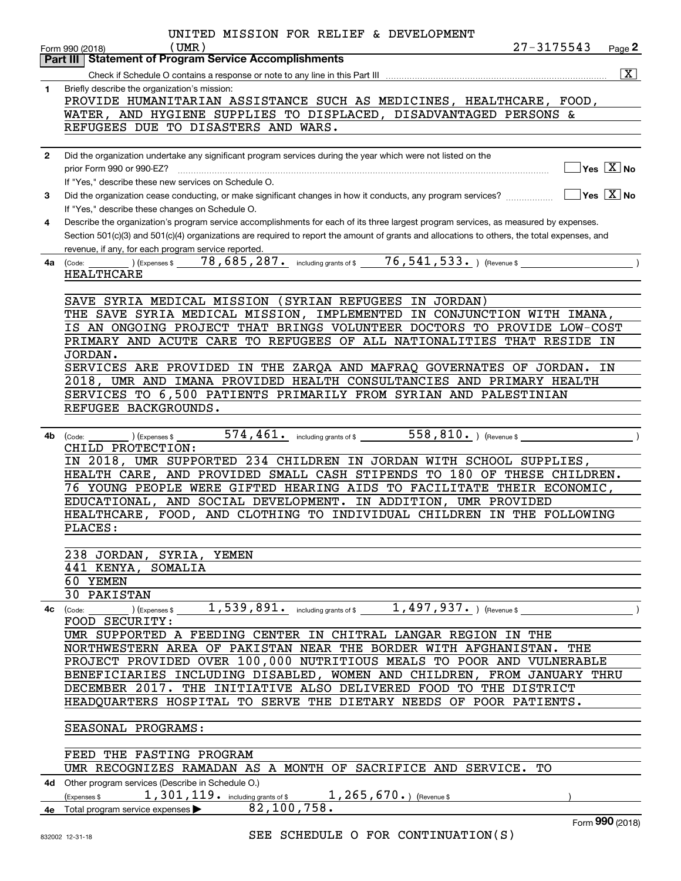|              | UNITED MISSION FOR RELIEF & DEVELOPMENT<br>27-3175543<br>$($ UMR $)$<br>Page 2<br>Form 990 (2018)<br><b>Statement of Program Service Accomplishments</b><br>Part III                                                                                                                                                                                                                                                                                                                      |
|--------------|-------------------------------------------------------------------------------------------------------------------------------------------------------------------------------------------------------------------------------------------------------------------------------------------------------------------------------------------------------------------------------------------------------------------------------------------------------------------------------------------|
|              | $\boxed{\text{X}}$                                                                                                                                                                                                                                                                                                                                                                                                                                                                        |
| 1            | Briefly describe the organization's mission:<br>PROVIDE HUMANITARIAN ASSISTANCE SUCH AS MEDICINES, HEALTHCARE, FOOD,<br>WATER, AND HYGIENE SUPPLIES TO DISPLACED, DISADVANTAGED PERSONS &<br>REFUGEES DUE TO DISASTERS AND WARS.                                                                                                                                                                                                                                                          |
| $\mathbf{2}$ | Did the organization undertake any significant program services during the year which were not listed on the<br>$\sqrt{\mathsf{Yes}\mathord{\;\mathbb{X}}\,}$ No<br>prior Form 990 or 990-EZ?                                                                                                                                                                                                                                                                                             |
|              | If "Yes," describe these new services on Schedule O.                                                                                                                                                                                                                                                                                                                                                                                                                                      |
| 3            | $\overline{\ }$ Yes $\overline{\phantom{X}}$ No<br>If "Yes," describe these changes on Schedule O.                                                                                                                                                                                                                                                                                                                                                                                        |
| 4            | Describe the organization's program service accomplishments for each of its three largest program services, as measured by expenses.<br>Section 501(c)(3) and 501(c)(4) organizations are required to report the amount of grants and allocations to others, the total expenses, and<br>revenue, if any, for each program service reported.                                                                                                                                               |
| 4a           | $\overline{76, 541, 533}$ . ) (Revenue \$<br>78, 685, 287. including grants of \$<br>) (Expenses \$<br>(Code:<br>HEALTHCARE                                                                                                                                                                                                                                                                                                                                                               |
|              | SAVE SYRIA MEDICAL MISSION (SYRIAN REFUGEES<br>IN JORDAN)<br>THE SAVE SYRIA MEDICAL MISSION, IMPLEMENTED IN CONJUNCTION WITH IMANA,<br>IS AN ONGOING PROJECT THAT BRINGS VOLUNTEER DOCTORS TO PROVIDE LOW-COST<br>PRIMARY AND ACUTE CARE TO REFUGEES OF ALL NATIONALITIES THAT RESIDE IN<br>JORDAN.<br>SERVICES ARE PROVIDED IN THE ZARQA AND MAFRAQ GOVERNATES OF JORDAN.<br>ΙN                                                                                                          |
|              | 2018, UMR AND IMANA PROVIDED HEALTH CONSULTANCIES AND PRIMARY HEALTH<br>SERVICES TO 6,500 PATIENTS PRIMARILY FROM SYRIAN AND PALESTINIAN<br>REFUGEE BACKGROUNDS.                                                                                                                                                                                                                                                                                                                          |
| 4b           | 574, 461. including grants of \$558, 810. ) (Revenue \$<br>(Expenses \$<br>(Code:<br>CHILD PROTECTION:<br>IN 2018, UMR SUPPORTED 234 CHILDREN IN JORDAN WITH SCHOOL SUPPLIES,<br>HEALTH CARE, AND PROVIDED SMALL CASH STIPENDS TO 180 OF THESE CHILDREN.<br>76 YOUNG PEOPLE WERE GIFTED HEARING AIDS TO FACILITATE THEIR ECONOMIC,<br>EDUCATIONAL, AND SOCIAL DEVELOPMENT. IN ADDITION, UMR PROVIDED<br>HEALTHCARE, FOOD, AND CLOTHING TO INDIVIDUAL CHILDREN IN THE FOLLOWING<br>PLACES: |
|              | 238 JORDAN, SYRIA, YEMEN                                                                                                                                                                                                                                                                                                                                                                                                                                                                  |
|              | 441 KENYA, SOMALIA<br>60 YEMEN                                                                                                                                                                                                                                                                                                                                                                                                                                                            |
|              | 30 PAKISTAN<br>_ ) (Expenses \$ $1$ , $539$ , $891$ $\cdot$ including grants of \$ $1$ , $497$ , $937$ $\cdot$ ) (Revenue \$ $\hskip1cm$ )<br>4c (Code:                                                                                                                                                                                                                                                                                                                                   |
|              | FOOD SECURITY:                                                                                                                                                                                                                                                                                                                                                                                                                                                                            |
|              | UMR SUPPORTED A FEEDING CENTER IN CHITRAL LANGAR REGION IN THE<br>NORTHWESTERN AREA OF PAKISTAN NEAR THE BORDER WITH AFGHANISTAN. THE                                                                                                                                                                                                                                                                                                                                                     |
|              | PROJECT PROVIDED OVER 100,000 NUTRITIOUS MEALS TO POOR AND VULNERABLE                                                                                                                                                                                                                                                                                                                                                                                                                     |
|              | BENEFICIARIES INCLUDING DISABLED, WOMEN AND CHILDREN, FROM JANUARY THRU                                                                                                                                                                                                                                                                                                                                                                                                                   |
|              | DECEMBER 2017. THE INITIATIVE ALSO DELIVERED FOOD TO THE DISTRICT                                                                                                                                                                                                                                                                                                                                                                                                                         |
|              | HEADQUARTERS HOSPITAL TO SERVE THE DIETARY NEEDS OF POOR PATIENTS.                                                                                                                                                                                                                                                                                                                                                                                                                        |
|              | SEASONAL PROGRAMS:                                                                                                                                                                                                                                                                                                                                                                                                                                                                        |
|              | FEED THE FASTING PROGRAM                                                                                                                                                                                                                                                                                                                                                                                                                                                                  |
|              | UMR RECOGNIZES RAMADAN AS A MONTH OF SACRIFICE AND SERVICE. TO                                                                                                                                                                                                                                                                                                                                                                                                                            |
|              | 4d Other program services (Describe in Schedule O.)<br>$1$ , $301$ , $119$ $\cdot$ including grants of \$ $1$ , $265$ , $670$ $\cdot$ $\cdot$ (Revenue \$<br>(Expenses \$                                                                                                                                                                                                                                                                                                                 |
|              | 82,100,758.<br>4e Total program service expenses<br>Form 990 (2018)                                                                                                                                                                                                                                                                                                                                                                                                                       |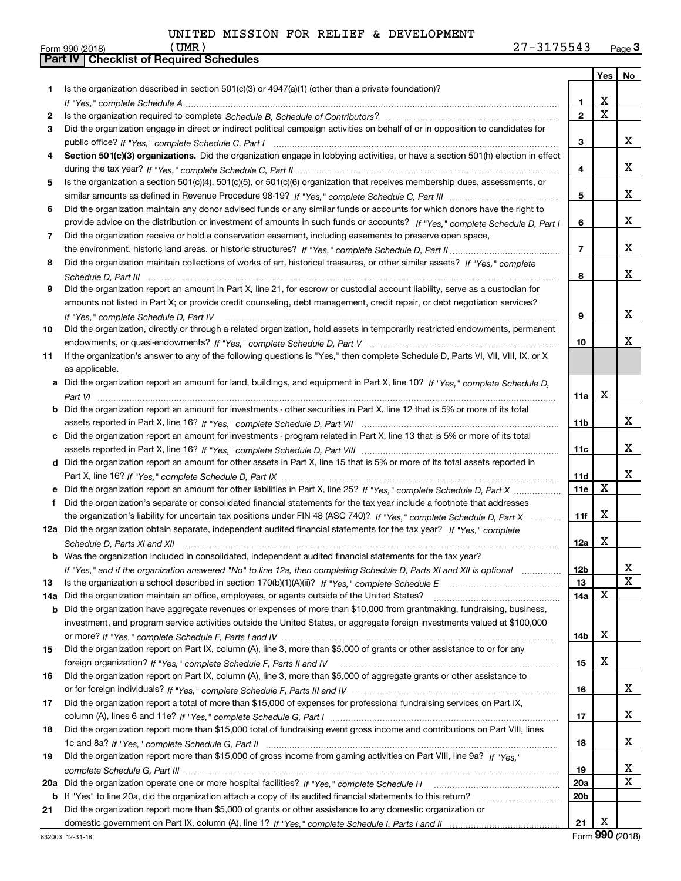|     |                                                                                                                                      |                 | Yes                     | No          |
|-----|--------------------------------------------------------------------------------------------------------------------------------------|-----------------|-------------------------|-------------|
| 1   | Is the organization described in section $501(c)(3)$ or $4947(a)(1)$ (other than a private foundation)?                              |                 |                         |             |
|     |                                                                                                                                      | 1               | х                       |             |
| 2   |                                                                                                                                      | $\mathbf{2}$    | $\overline{\mathtt{x}}$ |             |
| 3   | Did the organization engage in direct or indirect political campaign activities on behalf of or in opposition to candidates for      |                 |                         |             |
|     |                                                                                                                                      | 3               |                         | x           |
| 4   | Section 501(c)(3) organizations. Did the organization engage in lobbying activities, or have a section 501(h) election in effect     |                 |                         |             |
|     |                                                                                                                                      | 4               |                         | x           |
| 5   | Is the organization a section 501(c)(4), 501(c)(5), or 501(c)(6) organization that receives membership dues, assessments, or         |                 |                         |             |
|     |                                                                                                                                      | 5               |                         | x           |
| 6   | Did the organization maintain any donor advised funds or any similar funds or accounts for which donors have the right to            |                 |                         |             |
|     | provide advice on the distribution or investment of amounts in such funds or accounts? If "Yes," complete Schedule D, Part I         | 6               |                         | x           |
| 7   | Did the organization receive or hold a conservation easement, including easements to preserve open space,                            |                 |                         |             |
|     |                                                                                                                                      | $\overline{7}$  |                         | x           |
| 8   | Did the organization maintain collections of works of art, historical treasures, or other similar assets? If "Yes," complete         |                 |                         |             |
|     |                                                                                                                                      | 8               |                         | x           |
| 9   | Did the organization report an amount in Part X, line 21, for escrow or custodial account liability, serve as a custodian for        |                 |                         |             |
|     | amounts not listed in Part X; or provide credit counseling, debt management, credit repair, or debt negotiation services?            |                 |                         |             |
|     | If "Yes," complete Schedule D, Part IV                                                                                               | 9               |                         | x           |
| 10  | Did the organization, directly or through a related organization, hold assets in temporarily restricted endowments, permanent        |                 |                         |             |
|     |                                                                                                                                      | 10              |                         | X.          |
| 11  | If the organization's answer to any of the following questions is "Yes," then complete Schedule D, Parts VI, VIII, VIII, IX, or X    |                 |                         |             |
|     | as applicable.                                                                                                                       |                 |                         |             |
|     | a Did the organization report an amount for land, buildings, and equipment in Part X, line 10? If "Yes," complete Schedule D,        |                 |                         |             |
|     |                                                                                                                                      | 11a             | X                       |             |
|     | <b>b</b> Did the organization report an amount for investments - other securities in Part X, line 12 that is 5% or more of its total |                 |                         |             |
|     |                                                                                                                                      | 11b             |                         | x           |
| c   | Did the organization report an amount for investments - program related in Part X, line 13 that is 5% or more of its total           |                 |                         | x           |
|     |                                                                                                                                      | 11c             |                         |             |
|     | d Did the organization report an amount for other assets in Part X, line 15 that is 5% or more of its total assets reported in       |                 |                         | x           |
|     | e Did the organization report an amount for other liabilities in Part X, line 25? If "Yes," complete Schedule D, Part X              | 11d<br>11e      | X                       |             |
| f   | Did the organization's separate or consolidated financial statements for the tax year include a footnote that addresses              |                 |                         |             |
|     | the organization's liability for uncertain tax positions under FIN 48 (ASC 740)? If "Yes," complete Schedule D, Part X               | 11f             | X                       |             |
|     | 12a Did the organization obtain separate, independent audited financial statements for the tax year? If "Yes," complete              |                 |                         |             |
|     | Schedule D, Parts XI and XII                                                                                                         | 12a             | X                       |             |
|     | <b>b</b> Was the organization included in consolidated, independent audited financial statements for the tax year?                   |                 |                         |             |
|     | If "Yes," and if the organization answered "No" to line 12a, then completing Schedule D, Parts XI and XII is optional                | 12b             |                         | A           |
| 13  |                                                                                                                                      | 13              |                         | $\mathbf X$ |
| 14a | Did the organization maintain an office, employees, or agents outside of the United States?                                          | 14a             | X                       |             |
| b   | Did the organization have aggregate revenues or expenses of more than \$10,000 from grantmaking, fundraising, business,              |                 |                         |             |
|     | investment, and program service activities outside the United States, or aggregate foreign investments valued at \$100,000           |                 |                         |             |
|     |                                                                                                                                      | 14b             | х                       |             |
| 15  | Did the organization report on Part IX, column (A), line 3, more than \$5,000 of grants or other assistance to or for any            |                 |                         |             |
|     |                                                                                                                                      | 15              | х                       |             |
| 16  | Did the organization report on Part IX, column (A), line 3, more than \$5,000 of aggregate grants or other assistance to             |                 |                         |             |
|     |                                                                                                                                      | 16              |                         | x           |
| 17  | Did the organization report a total of more than \$15,000 of expenses for professional fundraising services on Part IX,              |                 |                         |             |
|     |                                                                                                                                      | 17              |                         | x           |
| 18  | Did the organization report more than \$15,000 total of fundraising event gross income and contributions on Part VIII, lines         |                 |                         |             |
|     |                                                                                                                                      | 18              |                         | x           |
| 19  | Did the organization report more than \$15,000 of gross income from gaming activities on Part VIII, line 9a? If "Yes."               |                 |                         |             |
|     |                                                                                                                                      | 19              |                         | X           |
| 20a |                                                                                                                                      | <b>20a</b>      |                         | $\mathbf x$ |
| b   | If "Yes" to line 20a, did the organization attach a copy of its audited financial statements to this return?                         | 20 <sub>b</sub> |                         |             |
| 21  | Did the organization report more than \$5,000 of grants or other assistance to any domestic organization or                          |                 |                         |             |
|     |                                                                                                                                      | 21              | X                       |             |

Form (2018) **990**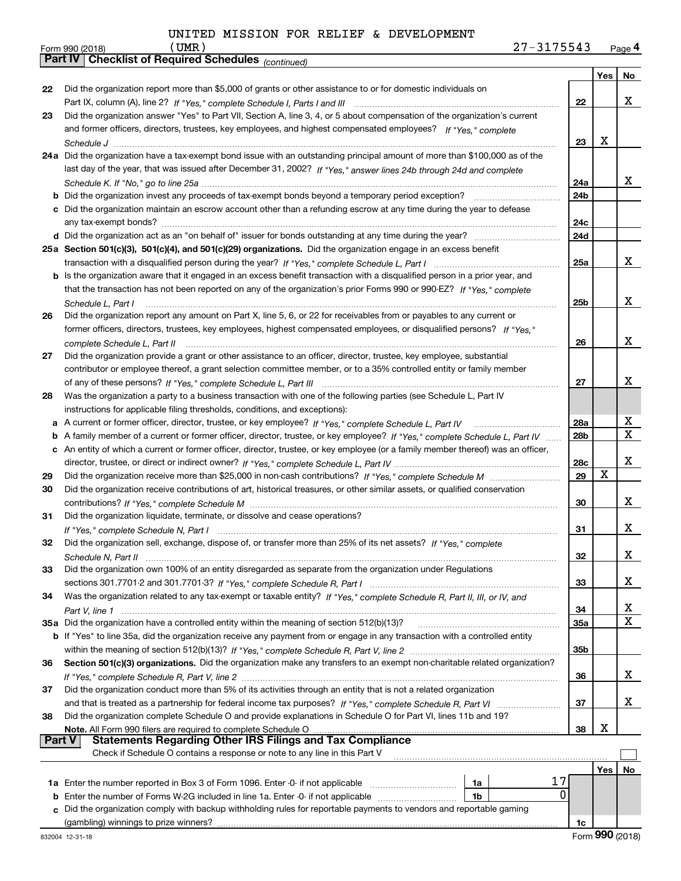|        | 27-3175543<br>(UMR )<br>Form 990 (2018)                                                                                           |                 |     | Page 4      |
|--------|-----------------------------------------------------------------------------------------------------------------------------------|-----------------|-----|-------------|
|        | <b>Part IV Checklist of Required Schedules</b> (continued)                                                                        |                 |     |             |
|        |                                                                                                                                   |                 | Yes | No          |
| 22     | Did the organization report more than \$5,000 of grants or other assistance to or for domestic individuals on                     |                 |     |             |
|        |                                                                                                                                   | 22              |     | х           |
| 23     | Did the organization answer "Yes" to Part VII, Section A, line 3, 4, or 5 about compensation of the organization's current        |                 |     |             |
|        | and former officers, directors, trustees, key employees, and highest compensated employees? If "Yes," complete                    |                 |     |             |
|        |                                                                                                                                   | 23              | х   |             |
|        |                                                                                                                                   |                 |     |             |
|        | 24a Did the organization have a tax-exempt bond issue with an outstanding principal amount of more than \$100,000 as of the       |                 |     |             |
|        | last day of the year, that was issued after December 31, 2002? If "Yes," answer lines 24b through 24d and complete                |                 |     |             |
|        |                                                                                                                                   | 24a             |     | x           |
|        |                                                                                                                                   | 24 <sub>b</sub> |     |             |
|        | c Did the organization maintain an escrow account other than a refunding escrow at any time during the year to defease            |                 |     |             |
|        |                                                                                                                                   | 24c             |     |             |
|        |                                                                                                                                   | 24d             |     |             |
|        | 25a Section 501(c)(3), 501(c)(4), and 501(c)(29) organizations. Did the organization engage in an excess benefit                  |                 |     |             |
|        |                                                                                                                                   | 25a             |     | x           |
|        | b Is the organization aware that it engaged in an excess benefit transaction with a disqualified person in a prior year, and      |                 |     |             |
|        | that the transaction has not been reported on any of the organization's prior Forms 990 or 990-EZ? If "Yes," complete             |                 |     |             |
|        | Schedule L, Part I                                                                                                                | 25b             |     | x           |
| 26     | Did the organization report any amount on Part X, line 5, 6, or 22 for receivables from or payables to any current or             |                 |     |             |
|        | former officers, directors, trustees, key employees, highest compensated employees, or disqualified persons? If "Yes."            |                 |     |             |
|        |                                                                                                                                   |                 |     | x           |
|        | complete Schedule L, Part II                                                                                                      | 26              |     |             |
| 27     | Did the organization provide a grant or other assistance to an officer, director, trustee, key employee, substantial              |                 |     |             |
|        | contributor or employee thereof, a grant selection committee member, or to a 35% controlled entity or family member               |                 |     |             |
|        |                                                                                                                                   | 27              |     | х           |
| 28     | Was the organization a party to a business transaction with one of the following parties (see Schedule L, Part IV                 |                 |     |             |
|        | instructions for applicable filing thresholds, conditions, and exceptions):                                                       |                 |     |             |
|        | a A current or former officer, director, trustee, or key employee? If "Yes," complete Schedule L, Part IV                         | 28a             |     | х           |
| b      | A family member of a current or former officer, director, trustee, or key employee? If "Yes," complete Schedule L, Part IV        | 28b             |     | $\mathbf x$ |
|        | c An entity of which a current or former officer, director, trustee, or key employee (or a family member thereof) was an officer, |                 |     |             |
|        |                                                                                                                                   | 28c             |     | х           |
| 29     |                                                                                                                                   | 29              | X   |             |
| 30     | Did the organization receive contributions of art, historical treasures, or other similar assets, or qualified conservation       |                 |     |             |
|        |                                                                                                                                   | 30              |     | x           |
| 31     | Did the organization liquidate, terminate, or dissolve and cease operations?                                                      |                 |     |             |
|        |                                                                                                                                   | 31              |     | x           |
|        | Did the organization sell, exchange, dispose of, or transfer more than 25% of its net assets? If "Yes," complete                  |                 |     |             |
| 32     |                                                                                                                                   |                 |     |             |
|        |                                                                                                                                   | 32              |     | x           |
| 33     | Did the organization own 100% of an entity disregarded as separate from the organization under Regulations                        |                 |     |             |
|        |                                                                                                                                   | 33              |     | x           |
| 34     | Was the organization related to any tax-exempt or taxable entity? If "Yes," complete Schedule R, Part II, III, or IV, and         |                 |     |             |
|        |                                                                                                                                   | 34              |     | х           |
|        | 35a Did the organization have a controlled entity within the meaning of section 512(b)(13)?                                       | 35a             |     | X           |
|        | b If "Yes" to line 35a, did the organization receive any payment from or engage in any transaction with a controlled entity       |                 |     |             |
|        |                                                                                                                                   | 35 <sub>b</sub> |     |             |
| 36     | Section 501(c)(3) organizations. Did the organization make any transfers to an exempt non-charitable related organization?        |                 |     |             |
|        |                                                                                                                                   | 36              |     | х           |
| 37     | Did the organization conduct more than 5% of its activities through an entity that is not a related organization                  |                 |     |             |
|        | and that is treated as a partnership for federal income tax purposes? If "Yes," complete Schedule R, Part VI                      | 37              |     | х           |
| 38     | Did the organization complete Schedule O and provide explanations in Schedule O for Part VI, lines 11b and 19?                    |                 |     |             |
|        |                                                                                                                                   | 38              | х   |             |
| Part V | Note. All Form 990 filers are required to complete Schedule O<br><b>Statements Regarding Other IRS Filings and Tax Compliance</b> |                 |     |             |
|        | Check if Schedule O contains a response or note to any line in this Part V                                                        |                 |     |             |
|        |                                                                                                                                   |                 |     |             |
|        |                                                                                                                                   |                 | Yes | No          |
|        | 17<br>1a                                                                                                                          |                 |     |             |
| b      | 0<br>Enter the number of Forms W-2G included in line 1a. Enter -0- if not applicable<br>1b                                        |                 |     |             |
|        | Did the organization comply with backup withholding rules for reportable payments to vendors and reportable gaming                |                 |     |             |
|        |                                                                                                                                   | 1c              |     |             |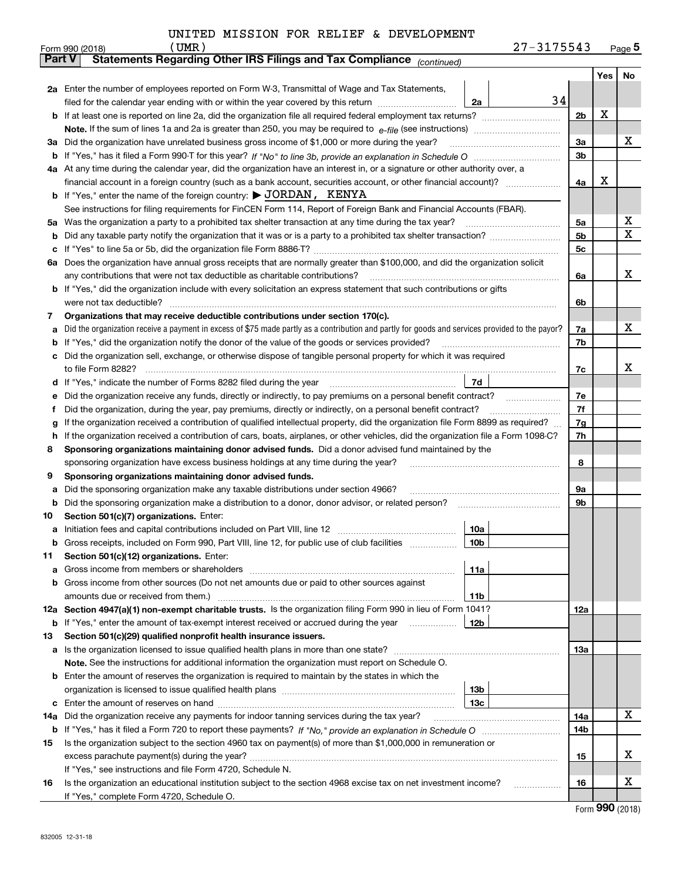|  |  |  |  |  | UNITED MISSION FOR RELIEF & DEVELOPMENT |
|--|--|--|--|--|-----------------------------------------|
|--|--|--|--|--|-----------------------------------------|

|               | $UMR$ )<br>Form 990 (2018)                                                                                                                      |                        | 27-3175543 |                |     | $Page$ <sup>5</sup> |
|---------------|-------------------------------------------------------------------------------------------------------------------------------------------------|------------------------|------------|----------------|-----|---------------------|
| <b>Part V</b> | Statements Regarding Other IRS Filings and Tax Compliance (continued)                                                                           |                        |            |                |     |                     |
|               |                                                                                                                                                 |                        |            |                | Yes | No                  |
|               | 2a Enter the number of employees reported on Form W-3, Transmittal of Wage and Tax Statements,                                                  |                        |            |                |     |                     |
|               | filed for the calendar year ending with or within the year covered by this return                                                               | 2a                     | 34         |                |     |                     |
|               |                                                                                                                                                 |                        |            | 2 <sub>b</sub> | х   |                     |
|               |                                                                                                                                                 |                        |            |                |     |                     |
| За            | Did the organization have unrelated business gross income of \$1,000 or more during the year?                                                   |                        |            | 3a             |     | x                   |
| b             |                                                                                                                                                 |                        |            | 3b             |     |                     |
|               | 4a At any time during the calendar year, did the organization have an interest in, or a signature or other authority over, a                    |                        |            |                |     |                     |
|               | financial account in a foreign country (such as a bank account, securities account, or other financial account)?                                |                        |            | 4a             | х   |                     |
|               | <b>b</b> If "Yes," enter the name of the foreign country: $\triangleright$ JORDAN, KENYA                                                        |                        |            |                |     |                     |
|               | See instructions for filing requirements for FinCEN Form 114, Report of Foreign Bank and Financial Accounts (FBAR).                             |                        |            |                |     |                     |
| 5a            | Was the organization a party to a prohibited tax shelter transaction at any time during the tax year?                                           |                        |            | 5a             |     | х                   |
| b             |                                                                                                                                                 |                        |            | 5b             |     | X                   |
| с             |                                                                                                                                                 |                        |            | 5c             |     |                     |
| 6а            | Does the organization have annual gross receipts that are normally greater than \$100,000, and did the organization solicit                     |                        |            |                |     |                     |
|               | any contributions that were not tax deductible as charitable contributions?                                                                     |                        |            | 6a             |     | x                   |
| b             | If "Yes," did the organization include with every solicitation an express statement that such contributions or gifts                            |                        |            |                |     |                     |
|               | were not tax deductible?                                                                                                                        |                        |            | 6b             |     |                     |
| 7             | Organizations that may receive deductible contributions under section 170(c).                                                                   |                        |            |                |     |                     |
| а             | Did the organization receive a payment in excess of \$75 made partly as a contribution and partly for goods and services provided to the payor? |                        |            | 7a             |     | x                   |
| b             | If "Yes," did the organization notify the donor of the value of the goods or services provided?                                                 |                        |            | 7b             |     |                     |
|               | Did the organization sell, exchange, or otherwise dispose of tangible personal property for which it was required                               |                        |            |                |     |                     |
|               | to file Form 8282?                                                                                                                              |                        |            | 7c             |     | х                   |
| d             |                                                                                                                                                 | 7d                     |            |                |     |                     |
| е             | Did the organization receive any funds, directly or indirectly, to pay premiums on a personal benefit contract?                                 |                        |            | 7е             |     |                     |
| f             | Did the organization, during the year, pay premiums, directly or indirectly, on a personal benefit contract?                                    |                        |            | 7f             |     |                     |
| g             | If the organization received a contribution of qualified intellectual property, did the organization file Form 8899 as required?                |                        |            | 7g             |     |                     |
| h             | If the organization received a contribution of cars, boats, airplanes, or other vehicles, did the organization file a Form 1098-C?              |                        |            | 7h             |     |                     |
| 8             | Sponsoring organizations maintaining donor advised funds. Did a donor advised fund maintained by the                                            |                        |            |                |     |                     |
|               | sponsoring organization have excess business holdings at any time during the year?                                                              |                        |            | 8              |     |                     |
| 9             | Sponsoring organizations maintaining donor advised funds.                                                                                       |                        |            |                |     |                     |
| а             | Did the sponsoring organization make any taxable distributions under section 4966?                                                              |                        |            | 9а             |     |                     |
| b             | Did the sponsoring organization make a distribution to a donor, donor advisor, or related person?                                               |                        |            | 9b             |     |                     |
| 10            | Section 501(c)(7) organizations. Enter:                                                                                                         |                        |            |                |     |                     |
| а             | Initiation fees and capital contributions included on Part VIII, line 12 [100] [100] [100] [100] [100] [100] [                                  | 10a<br>10 <sub>b</sub> |            |                |     |                     |
|               | Gross receipts, included on Form 990, Part VIII, line 12, for public use of club facilities                                                     |                        |            |                |     |                     |
| 11            | Section 501(c)(12) organizations. Enter:<br>Gross income from members or shareholders                                                           | 11a                    |            |                |     |                     |
| а             | Gross income from other sources (Do not net amounts due or paid to other sources against                                                        |                        |            |                |     |                     |
| b             |                                                                                                                                                 | 11 <sub>b</sub>        |            |                |     |                     |
|               | 12a Section 4947(a)(1) non-exempt charitable trusts. Is the organization filing Form 990 in lieu of Form 1041?                                  |                        |            | 12a            |     |                     |
|               | <b>b</b> If "Yes," enter the amount of tax-exempt interest received or accrued during the year <i>manument</i>                                  | 12 <sub>b</sub>        |            |                |     |                     |
| 13            | Section 501(c)(29) qualified nonprofit health insurance issuers.                                                                                |                        |            |                |     |                     |
| a             | Is the organization licensed to issue qualified health plans in more than one state?                                                            |                        |            | 13a            |     |                     |
|               | Note. See the instructions for additional information the organization must report on Schedule O.                                               |                        |            |                |     |                     |
| b             | Enter the amount of reserves the organization is required to maintain by the states in which the                                                |                        |            |                |     |                     |
|               |                                                                                                                                                 | 13 <sub>b</sub>        |            |                |     |                     |
| с             |                                                                                                                                                 | 13c                    |            |                |     |                     |
| 14a           | Did the organization receive any payments for indoor tanning services during the tax year?                                                      |                        |            | 14a            |     | х                   |
|               |                                                                                                                                                 |                        |            | 14b            |     |                     |
| 15            | Is the organization subject to the section 4960 tax on payment(s) of more than \$1,000,000 in remuneration or                                   |                        |            |                |     |                     |
|               |                                                                                                                                                 |                        |            | 15             |     | x                   |
|               | If "Yes," see instructions and file Form 4720, Schedule N.                                                                                      |                        |            |                |     |                     |
| 16            | Is the organization an educational institution subject to the section 4968 excise tax on net investment income?                                 |                        |            | 16             |     | х                   |
|               | If "Yes," complete Form 4720, Schedule O.                                                                                                       |                        |            |                |     |                     |

Form (2018) **990**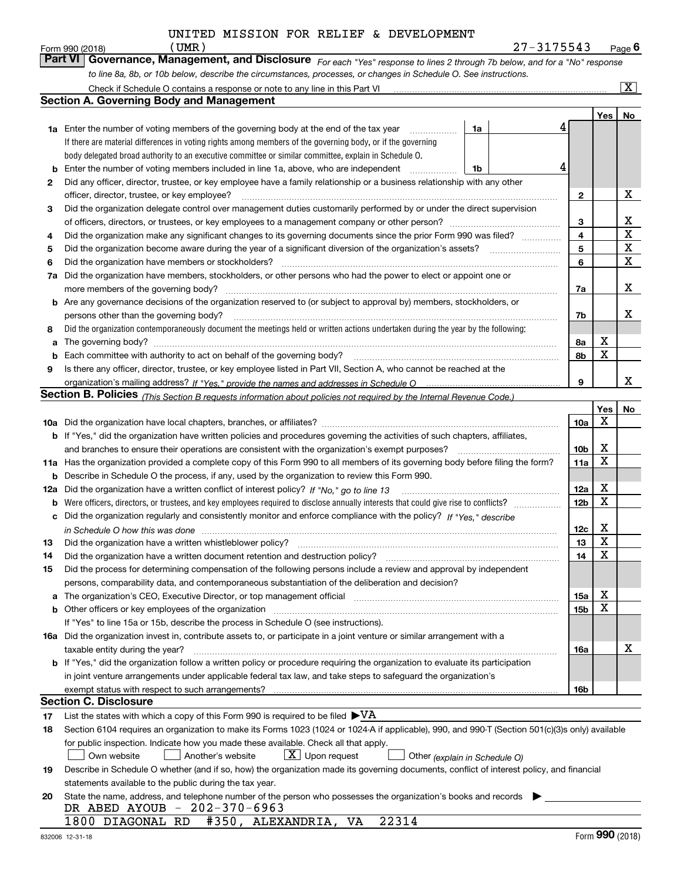$\frac{(UMR)}{Mapaqqement}$  and Disclosure  $\epsilon_1$  and  $\frac{(MMP)^2}{MMPqqem}$ 

| Form 990 (2018) | UMR)                                                                                                             | 27-3175543                                                                                                                  | Page $6$ |
|-----------------|------------------------------------------------------------------------------------------------------------------|-----------------------------------------------------------------------------------------------------------------------------|----------|
|                 |                                                                                                                  | Part VI Governance, Management, and Disclosure For each "Yes" response to lines 2 through 7b below, and for a "No" response |          |
|                 | to line 8a, 8b, or 10b below, describe the circumstances, processes, or changes in Schedule O. See instructions. |                                                                                                                             |          |

|     | Check if Schedule O contains a response or note to any line in this Part VI                                                                                           |    |  |   |                        |        | $\overline{\mathbf{x}}$ |  |
|-----|-----------------------------------------------------------------------------------------------------------------------------------------------------------------------|----|--|---|------------------------|--------|-------------------------|--|
|     | <b>Section A. Governing Body and Management</b>                                                                                                                       |    |  |   |                        |        |                         |  |
|     |                                                                                                                                                                       |    |  |   |                        | Yes    | No                      |  |
|     | <b>1a</b> Enter the number of voting members of the governing body at the end of the tax year                                                                         | 1a |  | 4 |                        |        |                         |  |
|     | If there are material differences in voting rights among members of the governing body, or if the governing                                                           |    |  |   |                        |        |                         |  |
|     | body delegated broad authority to an executive committee or similar committee, explain in Schedule O.                                                                 |    |  |   |                        |        |                         |  |
| b   | Enter the number of voting members included in line 1a, above, who are independent                                                                                    | 1b |  |   |                        |        |                         |  |
| 2   | Did any officer, director, trustee, or key employee have a family relationship or a business relationship with any other                                              |    |  |   |                        |        |                         |  |
|     | officer, director, trustee, or key employee?                                                                                                                          |    |  |   | $\mathbf{2}$           |        | X                       |  |
| 3   | Did the organization delegate control over management duties customarily performed by or under the direct supervision                                                 |    |  |   |                        |        |                         |  |
|     |                                                                                                                                                                       |    |  |   | З                      |        | х                       |  |
| 4   | Did the organization make any significant changes to its governing documents since the prior Form 990 was filed?                                                      |    |  |   | $\overline{4}$         |        | X                       |  |
| 5   |                                                                                                                                                                       |    |  |   | 5                      |        | X                       |  |
| 6   | Did the organization have members or stockholders?                                                                                                                    |    |  |   |                        |        |                         |  |
| 7a  | Did the organization have members, stockholders, or other persons who had the power to elect or appoint one or                                                        |    |  |   | 6                      |        | X                       |  |
|     | more members of the governing body?                                                                                                                                   |    |  |   | 7a                     |        | х                       |  |
|     | <b>b</b> Are any governance decisions of the organization reserved to (or subject to approval by) members, stockholders, or                                           |    |  |   |                        |        |                         |  |
|     | persons other than the governing body?                                                                                                                                |    |  |   | 7b                     |        | х                       |  |
| 8   | Did the organization contemporaneously document the meetings held or written actions undertaken during the year by the following:                                     |    |  |   |                        |        |                         |  |
| a   |                                                                                                                                                                       |    |  |   | 8a                     | X      |                         |  |
| b   |                                                                                                                                                                       |    |  |   | 8b                     | X      |                         |  |
| 9   | Is there any officer, director, trustee, or key employee listed in Part VII, Section A, who cannot be reached at the                                                  |    |  |   |                        |        |                         |  |
|     |                                                                                                                                                                       |    |  |   | 9                      |        | x                       |  |
|     | Section B. Policies <sub>(This Section B requests information about policies not required by the Internal Revenue Code.)</sub>                                        |    |  |   |                        |        |                         |  |
|     |                                                                                                                                                                       |    |  |   |                        | Yes    | No                      |  |
|     |                                                                                                                                                                       |    |  |   | <b>10a</b>             | X      |                         |  |
|     | <b>b</b> If "Yes," did the organization have written policies and procedures governing the activities of such chapters, affiliates,                                   |    |  |   |                        |        |                         |  |
|     | and branches to ensure their operations are consistent with the organization's exempt purposes?                                                                       |    |  |   | 10 <sub>b</sub>        | X      |                         |  |
|     | 11a Has the organization provided a complete copy of this Form 990 to all members of its governing body before filing the form?                                       |    |  |   | 11a                    | X      |                         |  |
| b   | Describe in Schedule O the process, if any, used by the organization to review this Form 990.                                                                         |    |  |   |                        |        |                         |  |
| 12a | Did the organization have a written conflict of interest policy? If "No," go to line 13                                                                               |    |  |   |                        |        |                         |  |
| b   | Were officers, directors, or trustees, and key employees required to disclose annually interests that could give rise to conflicts?                                   |    |  |   | 12a<br>12 <sub>b</sub> | X<br>X |                         |  |
| с   | Did the organization regularly and consistently monitor and enforce compliance with the policy? If "Yes." describe                                                    |    |  |   |                        |        |                         |  |
|     | in Schedule O how this was done <i>manually contained to cheap the Schedule O how this was done</i>                                                                   |    |  |   | 12c                    | X      |                         |  |
| 13  | Did the organization have a written whistleblower policy?                                                                                                             |    |  |   | 13                     | X      |                         |  |
| 14  | Did the organization have a written document retention and destruction policy?                                                                                        |    |  |   | 14                     | X      |                         |  |
| 15  | Did the process for determining compensation of the following persons include a review and approval by independent                                                    |    |  |   |                        |        |                         |  |
|     | persons, comparability data, and contemporaneous substantiation of the deliberation and decision?                                                                     |    |  |   |                        |        |                         |  |
| a   | The organization's CEO, Executive Director, or top management official manufactured content of the organization's CEO, Executive Director, or top management official |    |  |   | 15a                    | Χ      |                         |  |
|     | <b>b</b> Other officers or key employees of the organization                                                                                                          |    |  |   | 15b                    | Χ      |                         |  |
|     | If "Yes" to line 15a or 15b, describe the process in Schedule O (see instructions).                                                                                   |    |  |   |                        |        |                         |  |
|     | 16a Did the organization invest in, contribute assets to, or participate in a joint venture or similar arrangement with a                                             |    |  |   |                        |        |                         |  |
|     | taxable entity during the year?                                                                                                                                       |    |  |   | 16a                    |        | X                       |  |
|     | b If "Yes," did the organization follow a written policy or procedure requiring the organization to evaluate its participation                                        |    |  |   |                        |        |                         |  |
|     | in joint venture arrangements under applicable federal tax law, and take steps to safeguard the organization's                                                        |    |  |   |                        |        |                         |  |
|     | exempt status with respect to such arrangements?                                                                                                                      |    |  |   | 16b                    |        |                         |  |
|     | <b>Section C. Disclosure</b>                                                                                                                                          |    |  |   |                        |        |                         |  |
| 17  | List the states with which a copy of this Form 990 is required to be filed $\blacktriangleright\text{VA}$                                                             |    |  |   |                        |        |                         |  |
| 18  | Section 6104 requires an organization to make its Forms 1023 (1024 or 1024-A if applicable), 990, and 990-T (Section 501(c)(3)s only) available                       |    |  |   |                        |        |                         |  |
|     | for public inspection. Indicate how you made these available. Check all that apply.                                                                                   |    |  |   |                        |        |                         |  |
|     | $\lfloor x \rfloor$ Upon request<br>Own website<br>Another's website<br>Other (explain in Schedule O)                                                                 |    |  |   |                        |        |                         |  |
| 19  | Describe in Schedule O whether (and if so, how) the organization made its governing documents, conflict of interest policy, and financial                             |    |  |   |                        |        |                         |  |
|     | statements available to the public during the tax year.                                                                                                               |    |  |   |                        |        |                         |  |
| 20  | State the name, address, and telephone number of the person who possesses the organization's books and records                                                        |    |  |   |                        |        |                         |  |
|     | DR ABED AYOUB - 202-370-6963                                                                                                                                          |    |  |   |                        |        |                         |  |
|     | #350, ALEXANDRIA, VA<br>22314<br>1800 DIAGONAL RD                                                                                                                     |    |  |   |                        |        |                         |  |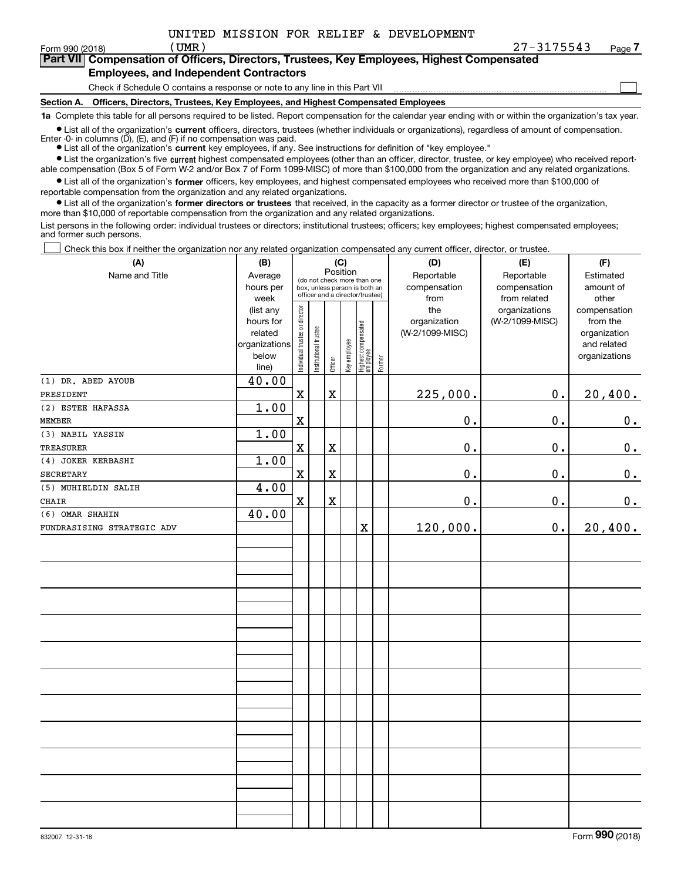$\mathcal{L}^{\text{max}}$ 

| Form 990 (2018) | UMR)                                   | 27-3175543                                                                                 | Page <i>I</i> |
|-----------------|----------------------------------------|--------------------------------------------------------------------------------------------|---------------|
|                 |                                        | Part VII Compensation of Officers, Directors, Trustees, Key Employees, Highest Compensated |               |
|                 | Employees, and Indonesdent Contractors |                                                                                            |               |

### **Employees, and Independent Contractors**

Check if Schedule O contains a response or note to any line in this Part VII

**Section A. Officers, Directors, Trustees, Key Employees, and Highest Compensated Employees**

**1a**  Complete this table for all persons required to be listed. Report compensation for the calendar year ending with or within the organization's tax year.

**•** List all of the organization's current officers, directors, trustees (whether individuals or organizations), regardless of amount of compensation. Enter -0- in columns  $(D)$ ,  $(E)$ , and  $(F)$  if no compensation was paid.

● List all of the organization's **current** key employees, if any. See instructions for definition of "key employee."

**•** List the organization's five current highest compensated employees (other than an officer, director, trustee, or key employee) who received reportable compensation (Box 5 of Form W-2 and/or Box 7 of Form 1099-MISC) of more than \$100,000 from the organization and any related organizations.

 $\bullet$  List all of the organization's **former** officers, key employees, and highest compensated employees who received more than \$100,000 of reportable compensation from the organization and any related organizations.

**•** List all of the organization's former directors or trustees that received, in the capacity as a former director or trustee of the organization, more than \$10,000 of reportable compensation from the organization and any related organizations.

List persons in the following order: individual trustees or directors; institutional trustees; officers; key employees; highest compensated employees; and former such persons.

Check this box if neither the organization nor any related organization compensated any current officer, director, or trustee.  $\mathcal{L}^{\text{max}}$ 

| (A)                        | (B)<br>(C)                                                           |                                                                                                             |                       |             |              |                                   |        | (D)                                    | (E)                                        | (F)                                                                      |  |  |  |
|----------------------------|----------------------------------------------------------------------|-------------------------------------------------------------------------------------------------------------|-----------------------|-------------|--------------|-----------------------------------|--------|----------------------------------------|--------------------------------------------|--------------------------------------------------------------------------|--|--|--|
| Name and Title             | Average<br>hours per<br>week                                         | Position<br>(do not check more than one<br>box, unless person is both an<br>officer and a director/trustee) |                       |             |              |                                   |        | Reportable<br>compensation<br>from     | Reportable<br>compensation<br>from related | Estimated<br>amount of<br>other                                          |  |  |  |
|                            | (list any<br>hours for<br>related<br>organizations<br>below<br>line) | Individual trustee or director                                                                              | Institutional trustee | Officer     | Key employee | Highest compensated<br>  employee | Former | the<br>organization<br>(W-2/1099-MISC) | organizations<br>(W-2/1099-MISC)           | compensation<br>from the<br>organization<br>and related<br>organizations |  |  |  |
| (1) DR. ABED AYOUB         | 40.00                                                                |                                                                                                             |                       |             |              |                                   |        |                                        |                                            |                                                                          |  |  |  |
| PRESIDENT                  |                                                                      | $\mathbf X$                                                                                                 |                       | $\rm X$     |              |                                   |        | 225,000.                               | $0$ .                                      | 20,400.                                                                  |  |  |  |
| (2) ESTEE HAFASSA          | 1.00                                                                 |                                                                                                             |                       |             |              |                                   |        |                                        |                                            |                                                                          |  |  |  |
| <b>MEMBER</b>              |                                                                      | $\rm X$                                                                                                     |                       |             |              |                                   |        | 0.                                     | 0.                                         | 0.                                                                       |  |  |  |
| (3) NABIL YASSIN           | 1.00                                                                 |                                                                                                             |                       |             |              |                                   |        |                                        |                                            |                                                                          |  |  |  |
| <b>TREASURER</b>           |                                                                      | $\mathbf x$                                                                                                 |                       | $\rm X$     |              |                                   |        | 0.                                     | 0.                                         | $0_{\cdot}$                                                              |  |  |  |
| (4) JOKER KERBASHI         | 1.00                                                                 |                                                                                                             |                       |             |              |                                   |        |                                        |                                            |                                                                          |  |  |  |
| <b>SECRETARY</b>           |                                                                      | X                                                                                                           |                       | $\rm X$     |              |                                   |        | $\mathbf 0$ .                          | $0$ .                                      | $\mathbf 0$ .                                                            |  |  |  |
| (5) MUHIELDIN SALIH        | 4.00                                                                 |                                                                                                             |                       |             |              |                                   |        |                                        |                                            |                                                                          |  |  |  |
| CHAIR                      |                                                                      | $\mathbf x$                                                                                                 |                       | $\mathbf x$ |              |                                   |        | $0$ .                                  | 0.                                         | $\mathbf 0$ .                                                            |  |  |  |
| (6) OMAR SHAHIN            | 40.00                                                                |                                                                                                             |                       |             |              |                                   |        |                                        |                                            |                                                                          |  |  |  |
| FUNDRASISING STRATEGIC ADV |                                                                      |                                                                                                             |                       |             |              | $\overline{\textbf{X}}$           |        | 120,000.                               | $0$ .                                      | 20,400.                                                                  |  |  |  |
|                            |                                                                      |                                                                                                             |                       |             |              |                                   |        |                                        |                                            |                                                                          |  |  |  |
|                            |                                                                      |                                                                                                             |                       |             |              |                                   |        |                                        |                                            |                                                                          |  |  |  |
|                            |                                                                      |                                                                                                             |                       |             |              |                                   |        |                                        |                                            |                                                                          |  |  |  |
|                            |                                                                      |                                                                                                             |                       |             |              |                                   |        |                                        |                                            |                                                                          |  |  |  |
|                            |                                                                      |                                                                                                             |                       |             |              |                                   |        |                                        |                                            |                                                                          |  |  |  |
|                            |                                                                      |                                                                                                             |                       |             |              |                                   |        |                                        |                                            |                                                                          |  |  |  |
|                            |                                                                      |                                                                                                             |                       |             |              |                                   |        |                                        |                                            |                                                                          |  |  |  |
|                            |                                                                      |                                                                                                             |                       |             |              |                                   |        |                                        |                                            |                                                                          |  |  |  |
|                            |                                                                      |                                                                                                             |                       |             |              |                                   |        |                                        |                                            |                                                                          |  |  |  |
|                            |                                                                      |                                                                                                             |                       |             |              |                                   |        |                                        |                                            |                                                                          |  |  |  |
|                            |                                                                      |                                                                                                             |                       |             |              |                                   |        |                                        |                                            |                                                                          |  |  |  |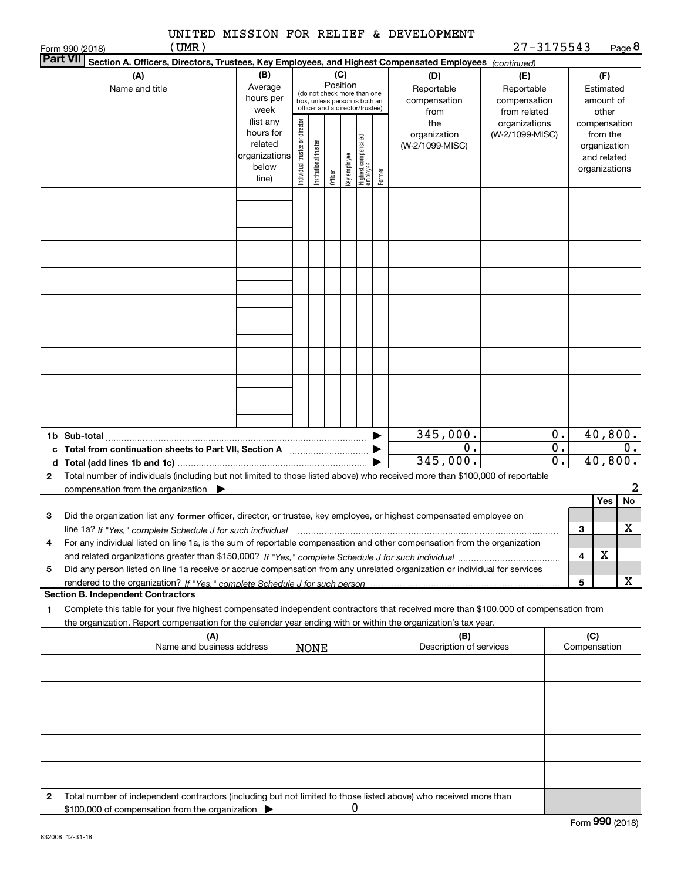|              | (UMR)<br>Form 990 (2018)                                                                                                                                                                 |                                                                      |                                |                       |                                                                                                                    |              |                                  |        |                                           | $27 - 3175543$                                    |                                 |                                                                          |                                        | Page 8           |
|--------------|------------------------------------------------------------------------------------------------------------------------------------------------------------------------------------------|----------------------------------------------------------------------|--------------------------------|-----------------------|--------------------------------------------------------------------------------------------------------------------|--------------|----------------------------------|--------|-------------------------------------------|---------------------------------------------------|---------------------------------|--------------------------------------------------------------------------|----------------------------------------|------------------|
|              | <b>Part VII</b><br>Section A. Officers, Directors, Trustees, Key Employees, and Highest Compensated Employees (continued)                                                                |                                                                      |                                |                       |                                                                                                                    |              |                                  |        |                                           |                                                   |                                 |                                                                          |                                        |                  |
|              | (A)<br>Name and title                                                                                                                                                                    | (B)<br>Average<br>hours per<br>week                                  |                                |                       | (C)<br>Position<br>(do not check more than one<br>box, unless person is both an<br>officer and a director/trustee) |              |                                  |        | (D)<br>Reportable<br>compensation<br>from | (E)<br>Reportable<br>compensation<br>from related |                                 |                                                                          | (F)<br>Estimated<br>amount of<br>other |                  |
|              |                                                                                                                                                                                          | (list any<br>hours for<br>related<br>organizations<br>below<br>line) | Individual trustee or director | Institutional trustee | Officer                                                                                                            | Key employee | Highest compensated<br> employee | Former | the<br>organization<br>(W-2/1099-MISC)    | organizations<br>(W-2/1099-MISC)                  |                                 | compensation<br>from the<br>organization<br>and related<br>organizations |                                        |                  |
|              |                                                                                                                                                                                          |                                                                      |                                |                       |                                                                                                                    |              |                                  |        |                                           |                                                   |                                 |                                                                          |                                        |                  |
|              |                                                                                                                                                                                          |                                                                      |                                |                       |                                                                                                                    |              |                                  |        |                                           |                                                   |                                 |                                                                          |                                        |                  |
|              |                                                                                                                                                                                          |                                                                      |                                |                       |                                                                                                                    |              |                                  |        |                                           |                                                   |                                 |                                                                          |                                        |                  |
|              |                                                                                                                                                                                          |                                                                      |                                |                       |                                                                                                                    |              |                                  |        |                                           |                                                   |                                 |                                                                          |                                        |                  |
|              |                                                                                                                                                                                          |                                                                      |                                |                       |                                                                                                                    |              |                                  |        |                                           |                                                   |                                 |                                                                          |                                        |                  |
|              |                                                                                                                                                                                          |                                                                      |                                |                       |                                                                                                                    |              |                                  |        |                                           |                                                   |                                 |                                                                          |                                        |                  |
|              |                                                                                                                                                                                          |                                                                      |                                |                       |                                                                                                                    |              |                                  |        |                                           |                                                   |                                 |                                                                          |                                        |                  |
|              | c Total from continuation sheets to Part VII, Section A <b>Constant Contact Part</b>                                                                                                     |                                                                      |                                |                       |                                                                                                                    |              |                                  | ▶      | 345,000.<br>0.                            |                                                   | 0.<br>$\overline{\mathbf{0}}$ . |                                                                          |                                        | 40,800.<br>$0$ . |
|              |                                                                                                                                                                                          |                                                                      |                                |                       |                                                                                                                    |              |                                  |        | 345,000.                                  |                                                   | $\overline{0}$ .                |                                                                          |                                        | 40,800.          |
| $\mathbf{2}$ | Total number of individuals (including but not limited to those listed above) who received more than \$100,000 of reportable<br>compensation from the organization $\blacktriangleright$ |                                                                      |                                |                       |                                                                                                                    |              |                                  |        |                                           |                                                   |                                 |                                                                          |                                        | 2                |
| 3            |                                                                                                                                                                                          |                                                                      |                                |                       |                                                                                                                    |              |                                  |        |                                           |                                                   |                                 |                                                                          | <b>Yes</b>                             | No               |
|              | Did the organization list any former officer, director, or trustee, key employee, or highest compensated employee on                                                                     |                                                                      |                                |                       |                                                                                                                    |              |                                  |        |                                           |                                                   |                                 | 3                                                                        |                                        | X                |
| 4            | For any individual listed on line 1a, is the sum of reportable compensation and other compensation from the organization                                                                 |                                                                      |                                |                       |                                                                                                                    |              |                                  |        |                                           |                                                   |                                 | 4                                                                        | X                                      |                  |
| 5            | Did any person listed on line 1a receive or accrue compensation from any unrelated organization or individual for services                                                               |                                                                      |                                |                       |                                                                                                                    |              |                                  |        |                                           |                                                   |                                 |                                                                          |                                        |                  |
|              |                                                                                                                                                                                          |                                                                      |                                |                       |                                                                                                                    |              |                                  |        |                                           |                                                   |                                 | 5                                                                        |                                        | x                |
| 1            | <b>Section B. Independent Contractors</b><br>Complete this table for your five highest compensated independent contractors that received more than \$100,000 of compensation from        |                                                                      |                                |                       |                                                                                                                    |              |                                  |        |                                           |                                                   |                                 |                                                                          |                                        |                  |
|              | the organization. Report compensation for the calendar year ending with or within the organization's tax year.<br>(A)                                                                    |                                                                      |                                |                       |                                                                                                                    |              |                                  |        | (B)                                       |                                                   |                                 | (C)                                                                      |                                        |                  |
|              | Name and business address                                                                                                                                                                |                                                                      |                                | <b>NONE</b>           |                                                                                                                    |              |                                  |        | Description of services                   |                                                   |                                 | Compensation                                                             |                                        |                  |
|              |                                                                                                                                                                                          |                                                                      |                                |                       |                                                                                                                    |              |                                  |        |                                           |                                                   |                                 |                                                                          |                                        |                  |
|              |                                                                                                                                                                                          |                                                                      |                                |                       |                                                                                                                    |              |                                  |        |                                           |                                                   |                                 |                                                                          |                                        |                  |
|              |                                                                                                                                                                                          |                                                                      |                                |                       |                                                                                                                    |              |                                  |        |                                           |                                                   |                                 |                                                                          |                                        |                  |
|              |                                                                                                                                                                                          |                                                                      |                                |                       |                                                                                                                    |              |                                  |        |                                           |                                                   |                                 |                                                                          |                                        |                  |
| 2            | Total number of independent contractors (including but not limited to those listed above) who received more than<br>\$100,000 of compensation from the organization                      |                                                                      |                                |                       |                                                                                                                    | 0            |                                  |        |                                           |                                                   |                                 |                                                                          |                                        |                  |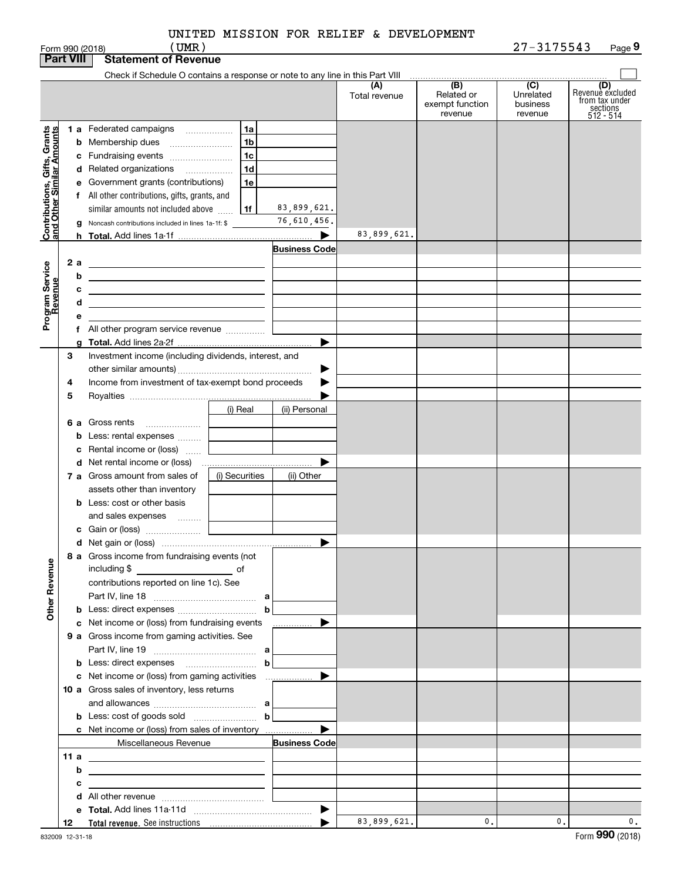|       |  |  | UNITED MISSION FOR RELIEF & DEVELOPMENT |
|-------|--|--|-----------------------------------------|
| (UMR) |  |  |                                         |

Form 990 (2018) ( **UMR** ) 2 7-3 1 7 5 5 4 3 Page **9**

|                                                                                         | <b>Part VIII</b>        | <b>Statement of Revenue</b>                                                                                                                                                                                                                                                                                                                                                                                                                                                                                                                                                                                                              |                                                         |               |                                                 |                                         |                                                                    |
|-----------------------------------------------------------------------------------------|-------------------------|------------------------------------------------------------------------------------------------------------------------------------------------------------------------------------------------------------------------------------------------------------------------------------------------------------------------------------------------------------------------------------------------------------------------------------------------------------------------------------------------------------------------------------------------------------------------------------------------------------------------------------------|---------------------------------------------------------|---------------|-------------------------------------------------|-----------------------------------------|--------------------------------------------------------------------|
|                                                                                         |                         | Check if Schedule O contains a response or note to any line in this Part VIII                                                                                                                                                                                                                                                                                                                                                                                                                                                                                                                                                            |                                                         |               |                                                 |                                         |                                                                    |
|                                                                                         |                         |                                                                                                                                                                                                                                                                                                                                                                                                                                                                                                                                                                                                                                          |                                                         | Total revenue | (B)<br>Related or<br>exempt function<br>revenue | (C)<br>Unrelated<br>business<br>revenue | (D)<br>Revenuè excluded<br>from tax under<br>sections<br>512 - 514 |
| Contributions, Gifts, Grants<br>and Other Similar Amounts<br>Program Service<br>Revenue | 2 a<br>b<br>с<br>d<br>е | 1a<br><b>1 a</b> Federated campaigns<br>1 <sub>b</sub><br><b>b</b> Membership dues<br>1 <sub>c</sub><br>c Fundraising events<br>1 <sub>d</sub><br>d Related organizations<br>e Government grants (contributions)<br>1e<br>f All other contributions, gifts, grants, and<br>similar amounts not included above<br>1f<br><b>g</b> Noncash contributions included in lines 1a-1f: \$<br><u> 1989 - Johann Stein, mars et al. 1989 - Anna ann an t-Anna ann an t-Anna ann an t-Anna ann an t-Anna ann an t-</u><br><u> 1989 - Johann Barn, amerikansk politiker (</u><br><u> 1989 - Johann Stein, mars an deus Amerikaansk kommunister (</u> | 83,899,621.<br>76,610,456.<br>▶<br><b>Business Code</b> | 83,899,621.   |                                                 |                                         |                                                                    |
|                                                                                         |                         | f All other program service revenue                                                                                                                                                                                                                                                                                                                                                                                                                                                                                                                                                                                                      |                                                         |               |                                                 |                                         |                                                                    |
|                                                                                         | З<br>4<br>5             | Investment income (including dividends, interest, and<br>Income from investment of tax-exempt bond proceeds                                                                                                                                                                                                                                                                                                                                                                                                                                                                                                                              | ▶                                                       |               |                                                 |                                         |                                                                    |
|                                                                                         |                         | (i) Real<br>6 a Gross rents<br><b>b</b> Less: rental expenses<br>c Rental income or (loss)                                                                                                                                                                                                                                                                                                                                                                                                                                                                                                                                               | (ii) Personal<br>▶                                      |               |                                                 |                                         |                                                                    |
|                                                                                         |                         | 7 a Gross amount from sales of<br>(i) Securities<br>assets other than inventory<br><b>b</b> Less: cost or other basis<br>and sales expenses                                                                                                                                                                                                                                                                                                                                                                                                                                                                                              | (ii) Other                                              |               |                                                 |                                         |                                                                    |
|                                                                                         |                         |                                                                                                                                                                                                                                                                                                                                                                                                                                                                                                                                                                                                                                          | ▶                                                       |               |                                                 |                                         |                                                                    |
| <b>Other Revenue</b>                                                                    |                         | 8 a Gross income from fundraising events (not<br>including \$<br>$\overline{\phantom{a}}$ of<br>contributions reported on line 1c). See                                                                                                                                                                                                                                                                                                                                                                                                                                                                                                  |                                                         |               |                                                 |                                         |                                                                    |
|                                                                                         |                         | c Net income or (loss) from fundraising events<br>9 a Gross income from gaming activities. See                                                                                                                                                                                                                                                                                                                                                                                                                                                                                                                                           | <u></u> ▶                                               |               |                                                 |                                         |                                                                    |
|                                                                                         |                         | b                                                                                                                                                                                                                                                                                                                                                                                                                                                                                                                                                                                                                                        |                                                         |               |                                                 |                                         |                                                                    |
|                                                                                         |                         | 10 a Gross sales of inventory, less returns                                                                                                                                                                                                                                                                                                                                                                                                                                                                                                                                                                                              | ▶                                                       |               |                                                 |                                         |                                                                    |
|                                                                                         |                         | Miscellaneous Revenue                                                                                                                                                                                                                                                                                                                                                                                                                                                                                                                                                                                                                    | <b>Business Code</b>                                    |               |                                                 |                                         |                                                                    |
|                                                                                         |                         | 11 a $\frac{1}{2}$ a $\frac{1}{2}$ and $\frac{1}{2}$ and $\frac{1}{2}$ and $\frac{1}{2}$ and $\frac{1}{2}$ and $\frac{1}{2}$ and $\frac{1}{2}$ and $\frac{1}{2}$ and $\frac{1}{2}$ and $\frac{1}{2}$ and $\frac{1}{2}$ and $\frac{1}{2}$ and $\frac{1}{2}$ and $\frac{1}{2}$ and $\frac{1}{2}$                                                                                                                                                                                                                                                                                                                                           |                                                         |               |                                                 |                                         |                                                                    |
|                                                                                         | b                       | the control of the control of the control of the control of the control of the control of                                                                                                                                                                                                                                                                                                                                                                                                                                                                                                                                                |                                                         |               |                                                 |                                         |                                                                    |
|                                                                                         | с                       | <u> 1989 - Johann Barn, mars et al. (b. 1989)</u>                                                                                                                                                                                                                                                                                                                                                                                                                                                                                                                                                                                        |                                                         |               |                                                 |                                         |                                                                    |
|                                                                                         |                         |                                                                                                                                                                                                                                                                                                                                                                                                                                                                                                                                                                                                                                          |                                                         |               |                                                 |                                         |                                                                    |
|                                                                                         |                         |                                                                                                                                                                                                                                                                                                                                                                                                                                                                                                                                                                                                                                          |                                                         |               |                                                 |                                         |                                                                    |
|                                                                                         | 12                      |                                                                                                                                                                                                                                                                                                                                                                                                                                                                                                                                                                                                                                          |                                                         | 83,899,621.   | 0.                                              | 0.1                                     | 0.                                                                 |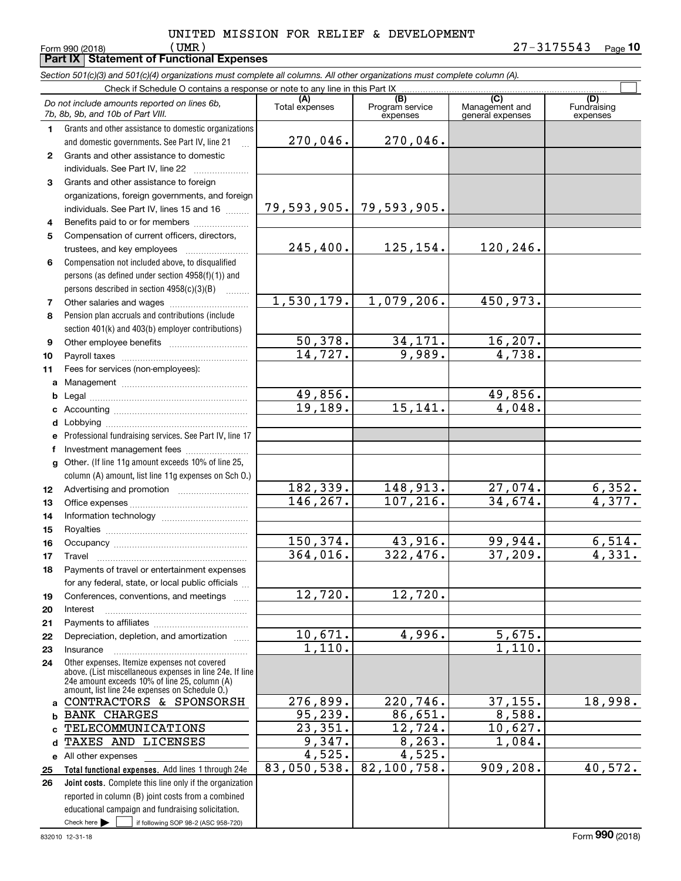**Part IX Statement of Functional Expenses**

|              | Section 501(c)(3) and 501(c)(4) organizations must complete all columns. All other organizations must complete column (A).                                                                                  |                       |                                    |                                                      |                                |
|--------------|-------------------------------------------------------------------------------------------------------------------------------------------------------------------------------------------------------------|-----------------------|------------------------------------|------------------------------------------------------|--------------------------------|
|              | Check if Schedule O contains a response or note to any line in this Part IX                                                                                                                                 |                       |                                    |                                                      |                                |
|              | Do not include amounts reported on lines 6b,<br>7b, 8b, 9b, and 10b of Part VIII.                                                                                                                           | (A)<br>Total expenses | (B)<br>Program service<br>expenses | $\overline{C}$<br>Management and<br>general expenses | (D)<br>Fundraising<br>expenses |
| 1.           | Grants and other assistance to domestic organizations                                                                                                                                                       |                       |                                    |                                                      |                                |
|              | and domestic governments. See Part IV, line 21                                                                                                                                                              | 270,046.              | 270,046.                           |                                                      |                                |
| $\mathbf{2}$ | Grants and other assistance to domestic                                                                                                                                                                     |                       |                                    |                                                      |                                |
|              | individuals. See Part IV, line 22                                                                                                                                                                           |                       |                                    |                                                      |                                |
| 3            | Grants and other assistance to foreign                                                                                                                                                                      |                       |                                    |                                                      |                                |
|              | organizations, foreign governments, and foreign                                                                                                                                                             |                       |                                    |                                                      |                                |
|              | individuals. See Part IV, lines 15 and 16                                                                                                                                                                   |                       | 79,593,905. 79,593,905.            |                                                      |                                |
| 4            | Benefits paid to or for members                                                                                                                                                                             |                       |                                    |                                                      |                                |
| 5            | Compensation of current officers, directors,                                                                                                                                                                |                       |                                    |                                                      |                                |
|              | trustees, and key employees                                                                                                                                                                                 | 245,400.              | 125,154.                           | 120,246.                                             |                                |
| 6            | Compensation not included above, to disqualified                                                                                                                                                            |                       |                                    |                                                      |                                |
|              | persons (as defined under section 4958(f)(1)) and                                                                                                                                                           |                       |                                    |                                                      |                                |
|              | persons described in section 4958(c)(3)(B)                                                                                                                                                                  |                       |                                    |                                                      |                                |
| 7            |                                                                                                                                                                                                             | 1,530,179.            | 1,079,206.                         | 450,973.                                             |                                |
| 8            | Pension plan accruals and contributions (include                                                                                                                                                            |                       |                                    |                                                      |                                |
|              | section 401(k) and 403(b) employer contributions)                                                                                                                                                           |                       |                                    |                                                      |                                |
| 9            |                                                                                                                                                                                                             | 50,378.               | 34,171.                            | 16, 207.                                             |                                |
| 10           |                                                                                                                                                                                                             | 14,727.               | 9,989.                             | 4,738.                                               |                                |
| 11           | Fees for services (non-employees):                                                                                                                                                                          |                       |                                    |                                                      |                                |
| a            |                                                                                                                                                                                                             |                       |                                    |                                                      |                                |
| b            |                                                                                                                                                                                                             | 49,856.               |                                    | 49,856.                                              |                                |
| с            |                                                                                                                                                                                                             | 19, 189.              | 15, 141.                           | 4,048.                                               |                                |
| d            | Lobbying                                                                                                                                                                                                    |                       |                                    |                                                      |                                |
|              | Professional fundraising services. See Part IV, line 17                                                                                                                                                     |                       |                                    |                                                      |                                |
|              | Investment management fees                                                                                                                                                                                  |                       |                                    |                                                      |                                |
| g            | Other. (If line 11g amount exceeds 10% of line 25,                                                                                                                                                          |                       |                                    |                                                      |                                |
|              | column (A) amount, list line 11g expenses on Sch O.)                                                                                                                                                        |                       |                                    |                                                      |                                |
| 12           |                                                                                                                                                                                                             | 182,339.              | 148,913.                           | 27,074.                                              | 6,352.                         |
| 13           |                                                                                                                                                                                                             | 146, 267.             | 107, 216.                          | 34,674.                                              | $\overline{4,377}$ .           |
| 14           |                                                                                                                                                                                                             |                       |                                    |                                                      |                                |
| 15           |                                                                                                                                                                                                             |                       |                                    |                                                      |                                |
| 16           |                                                                                                                                                                                                             | 150,374.              | 43,916.                            | 99,944.                                              | 6,514.                         |
| 17           |                                                                                                                                                                                                             | 364,016.              | 322,476.                           | 37,209.                                              | 4,331.                         |
| 18           | Payments of travel or entertainment expenses                                                                                                                                                                |                       |                                    |                                                      |                                |
|              | for any federal, state, or local public officials                                                                                                                                                           |                       |                                    |                                                      |                                |
| 19           | Conferences, conventions, and meetings                                                                                                                                                                      | 12,720.               | 12,720.                            |                                                      |                                |
| 20           | Interest                                                                                                                                                                                                    |                       |                                    |                                                      |                                |
| 21           |                                                                                                                                                                                                             |                       |                                    |                                                      |                                |
| 22           | Depreciation, depletion, and amortization                                                                                                                                                                   | 10,671.               | 4,996.                             | 5,675.                                               |                                |
| 23           | Insurance                                                                                                                                                                                                   | 1,110.                |                                    | 1,110.                                               |                                |
| 24           | Other expenses. Itemize expenses not covered<br>above. (List miscellaneous expenses in line 24e. If line<br>24e amount exceeds 10% of line 25, column (A)<br>amount, list line 24e expenses on Schedule O.) |                       |                                    |                                                      |                                |
| a            | CONTRACTORS & SPONSORSH                                                                                                                                                                                     | 276,899.              | 220, 746.                          | 37, 155.                                             | 18,998.                        |
| b            | <b>BANK CHARGES</b>                                                                                                                                                                                         | 95, 239.              | 86,651.                            | 8,588.                                               |                                |
|              | TELECOMMUNICATIONS                                                                                                                                                                                          | 23,351.               | 12,724.                            | 10,627.                                              |                                |
|              | TAXES AND LICENSES                                                                                                                                                                                          | 9,347.                | 8, 263.                            | 1,084.                                               |                                |
|              | e All other expenses                                                                                                                                                                                        | 4,525.                | 4,525.                             |                                                      |                                |
| 25           | Total functional expenses. Add lines 1 through 24e                                                                                                                                                          | 83,050,538.           | 82,100,758.                        | 909, 208.                                            | 40,572.                        |

Check here  $\bullet$  if following SOP 98-2 (ASC 958-720) **Joint costs.** Complete this line only if the organization **25 26**reported in column (B) joint costs from a combined educational campaign and fundraising solicitation. Check here  $\blacktriangleright$ 

 $\frac{1}{1}$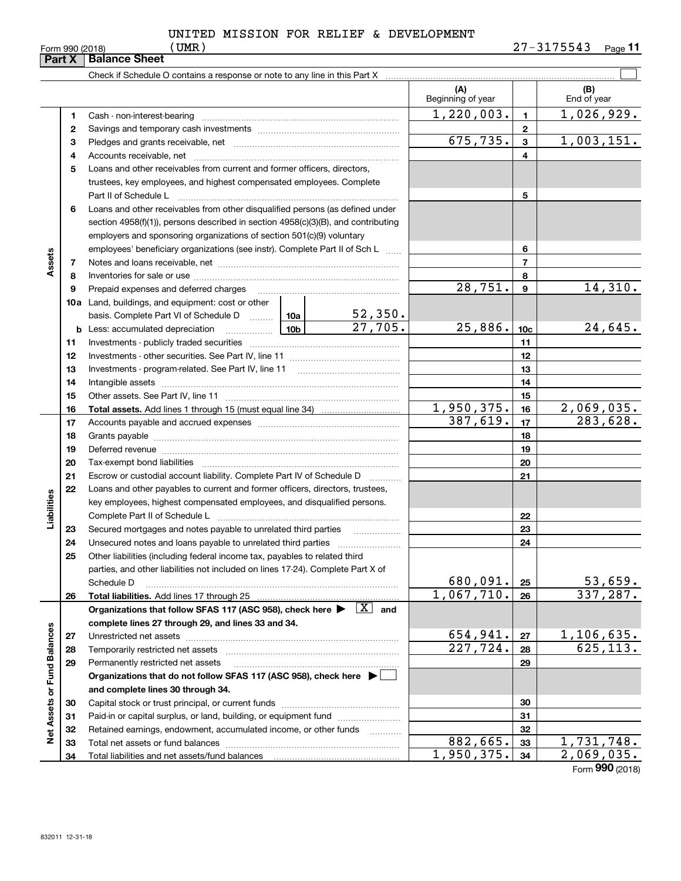|  |  |  | UNITED MISSION FOR RELIEF & DEVELOPMENT |
|--|--|--|-----------------------------------------|
|  |  |  |                                         |

|                             | Part X | <b>Balance Sheet</b>                                                                                                                                                                                                           |                 |                         |                          |                 |                    |
|-----------------------------|--------|--------------------------------------------------------------------------------------------------------------------------------------------------------------------------------------------------------------------------------|-----------------|-------------------------|--------------------------|-----------------|--------------------|
|                             |        | Check if Schedule O contains a response or note to any line in this Part X [11] Check if Schedule O contains a response or note to any line in this Part X                                                                     |                 |                         |                          |                 |                    |
|                             |        |                                                                                                                                                                                                                                |                 |                         | (A)<br>Beginning of year |                 | (B)<br>End of year |
|                             | 1      |                                                                                                                                                                                                                                |                 |                         | 1,220,003.               | $\mathbf{1}$    | 1,026,929.         |
|                             | 2      |                                                                                                                                                                                                                                |                 |                         | $\overline{2}$           |                 |                    |
|                             | з      |                                                                                                                                                                                                                                |                 | 675, 735.               | $\overline{\mathbf{3}}$  | 1,003,151.      |                    |
|                             | 4      |                                                                                                                                                                                                                                |                 | 4                       |                          |                 |                    |
|                             | 5      | Loans and other receivables from current and former officers, directors,                                                                                                                                                       |                 |                         |                          |                 |                    |
|                             |        | trustees, key employees, and highest compensated employees. Complete                                                                                                                                                           |                 |                         |                          |                 |                    |
|                             |        |                                                                                                                                                                                                                                |                 |                         |                          | 5               |                    |
|                             | 6      | Loans and other receivables from other disqualified persons (as defined under                                                                                                                                                  |                 |                         |                          |                 |                    |
|                             |        | section $4958(f)(1)$ , persons described in section $4958(c)(3)(B)$ , and contributing                                                                                                                                         |                 |                         |                          |                 |                    |
|                             |        | employers and sponsoring organizations of section 501(c)(9) voluntary                                                                                                                                                          |                 |                         |                          |                 |                    |
|                             |        | employees' beneficiary organizations (see instr). Complete Part II of Sch L                                                                                                                                                    |                 |                         | 6                        |                 |                    |
| Assets                      | 7      |                                                                                                                                                                                                                                |                 |                         | $\overline{7}$           |                 |                    |
|                             | 8      |                                                                                                                                                                                                                                |                 |                         |                          | 8               |                    |
|                             | 9      | Prepaid expenses and deferred charges                                                                                                                                                                                          |                 |                         | 28,751.                  | $\mathbf{9}$    | 14,310.            |
|                             |        | <b>10a</b> Land, buildings, and equipment: cost or other                                                                                                                                                                       |                 |                         |                          |                 |                    |
|                             |        | basis. Complete Part VI of Schedule D  10a                                                                                                                                                                                     |                 | $\frac{52,350}{27,705}$ |                          |                 |                    |
|                             |        | <b>b</b> Less: accumulated depreciation                                                                                                                                                                                        | 10 <sub>b</sub> |                         | 25,886.                  | 10 <sub>c</sub> | 24,645.            |
|                             | 11     |                                                                                                                                                                                                                                |                 |                         |                          | 11              |                    |
|                             | 12     |                                                                                                                                                                                                                                |                 |                         | 12                       |                 |                    |
|                             | 13     |                                                                                                                                                                                                                                |                 |                         | 13                       |                 |                    |
|                             | 14     |                                                                                                                                                                                                                                |                 |                         | 14                       |                 |                    |
|                             | 15     |                                                                                                                                                                                                                                |                 |                         | 15                       |                 |                    |
|                             | 16     |                                                                                                                                                                                                                                |                 | 1,950,375.              | 16                       | 2,069,035.      |                    |
|                             | 17     |                                                                                                                                                                                                                                |                 |                         | 387,619.                 | 17              | 283,628.           |
|                             | 18     |                                                                                                                                                                                                                                |                 |                         |                          | 18              |                    |
|                             | 19     | Deferred revenue manual contracts and contracts are contracted and contract and contract are contracted and contract are contracted and contract are contracted and contract are contracted and contract are contracted and co |                 |                         |                          | 19              |                    |
|                             | 20     |                                                                                                                                                                                                                                |                 |                         |                          | 20              |                    |
|                             | 21     | Escrow or custodial account liability. Complete Part IV of Schedule D                                                                                                                                                          |                 |                         |                          | 21              |                    |
|                             | 22     | Loans and other payables to current and former officers, directors, trustees,                                                                                                                                                  |                 |                         |                          |                 |                    |
| Liabilities                 |        | key employees, highest compensated employees, and disqualified persons.                                                                                                                                                        |                 |                         |                          |                 |                    |
|                             | 23     |                                                                                                                                                                                                                                |                 |                         |                          | 22<br>23        |                    |
|                             | 24     | Secured mortgages and notes payable to unrelated third parties                                                                                                                                                                 |                 | .                       |                          | 24              |                    |
|                             | 25     | Other liabilities (including federal income tax, payables to related third                                                                                                                                                     |                 |                         |                          |                 |                    |
|                             |        | parties, and other liabilities not included on lines 17-24). Complete Part X of                                                                                                                                                |                 |                         |                          |                 |                    |
|                             |        | Schedule D                                                                                                                                                                                                                     |                 |                         | 680,091.                 | 25              | 53,659.            |
|                             | 26     | Total liabilities. Add lines 17 through 25                                                                                                                                                                                     |                 |                         | 1,067,710.               | 26              | 337,287.           |
|                             |        | Organizations that follow SFAS 117 (ASC 958), check here >                                                                                                                                                                     |                 | $\overline{X}$ and      |                          |                 |                    |
|                             |        | complete lines 27 through 29, and lines 33 and 34.                                                                                                                                                                             |                 |                         |                          |                 |                    |
|                             | 27     |                                                                                                                                                                                                                                |                 |                         | 654,941.                 | 27              | 1,106,635.         |
|                             | 28     | Temporarily restricted net assets                                                                                                                                                                                              |                 |                         | 227,724.                 | 28              | 625, 113.          |
|                             | 29     | Permanently restricted net assets                                                                                                                                                                                              |                 |                         |                          | 29              |                    |
|                             |        | Organizations that do not follow SFAS 117 (ASC 958), check here ▶ □                                                                                                                                                            |                 |                         |                          |                 |                    |
|                             |        | and complete lines 30 through 34.                                                                                                                                                                                              |                 |                         |                          |                 |                    |
| Net Assets or Fund Balances | 30     |                                                                                                                                                                                                                                |                 |                         |                          | 30              |                    |
|                             | 31     | Paid-in or capital surplus, or land, building, or equipment fund                                                                                                                                                               |                 |                         |                          | 31              |                    |
|                             | 32     | Retained earnings, endowment, accumulated income, or other funds                                                                                                                                                               |                 | .                       |                          | 32              |                    |
|                             | 33     | Total net assets or fund balances                                                                                                                                                                                              |                 |                         | 882, 665.                | 33              | 1,731,748.         |
|                             | 34     |                                                                                                                                                                                                                                |                 |                         | 1,950,375.               | 34              | 2,069,035.         |
|                             |        |                                                                                                                                                                                                                                |                 |                         |                          |                 | Form 990 (2018)    |

Form $(2010)$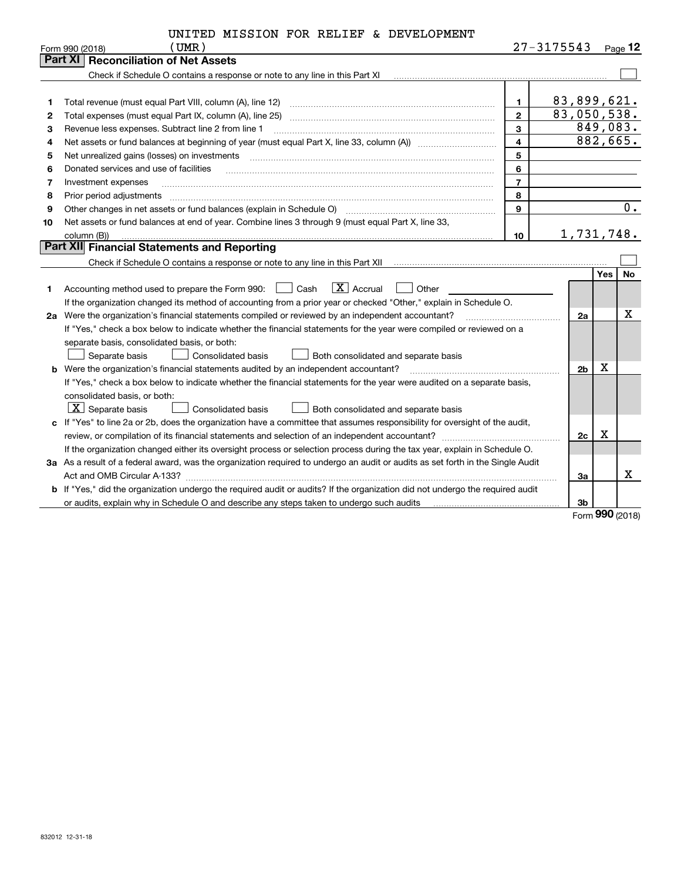| UNITED MISSION FOR RELIEF & DEVELOPMENT |
|-----------------------------------------|

|    | (UMR)<br>Form 990 (2018)                                                                                                        |                | $27 - 3175543$ |     | $Page$ 12 |
|----|---------------------------------------------------------------------------------------------------------------------------------|----------------|----------------|-----|-----------|
|    | <b>Part XI   Reconciliation of Net Assets</b>                                                                                   |                |                |     |           |
|    | Check if Schedule O contains a response or note to any line in this Part XI                                                     |                |                |     |           |
|    |                                                                                                                                 |                |                |     |           |
|    | Total revenue (must equal Part VIII, column (A), line 12)                                                                       | $\mathbf{1}$   | 83,899,621.    |     |           |
| 2  |                                                                                                                                 | $\mathbf{2}$   | 83,050,538.    |     |           |
| З  | Revenue less expenses. Subtract line 2 from line 1                                                                              | 3              |                |     | 849,083.  |
| 4  | Net assets or fund balances at beginning of year (must equal Part X, line 33, column (A))                                       | 4              |                |     | 882,665.  |
| 5  | Net unrealized gains (losses) on investments                                                                                    | 5              |                |     |           |
| 6  | Donated services and use of facilities                                                                                          | 6              |                |     |           |
| 7  | Investment expenses                                                                                                             | $\overline{7}$ |                |     |           |
| 8  | Prior period adjustments                                                                                                        | 8              |                |     |           |
| 9  |                                                                                                                                 | 9              |                |     | 0.        |
| 10 | Net assets or fund balances at end of year. Combine lines 3 through 9 (must equal Part X, line 33,                              |                |                |     |           |
|    | column (B))                                                                                                                     | 10             | 1,731,748.     |     |           |
|    | Part XII Financial Statements and Reporting                                                                                     |                |                |     |           |
|    |                                                                                                                                 |                |                |     |           |
|    |                                                                                                                                 |                |                | Yes | No        |
| 1  | $\boxed{\mathbf{X}}$ Accrual<br>Accounting method used to prepare the Form 990: <u>June</u> Cash<br>Other                       |                |                |     |           |
|    | If the organization changed its method of accounting from a prior year or checked "Other," explain in Schedule O.               |                |                |     |           |
|    | 2a Were the organization's financial statements compiled or reviewed by an independent accountant?                              |                | 2a             |     | х         |
|    | If "Yes," check a box below to indicate whether the financial statements for the year were compiled or reviewed on a            |                |                |     |           |
|    | separate basis, consolidated basis, or both:                                                                                    |                |                |     |           |
|    | Separate basis<br><b>Consolidated basis</b><br>Both consolidated and separate basis                                             |                |                |     |           |
|    | <b>b</b> Were the organization's financial statements audited by an independent accountant?                                     |                | 2 <sub>b</sub> | Х   |           |
|    | If "Yes," check a box below to indicate whether the financial statements for the year were audited on a separate basis,         |                |                |     |           |
|    | consolidated basis, or both:                                                                                                    |                |                |     |           |
|    | $X$ Separate basis<br>Consolidated basis<br>Both consolidated and separate basis                                                |                |                |     |           |
|    | c If "Yes" to line 2a or 2b, does the organization have a committee that assumes responsibility for oversight of the audit,     |                |                |     |           |
|    |                                                                                                                                 |                | 2c             | х   |           |
|    | If the organization changed either its oversight process or selection process during the tax year, explain in Schedule O.       |                |                |     |           |
|    | 3a As a result of a federal award, was the organization required to undergo an audit or audits as set forth in the Single Audit |                |                |     |           |
|    |                                                                                                                                 |                | За             |     | х         |
|    | b If "Yes," did the organization undergo the required audit or audits? If the organization did not undergo the required audit   |                |                |     |           |
|    | or audits, explain why in Schedule O and describe any steps taken to undergo such audits                                        |                | 3b             |     |           |

Form (2018) **990**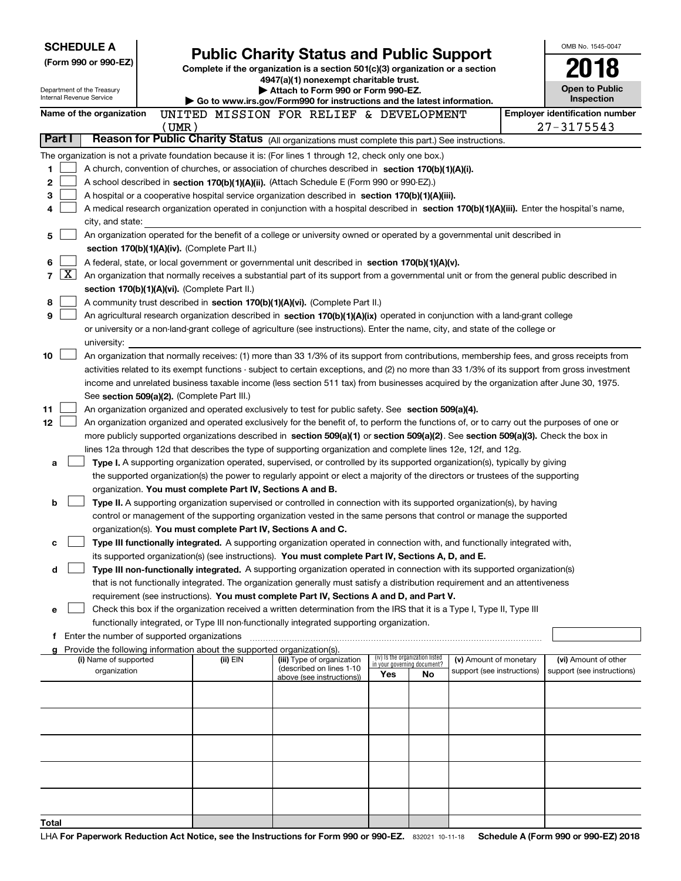|                            | <b>SCHEDULE A</b><br><b>Public Charity Status and Public Support</b> |             |                                                                                                                                                                                                                                                           |                                                                                                                               | OMB No. 1545-0047 |                                   |                            |  |                                                                                                                                               |
|----------------------------|----------------------------------------------------------------------|-------------|-----------------------------------------------------------------------------------------------------------------------------------------------------------------------------------------------------------------------------------------------------------|-------------------------------------------------------------------------------------------------------------------------------|-------------------|-----------------------------------|----------------------------|--|-----------------------------------------------------------------------------------------------------------------------------------------------|
| (Form 990 or 990-EZ)       |                                                                      |             | Complete if the organization is a section 501(c)(3) organization or a section                                                                                                                                                                             |                                                                                                                               |                   |                                   |                            |  |                                                                                                                                               |
|                            |                                                                      |             |                                                                                                                                                                                                                                                           | 4947(a)(1) nonexempt charitable trust.                                                                                        |                   |                                   |                            |  | Open to Public                                                                                                                                |
| Internal Revenue Service   | Department of the Treasury                                           |             |                                                                                                                                                                                                                                                           | Attach to Form 990 or Form 990-EZ.<br>$\triangleright$ Go to www.irs.gov/Form990 for instructions and the latest information. |                   |                                   |                            |  |                                                                                                                                               |
|                            | Name of the organization                                             |             | UNITED MISSION FOR RELIEF & DEVELOPMENT                                                                                                                                                                                                                   |                                                                                                                               |                   |                                   |                            |  | Inspection<br><b>Employer identification number</b>                                                                                           |
|                            |                                                                      | $($ UMR $)$ |                                                                                                                                                                                                                                                           |                                                                                                                               |                   |                                   |                            |  | 27-3175543                                                                                                                                    |
| Part I                     |                                                                      |             | Reason for Public Charity Status (All organizations must complete this part.) See instructions.                                                                                                                                                           |                                                                                                                               |                   |                                   |                            |  |                                                                                                                                               |
|                            |                                                                      |             | The organization is not a private foundation because it is: (For lines 1 through 12, check only one box.)                                                                                                                                                 |                                                                                                                               |                   |                                   |                            |  |                                                                                                                                               |
| 1                          |                                                                      |             | A church, convention of churches, or association of churches described in section 170(b)(1)(A)(i).                                                                                                                                                        |                                                                                                                               |                   |                                   |                            |  |                                                                                                                                               |
| 2                          |                                                                      |             | A school described in section 170(b)(1)(A)(ii). (Attach Schedule E (Form 990 or 990-EZ).)                                                                                                                                                                 |                                                                                                                               |                   |                                   |                            |  |                                                                                                                                               |
| 3                          |                                                                      |             | A hospital or a cooperative hospital service organization described in section $170(b)(1)(A)(iii)$ .                                                                                                                                                      |                                                                                                                               |                   |                                   |                            |  |                                                                                                                                               |
| 4                          |                                                                      |             | A medical research organization operated in conjunction with a hospital described in section 170(b)(1)(A)(iii). Enter the hospital's name,                                                                                                                |                                                                                                                               |                   |                                   |                            |  |                                                                                                                                               |
| 5                          | city, and state:                                                     |             | An organization operated for the benefit of a college or university owned or operated by a governmental unit described in                                                                                                                                 |                                                                                                                               |                   |                                   |                            |  |                                                                                                                                               |
|                            |                                                                      |             | section 170(b)(1)(A)(iv). (Complete Part II.)                                                                                                                                                                                                             |                                                                                                                               |                   |                                   |                            |  |                                                                                                                                               |
| 6                          |                                                                      |             | A federal, state, or local government or governmental unit described in section 170(b)(1)(A)(v).                                                                                                                                                          |                                                                                                                               |                   |                                   |                            |  |                                                                                                                                               |
| <u>x</u><br>$\overline{7}$ |                                                                      |             | An organization that normally receives a substantial part of its support from a governmental unit or from the general public described in                                                                                                                 |                                                                                                                               |                   |                                   |                            |  |                                                                                                                                               |
|                            |                                                                      |             | section 170(b)(1)(A)(vi). (Complete Part II.)                                                                                                                                                                                                             |                                                                                                                               |                   |                                   |                            |  |                                                                                                                                               |
| 8                          |                                                                      |             | A community trust described in section 170(b)(1)(A)(vi). (Complete Part II.)                                                                                                                                                                              |                                                                                                                               |                   |                                   |                            |  |                                                                                                                                               |
| 9                          |                                                                      |             | An agricultural research organization described in section 170(b)(1)(A)(ix) operated in conjunction with a land-grant college                                                                                                                             |                                                                                                                               |                   |                                   |                            |  |                                                                                                                                               |
|                            |                                                                      |             | or university or a non-land-grant college of agriculture (see instructions). Enter the name, city, and state of the college or                                                                                                                            |                                                                                                                               |                   |                                   |                            |  |                                                                                                                                               |
| 10                         | university:                                                          |             |                                                                                                                                                                                                                                                           |                                                                                                                               |                   |                                   |                            |  | An organization that normally receives: (1) more than 33 1/3% of its support from contributions, membership fees, and gross receipts from     |
|                            |                                                                      |             |                                                                                                                                                                                                                                                           |                                                                                                                               |                   |                                   |                            |  | activities related to its exempt functions - subject to certain exceptions, and (2) no more than 33 1/3% of its support from gross investment |
|                            |                                                                      |             | income and unrelated business taxable income (less section 511 tax) from businesses acquired by the organization after June 30, 1975.                                                                                                                     |                                                                                                                               |                   |                                   |                            |  |                                                                                                                                               |
|                            |                                                                      |             | See section 509(a)(2). (Complete Part III.)                                                                                                                                                                                                               |                                                                                                                               |                   |                                   |                            |  |                                                                                                                                               |
| 11                         |                                                                      |             | An organization organized and operated exclusively to test for public safety. See section 509(a)(4).                                                                                                                                                      |                                                                                                                               |                   |                                   |                            |  |                                                                                                                                               |
| 12                         |                                                                      |             | An organization organized and operated exclusively for the benefit of, to perform the functions of, or to carry out the purposes of one or                                                                                                                |                                                                                                                               |                   |                                   |                            |  |                                                                                                                                               |
|                            |                                                                      |             | more publicly supported organizations described in section 509(a)(1) or section 509(a)(2). See section 509(a)(3). Check the box in                                                                                                                        |                                                                                                                               |                   |                                   |                            |  |                                                                                                                                               |
| a                          |                                                                      |             | lines 12a through 12d that describes the type of supporting organization and complete lines 12e, 12f, and 12g.<br>Type I. A supporting organization operated, supervised, or controlled by its supported organization(s), typically by giving             |                                                                                                                               |                   |                                   |                            |  |                                                                                                                                               |
|                            |                                                                      |             | the supported organization(s) the power to regularly appoint or elect a majority of the directors or trustees of the supporting                                                                                                                           |                                                                                                                               |                   |                                   |                            |  |                                                                                                                                               |
|                            |                                                                      |             | organization. You must complete Part IV, Sections A and B.                                                                                                                                                                                                |                                                                                                                               |                   |                                   |                            |  |                                                                                                                                               |
| b                          |                                                                      |             | Type II. A supporting organization supervised or controlled in connection with its supported organization(s), by having                                                                                                                                   |                                                                                                                               |                   |                                   |                            |  |                                                                                                                                               |
|                            |                                                                      |             | control or management of the supporting organization vested in the same persons that control or manage the supported                                                                                                                                      |                                                                                                                               |                   |                                   |                            |  |                                                                                                                                               |
|                            |                                                                      |             | organization(s). You must complete Part IV, Sections A and C.                                                                                                                                                                                             |                                                                                                                               |                   |                                   |                            |  |                                                                                                                                               |
| с                          |                                                                      |             | Type III functionally integrated. A supporting organization operated in connection with, and functionally integrated with,                                                                                                                                |                                                                                                                               |                   |                                   |                            |  |                                                                                                                                               |
|                            |                                                                      |             | its supported organization(s) (see instructions). You must complete Part IV, Sections A, D, and E.                                                                                                                                                        |                                                                                                                               |                   |                                   |                            |  |                                                                                                                                               |
| d                          |                                                                      |             | Type III non-functionally integrated. A supporting organization operated in connection with its supported organization(s)<br>that is not functionally integrated. The organization generally must satisfy a distribution requirement and an attentiveness |                                                                                                                               |                   |                                   |                            |  |                                                                                                                                               |
|                            |                                                                      |             | requirement (see instructions). You must complete Part IV, Sections A and D, and Part V.                                                                                                                                                                  |                                                                                                                               |                   |                                   |                            |  |                                                                                                                                               |
| е                          |                                                                      |             | Check this box if the organization received a written determination from the IRS that it is a Type I, Type II, Type III                                                                                                                                   |                                                                                                                               |                   |                                   |                            |  |                                                                                                                                               |
|                            |                                                                      |             | functionally integrated, or Type III non-functionally integrated supporting organization.                                                                                                                                                                 |                                                                                                                               |                   |                                   |                            |  |                                                                                                                                               |
|                            | f Enter the number of supported organizations                        |             |                                                                                                                                                                                                                                                           |                                                                                                                               |                   |                                   |                            |  |                                                                                                                                               |
|                            | (i) Name of supported                                                |             | Provide the following information about the supported organization(s).<br>(ii) EIN                                                                                                                                                                        | (iii) Type of organization                                                                                                    |                   | (iv) Is the organization listed   | (v) Amount of monetary     |  | (vi) Amount of other                                                                                                                          |
|                            | organization                                                         |             |                                                                                                                                                                                                                                                           | (described on lines 1-10                                                                                                      | Yes               | in your governing document?<br>No | support (see instructions) |  | support (see instructions)                                                                                                                    |
|                            |                                                                      |             |                                                                                                                                                                                                                                                           | above (see instructions))                                                                                                     |                   |                                   |                            |  |                                                                                                                                               |
|                            |                                                                      |             |                                                                                                                                                                                                                                                           |                                                                                                                               |                   |                                   |                            |  |                                                                                                                                               |
|                            |                                                                      |             |                                                                                                                                                                                                                                                           |                                                                                                                               |                   |                                   |                            |  |                                                                                                                                               |
|                            |                                                                      |             |                                                                                                                                                                                                                                                           |                                                                                                                               |                   |                                   |                            |  |                                                                                                                                               |
|                            |                                                                      |             |                                                                                                                                                                                                                                                           |                                                                                                                               |                   |                                   |                            |  |                                                                                                                                               |
|                            |                                                                      |             |                                                                                                                                                                                                                                                           |                                                                                                                               |                   |                                   |                            |  |                                                                                                                                               |
|                            |                                                                      |             |                                                                                                                                                                                                                                                           |                                                                                                                               |                   |                                   |                            |  |                                                                                                                                               |
|                            |                                                                      |             |                                                                                                                                                                                                                                                           |                                                                                                                               |                   |                                   |                            |  |                                                                                                                                               |
|                            |                                                                      |             |                                                                                                                                                                                                                                                           |                                                                                                                               |                   |                                   |                            |  |                                                                                                                                               |
| Total                      |                                                                      |             |                                                                                                                                                                                                                                                           |                                                                                                                               |                   |                                   |                            |  |                                                                                                                                               |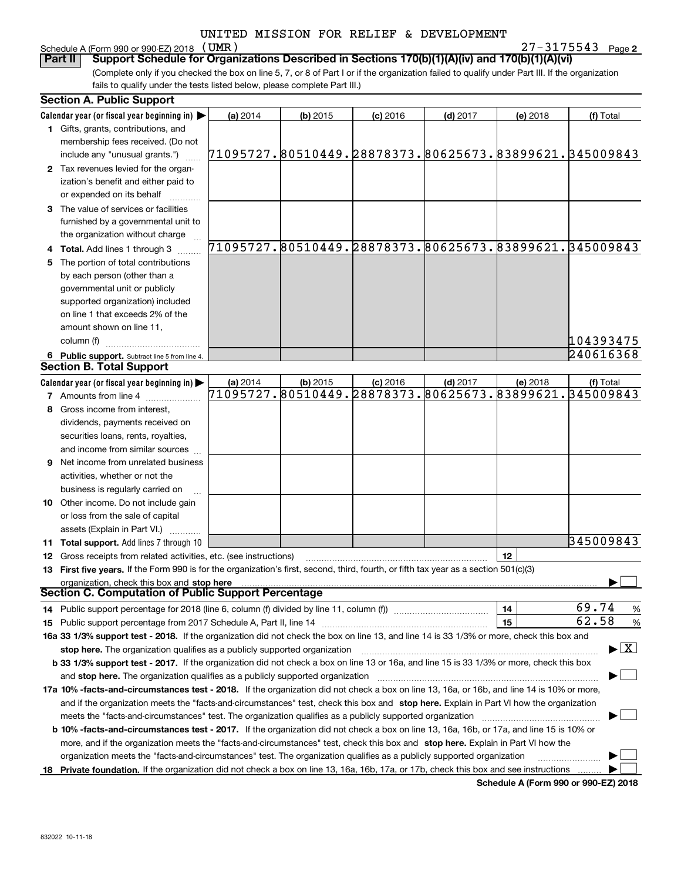# Schedule A (Form 990 or 990-EZ) 2018 (UMR)

**2** (UMR) 27-3175543

(Complete only if you checked the box on line 5, 7, or 8 of Part I or if the organization failed to qualify under Part III. If the organization fails to qualify under the tests listed below, please complete Part III.) **Part II** | Support Schedule for Organizations Described in Sections 170(b)(1)(A)(iv) and 170(b)(1)(A)(vi)

|    | <b>Section A. Public Support</b>                                                                                                               |                                                        |            |                                                        |            |          |                                                        |
|----|------------------------------------------------------------------------------------------------------------------------------------------------|--------------------------------------------------------|------------|--------------------------------------------------------|------------|----------|--------------------------------------------------------|
|    | Calendar year (or fiscal year beginning in) $\blacktriangleright$                                                                              | (a) 2014                                               | $(b)$ 2015 | $(c)$ 2016                                             | $(d)$ 2017 | (e) 2018 | (f) Total                                              |
|    | <b>1</b> Gifts, grants, contributions, and                                                                                                     |                                                        |            |                                                        |            |          |                                                        |
|    | membership fees received. (Do not                                                                                                              |                                                        |            |                                                        |            |          |                                                        |
|    | include any "unusual grants.")                                                                                                                 | 71095727.80510449.28878373.80625673.83899621.345009843 |            |                                                        |            |          |                                                        |
|    | 2 Tax revenues levied for the organ-                                                                                                           |                                                        |            |                                                        |            |          |                                                        |
|    | ization's benefit and either paid to                                                                                                           |                                                        |            |                                                        |            |          |                                                        |
|    | or expended on its behalf                                                                                                                      |                                                        |            |                                                        |            |          |                                                        |
|    | 3 The value of services or facilities                                                                                                          |                                                        |            |                                                        |            |          |                                                        |
|    | furnished by a governmental unit to                                                                                                            |                                                        |            |                                                        |            |          |                                                        |
|    | the organization without charge                                                                                                                |                                                        |            |                                                        |            |          |                                                        |
|    | 4 Total. Add lines 1 through 3                                                                                                                 |                                                        |            |                                                        |            |          | 71095727.80510449.28878373.80625673.83899621.345009843 |
| 5. | The portion of total contributions                                                                                                             |                                                        |            |                                                        |            |          |                                                        |
|    | by each person (other than a                                                                                                                   |                                                        |            |                                                        |            |          |                                                        |
|    | governmental unit or publicly                                                                                                                  |                                                        |            |                                                        |            |          |                                                        |
|    | supported organization) included                                                                                                               |                                                        |            |                                                        |            |          |                                                        |
|    | on line 1 that exceeds 2% of the                                                                                                               |                                                        |            |                                                        |            |          |                                                        |
|    | amount shown on line 11,                                                                                                                       |                                                        |            |                                                        |            |          |                                                        |
|    | column (f)                                                                                                                                     |                                                        |            |                                                        |            |          | 104393475                                              |
|    | 6 Public support. Subtract line 5 from line 4.                                                                                                 |                                                        |            |                                                        |            |          | 240616368                                              |
|    | <b>Section B. Total Support</b>                                                                                                                |                                                        |            |                                                        |            |          |                                                        |
|    | Calendar year (or fiscal year beginning in)                                                                                                    | (a) 2014                                               | $(b)$ 2015 | $(c)$ 2016                                             | $(d)$ 2017 | (e) 2018 | (f) Total                                              |
|    | <b>7</b> Amounts from line 4                                                                                                                   |                                                        |            | 71095727.80510449.28878373.80625673.83899621.345009843 |            |          |                                                        |
|    | 8 Gross income from interest,                                                                                                                  |                                                        |            |                                                        |            |          |                                                        |
|    | dividends, payments received on                                                                                                                |                                                        |            |                                                        |            |          |                                                        |
|    | securities loans, rents, royalties,                                                                                                            |                                                        |            |                                                        |            |          |                                                        |
|    | and income from similar sources                                                                                                                |                                                        |            |                                                        |            |          |                                                        |
|    | <b>9</b> Net income from unrelated business                                                                                                    |                                                        |            |                                                        |            |          |                                                        |
|    | activities, whether or not the                                                                                                                 |                                                        |            |                                                        |            |          |                                                        |
|    |                                                                                                                                                |                                                        |            |                                                        |            |          |                                                        |
|    | business is regularly carried on                                                                                                               |                                                        |            |                                                        |            |          |                                                        |
|    | <b>10</b> Other income. Do not include gain                                                                                                    |                                                        |            |                                                        |            |          |                                                        |
|    | or loss from the sale of capital                                                                                                               |                                                        |            |                                                        |            |          |                                                        |
|    | assets (Explain in Part VI.) <b>Constant</b>                                                                                                   |                                                        |            |                                                        |            |          | 345009843                                              |
|    | <b>11 Total support.</b> Add lines 7 through 10                                                                                                |                                                        |            |                                                        |            | 12       |                                                        |
|    | <b>12</b> Gross receipts from related activities, etc. (see instructions)                                                                      |                                                        |            |                                                        |            |          |                                                        |
|    | 13 First five years. If the Form 990 is for the organization's first, second, third, fourth, or fifth tax year as a section 501(c)(3)          |                                                        |            |                                                        |            |          |                                                        |
|    | organization, check this box and stop here<br>Section C. Computation of Public Support Percentage                                              |                                                        |            |                                                        |            |          |                                                        |
|    | 14 Public support percentage for 2018 (line 6, column (f) divided by line 11, column (f) <i>manumumumumum</i>                                  |                                                        |            |                                                        |            | 14       | 69.74<br>$\%$                                          |
|    |                                                                                                                                                |                                                        |            |                                                        |            | 15       | 62.58<br>%                                             |
|    | 16a 33 1/3% support test - 2018. If the organization did not check the box on line 13, and line 14 is 33 1/3% or more, check this box and      |                                                        |            |                                                        |            |          |                                                        |
|    | stop here. The organization qualifies as a publicly supported organization                                                                     |                                                        |            |                                                        |            |          | $\blacktriangleright$ $\boxed{\text{X}}$               |
|    |                                                                                                                                                |                                                        |            |                                                        |            |          |                                                        |
|    | b 33 1/3% support test - 2017. If the organization did not check a box on line 13 or 16a, and line 15 is 33 1/3% or more, check this box       |                                                        |            |                                                        |            |          |                                                        |
|    | and stop here. The organization qualifies as a publicly supported organization                                                                 |                                                        |            |                                                        |            |          |                                                        |
|    | 17a 10% -facts-and-circumstances test - 2018. If the organization did not check a box on line 13, 16a, or 16b, and line 14 is 10% or more,     |                                                        |            |                                                        |            |          |                                                        |
|    | and if the organization meets the "facts-and-circumstances" test, check this box and stop here. Explain in Part VI how the organization        |                                                        |            |                                                        |            |          |                                                        |
|    | meets the "facts-and-circumstances" test. The organization qualifies as a publicly supported organization                                      |                                                        |            |                                                        |            |          |                                                        |
|    | <b>b 10% -facts-and-circumstances test - 2017.</b> If the organization did not check a box on line 13, 16a, 16b, or 17a, and line 15 is 10% or |                                                        |            |                                                        |            |          |                                                        |
|    | more, and if the organization meets the "facts-and-circumstances" test, check this box and stop here. Explain in Part VI how the               |                                                        |            |                                                        |            |          |                                                        |
|    | organization meets the "facts-and-circumstances" test. The organization qualifies as a publicly supported organization                         |                                                        |            |                                                        |            |          |                                                        |
|    | 18 Private foundation. If the organization did not check a box on line 13, 16a, 16b, 17a, or 17b, check this box and see instructions          |                                                        |            |                                                        |            |          |                                                        |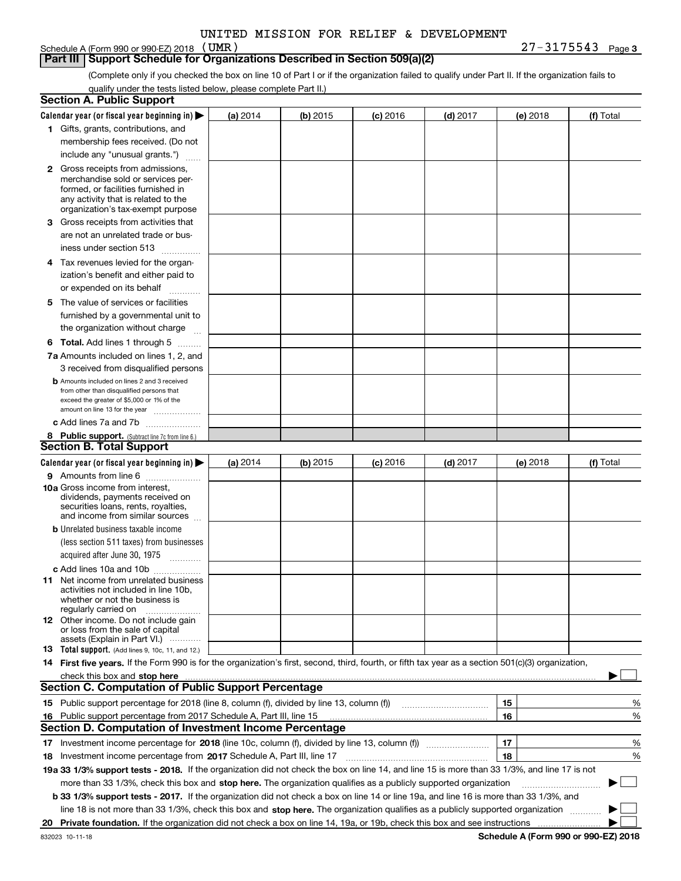# Schedule A (Form 990 or 990-EZ) 2018 (UMR)

#### **Part III Support Schedule for Organizations Described in Section 509(a)(2)**

**3** (UMR) 27-3175543

(Complete only if you checked the box on line 10 of Part I or if the organization failed to qualify under Part II. If the organization fails to qualify under the tests listed below, please complete Part II.)

|    | <b>Section A. Public Support</b>                                                                                                                                                                                               |          |          |                 |                                       |          |             |
|----|--------------------------------------------------------------------------------------------------------------------------------------------------------------------------------------------------------------------------------|----------|----------|-----------------|---------------------------------------|----------|-------------|
|    | Calendar year (or fiscal year beginning in) $\blacktriangleright$                                                                                                                                                              | (a) 2014 | (b) 2015 | <b>(c)</b> 2016 | $(d)$ 2017                            | (e) 2018 | (f) Total   |
|    | 1 Gifts, grants, contributions, and                                                                                                                                                                                            |          |          |                 |                                       |          |             |
|    | membership fees received. (Do not                                                                                                                                                                                              |          |          |                 |                                       |          |             |
|    | include any "unusual grants.")                                                                                                                                                                                                 |          |          |                 |                                       |          |             |
|    | <b>2</b> Gross receipts from admissions,                                                                                                                                                                                       |          |          |                 |                                       |          |             |
|    | merchandise sold or services per-                                                                                                                                                                                              |          |          |                 |                                       |          |             |
|    | formed, or facilities furnished in                                                                                                                                                                                             |          |          |                 |                                       |          |             |
|    | any activity that is related to the<br>organization's tax-exempt purpose                                                                                                                                                       |          |          |                 |                                       |          |             |
|    | 3 Gross receipts from activities that                                                                                                                                                                                          |          |          |                 |                                       |          |             |
|    | are not an unrelated trade or bus-                                                                                                                                                                                             |          |          |                 |                                       |          |             |
|    |                                                                                                                                                                                                                                |          |          |                 |                                       |          |             |
|    | iness under section 513                                                                                                                                                                                                        |          |          |                 |                                       |          |             |
|    | 4 Tax revenues levied for the organ-                                                                                                                                                                                           |          |          |                 |                                       |          |             |
|    | ization's benefit and either paid to                                                                                                                                                                                           |          |          |                 |                                       |          |             |
|    | or expended on its behalf<br>.                                                                                                                                                                                                 |          |          |                 |                                       |          |             |
|    | 5 The value of services or facilities                                                                                                                                                                                          |          |          |                 |                                       |          |             |
|    | furnished by a governmental unit to                                                                                                                                                                                            |          |          |                 |                                       |          |             |
|    | the organization without charge                                                                                                                                                                                                |          |          |                 |                                       |          |             |
|    | <b>6 Total.</b> Add lines 1 through 5                                                                                                                                                                                          |          |          |                 |                                       |          |             |
|    | 7a Amounts included on lines 1, 2, and                                                                                                                                                                                         |          |          |                 |                                       |          |             |
|    | 3 received from disqualified persons                                                                                                                                                                                           |          |          |                 |                                       |          |             |
|    | <b>b</b> Amounts included on lines 2 and 3 received                                                                                                                                                                            |          |          |                 |                                       |          |             |
|    | from other than disqualified persons that<br>exceed the greater of \$5,000 or 1% of the                                                                                                                                        |          |          |                 |                                       |          |             |
|    | amount on line 13 for the year                                                                                                                                                                                                 |          |          |                 |                                       |          |             |
|    | c Add lines 7a and 7b                                                                                                                                                                                                          |          |          |                 |                                       |          |             |
|    | 8 Public support. (Subtract line 7c from line 6.)                                                                                                                                                                              |          |          |                 |                                       |          |             |
|    | <b>Section B. Total Support</b>                                                                                                                                                                                                |          |          |                 |                                       |          |             |
|    | Calendar year (or fiscal year beginning in) $\blacktriangleright$                                                                                                                                                              | (a) 2014 | (b) 2015 | $(c)$ 2016      | $(d)$ 2017                            | (e) 2018 | (f) Total   |
|    | 9 Amounts from line 6                                                                                                                                                                                                          |          |          |                 |                                       |          |             |
|    | 10a Gross income from interest,                                                                                                                                                                                                |          |          |                 |                                       |          |             |
|    | dividends, payments received on                                                                                                                                                                                                |          |          |                 |                                       |          |             |
|    | securities loans, rents, royalties,<br>and income from similar sources                                                                                                                                                         |          |          |                 |                                       |          |             |
|    | <b>b</b> Unrelated business taxable income                                                                                                                                                                                     |          |          |                 |                                       |          |             |
|    | (less section 511 taxes) from businesses                                                                                                                                                                                       |          |          |                 |                                       |          |             |
|    | acquired after June 30, 1975                                                                                                                                                                                                   |          |          |                 |                                       |          |             |
|    |                                                                                                                                                                                                                                |          |          |                 |                                       |          |             |
|    | c Add lines 10a and 10b<br>11 Net income from unrelated business                                                                                                                                                               |          |          |                 |                                       |          |             |
|    | activities not included in line 10b.                                                                                                                                                                                           |          |          |                 |                                       |          |             |
|    | whether or not the business is                                                                                                                                                                                                 |          |          |                 |                                       |          |             |
|    | regularly carried on                                                                                                                                                                                                           |          |          |                 |                                       |          |             |
|    | 12 Other income. Do not include gain<br>or loss from the sale of capital                                                                                                                                                       |          |          |                 |                                       |          |             |
|    | assets (Explain in Part VI.)                                                                                                                                                                                                   |          |          |                 |                                       |          |             |
|    | <b>13</b> Total support. (Add lines 9, 10c, 11, and 12.)                                                                                                                                                                       |          |          |                 |                                       |          |             |
|    | 14 First five years. If the Form 990 is for the organization's first, second, third, fourth, or fifth tax year as a section 501(c)(3) organization,                                                                            |          |          |                 |                                       |          |             |
|    | check this box and stop here measurements are all the state of the state of the state of the state of the state of the state of the state of the state of the state of the state of the state of the state of the state of the |          |          |                 |                                       |          |             |
|    | <b>Section C. Computation of Public Support Percentage</b>                                                                                                                                                                     |          |          |                 |                                       |          |             |
|    | 15 Public support percentage for 2018 (line 8, column (f), divided by line 13, column (f))                                                                                                                                     |          |          |                 | <u> 1986 - Januar Start, martin a</u> | 15       | %           |
|    | 16 Public support percentage from 2017 Schedule A, Part III, line 15                                                                                                                                                           |          |          |                 |                                       | 16       | %           |
|    | <b>Section D. Computation of Investment Income Percentage</b>                                                                                                                                                                  |          |          |                 |                                       |          |             |
|    |                                                                                                                                                                                                                                |          |          |                 |                                       | 17       | %           |
|    | <b>18</b> Investment income percentage from <b>2017</b> Schedule A, Part III, line 17                                                                                                                                          |          |          |                 |                                       | 18       | %           |
|    | 19a 33 1/3% support tests - 2018. If the organization did not check the box on line 14, and line 15 is more than 33 1/3%, and line 17 is not                                                                                   |          |          |                 |                                       |          |             |
|    | more than 33 1/3%, check this box and stop here. The organization qualifies as a publicly supported organization                                                                                                               |          |          |                 |                                       |          | $\sim$<br>▶ |
|    | b 33 1/3% support tests - 2017. If the organization did not check a box on line 14 or line 19a, and line 16 is more than 33 1/3%, and                                                                                          |          |          |                 |                                       |          |             |
|    | line 18 is not more than 33 1/3%, check this box and stop here. The organization qualifies as a publicly supported organization                                                                                                |          |          |                 |                                       |          |             |
| 20 |                                                                                                                                                                                                                                |          |          |                 |                                       |          |             |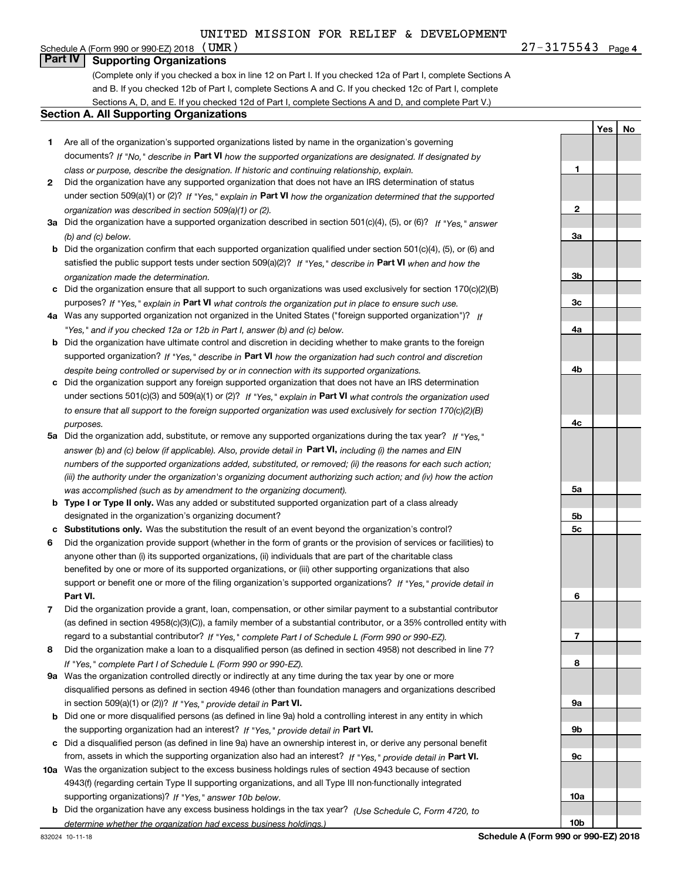### Schedule A (Form 990 or 990-EZ) 2018  $\langle$  UMR  $\rangle$ **Part IV Supporting Organizations**

(Complete only if you checked a box in line 12 on Part I. If you checked 12a of Part I, complete Sections A and B. If you checked 12b of Part I, complete Sections A and C. If you checked 12c of Part I, complete Sections A, D, and E. If you checked 12d of Part I, complete Sections A and D, and complete Part V.)

#### **Section A. All Supporting Organizations**

- **1** Are all of the organization's supported organizations listed by name in the organization's governing documents? If "No," describe in **Part VI** how the supported organizations are designated. If designated by *class or purpose, describe the designation. If historic and continuing relationship, explain.*
- **2** Did the organization have any supported organization that does not have an IRS determination of status under section 509(a)(1) or (2)? If "Yes," explain in Part VI how the organization determined that the supported *organization was described in section 509(a)(1) or (2).*
- **3a** Did the organization have a supported organization described in section 501(c)(4), (5), or (6)? If "Yes," answer *(b) and (c) below.*
- **b** Did the organization confirm that each supported organization qualified under section 501(c)(4), (5), or (6) and satisfied the public support tests under section 509(a)(2)? If "Yes," describe in **Part VI** when and how the *organization made the determination.*
- **c**Did the organization ensure that all support to such organizations was used exclusively for section 170(c)(2)(B) purposes? If "Yes," explain in **Part VI** what controls the organization put in place to ensure such use.
- **4a***If* Was any supported organization not organized in the United States ("foreign supported organization")? *"Yes," and if you checked 12a or 12b in Part I, answer (b) and (c) below.*
- **b** Did the organization have ultimate control and discretion in deciding whether to make grants to the foreign supported organization? If "Yes," describe in **Part VI** how the organization had such control and discretion *despite being controlled or supervised by or in connection with its supported organizations.*
- **c** Did the organization support any foreign supported organization that does not have an IRS determination under sections 501(c)(3) and 509(a)(1) or (2)? If "Yes," explain in **Part VI** what controls the organization used *to ensure that all support to the foreign supported organization was used exclusively for section 170(c)(2)(B) purposes.*
- **5a***If "Yes,"* Did the organization add, substitute, or remove any supported organizations during the tax year? answer (b) and (c) below (if applicable). Also, provide detail in **Part VI,** including (i) the names and EIN *numbers of the supported organizations added, substituted, or removed; (ii) the reasons for each such action; (iii) the authority under the organization's organizing document authorizing such action; and (iv) how the action was accomplished (such as by amendment to the organizing document).*
- **b** Type I or Type II only. Was any added or substituted supported organization part of a class already designated in the organization's organizing document?
- **cSubstitutions only.**  Was the substitution the result of an event beyond the organization's control?
- **6** Did the organization provide support (whether in the form of grants or the provision of services or facilities) to **Part VI.** *If "Yes," provide detail in* support or benefit one or more of the filing organization's supported organizations? anyone other than (i) its supported organizations, (ii) individuals that are part of the charitable class benefited by one or more of its supported organizations, or (iii) other supporting organizations that also
- **7**Did the organization provide a grant, loan, compensation, or other similar payment to a substantial contributor *If "Yes," complete Part I of Schedule L (Form 990 or 990-EZ).* regard to a substantial contributor? (as defined in section 4958(c)(3)(C)), a family member of a substantial contributor, or a 35% controlled entity with
- **8** Did the organization make a loan to a disqualified person (as defined in section 4958) not described in line 7? *If "Yes," complete Part I of Schedule L (Form 990 or 990-EZ).*
- **9a** Was the organization controlled directly or indirectly at any time during the tax year by one or more in section 509(a)(1) or (2))? If "Yes," *provide detail in* <code>Part VI.</code> disqualified persons as defined in section 4946 (other than foundation managers and organizations described
- **b** Did one or more disqualified persons (as defined in line 9a) hold a controlling interest in any entity in which the supporting organization had an interest? If "Yes," provide detail in P**art VI**.
- **c**Did a disqualified person (as defined in line 9a) have an ownership interest in, or derive any personal benefit from, assets in which the supporting organization also had an interest? If "Yes," provide detail in P**art VI.**
- **10a** Was the organization subject to the excess business holdings rules of section 4943 because of section supporting organizations)? If "Yes," answer 10b below. 4943(f) (regarding certain Type II supporting organizations, and all Type III non-functionally integrated
- **b** Did the organization have any excess business holdings in the tax year? (Use Schedule C, Form 4720, to *determine whether the organization had excess business holdings.)*

**1**

**2**

**3a**

**3b**

**3c**

**4a**

**4b**

**4c**

**5a**

**5b5c**

**6**

**7**

**8**

**9a**

**9b**

**9c**

**10a**

**10b**

**Yes**

**No**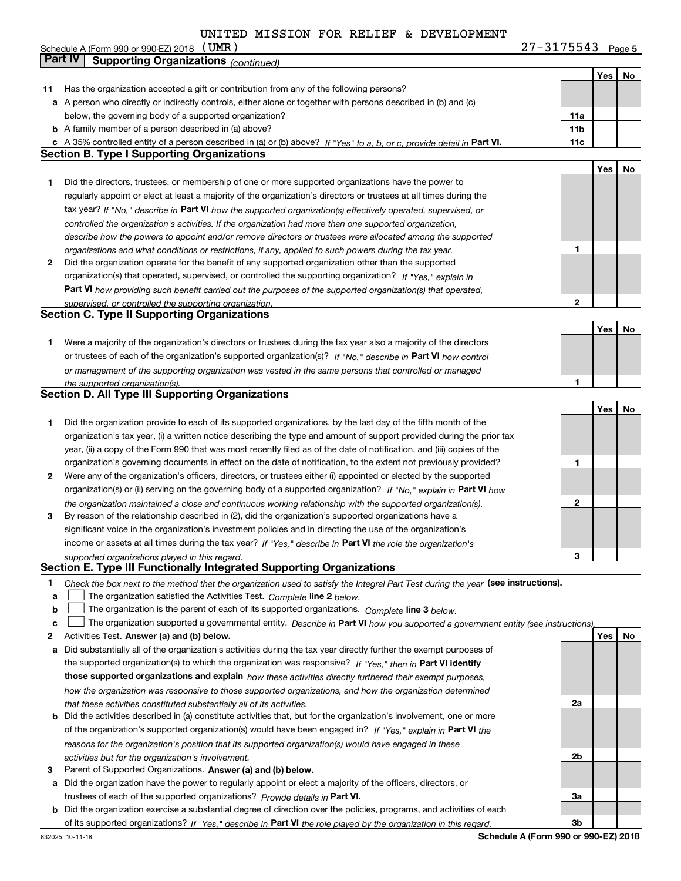**5** Schedule A (Form 990 or 990-EZ) 2018 Page (UMR) 27-3175543

|    | Part IV<br><b>Supporting Organizations (continued)</b>                                                                            |                 |     |    |
|----|-----------------------------------------------------------------------------------------------------------------------------------|-----------------|-----|----|
|    |                                                                                                                                   |                 | Yes | No |
| 11 | Has the organization accepted a gift or contribution from any of the following persons?                                           |                 |     |    |
|    | a A person who directly or indirectly controls, either alone or together with persons described in (b) and (c)                    |                 |     |    |
|    | below, the governing body of a supported organization?                                                                            | 11a             |     |    |
|    | <b>b</b> A family member of a person described in (a) above?                                                                      | 11 <sub>b</sub> |     |    |
|    | c A 35% controlled entity of a person described in (a) or (b) above? If "Yes" to a, b, or c, provide detail in Part VI.           | 11c             |     |    |
|    | <b>Section B. Type I Supporting Organizations</b>                                                                                 |                 |     |    |
|    |                                                                                                                                   |                 | Yes | No |
| 1  | Did the directors, trustees, or membership of one or more supported organizations have the power to                               |                 |     |    |
|    | regularly appoint or elect at least a majority of the organization's directors or trustees at all times during the                |                 |     |    |
|    | tax year? If "No," describe in Part VI how the supported organization(s) effectively operated, supervised, or                     |                 |     |    |
|    | controlled the organization's activities. If the organization had more than one supported organization,                           |                 |     |    |
|    | describe how the powers to appoint and/or remove directors or trustees were allocated among the supported                         |                 |     |    |
|    | organizations and what conditions or restrictions, if any, applied to such powers during the tax year.                            | 1               |     |    |
| 2  | Did the organization operate for the benefit of any supported organization other than the supported                               |                 |     |    |
|    | organization(s) that operated, supervised, or controlled the supporting organization? If "Yes," explain in                        |                 |     |    |
|    | Part VI how providing such benefit carried out the purposes of the supported organization(s) that operated,                       |                 |     |    |
|    | supervised, or controlled the supporting organization.                                                                            | 2               |     |    |
|    | <b>Section C. Type II Supporting Organizations</b>                                                                                |                 |     |    |
|    |                                                                                                                                   |                 | Yes | No |
| 1  | Were a majority of the organization's directors or trustees during the tax year also a majority of the directors                  |                 |     |    |
|    | or trustees of each of the organization's supported organization(s)? If "No." describe in Part VI how control                     |                 |     |    |
|    | or management of the supporting organization was vested in the same persons that controlled or managed                            |                 |     |    |
|    | the supported organization(s).                                                                                                    | 1               |     |    |
|    | <b>Section D. All Type III Supporting Organizations</b>                                                                           |                 |     |    |
|    |                                                                                                                                   |                 | Yes | No |
| 1  | Did the organization provide to each of its supported organizations, by the last day of the fifth month of the                    |                 |     |    |
|    | organization's tax year, (i) a written notice describing the type and amount of support provided during the prior tax             |                 |     |    |
|    | year, (ii) a copy of the Form 990 that was most recently filed as of the date of notification, and (iii) copies of the            |                 |     |    |
|    | organization's governing documents in effect on the date of notification, to the extent not previously provided?                  | 1               |     |    |
| 2  | Were any of the organization's officers, directors, or trustees either (i) appointed or elected by the supported                  |                 |     |    |
|    | organization(s) or (ii) serving on the governing body of a supported organization? If "No," explain in Part VI how                |                 |     |    |
|    | the organization maintained a close and continuous working relationship with the supported organization(s).                       | 2               |     |    |
| 3  | By reason of the relationship described in (2), did the organization's supported organizations have a                             |                 |     |    |
|    | significant voice in the organization's investment policies and in directing the use of the organization's                        |                 |     |    |
|    | income or assets at all times during the tax year? If "Yes," describe in Part VI the role the organization's                      |                 |     |    |
|    | supported organizations played in this regard.                                                                                    | 3               |     |    |
|    | Section E. Type III Functionally Integrated Supporting Organizations                                                              |                 |     |    |
| 1  | Check the box next to the method that the organization used to satisfy the Integral Part Test during the year (see instructions). |                 |     |    |
| a  | The organization satisfied the Activities Test. Complete line 2 below.                                                            |                 |     |    |
| b  | The organization is the parent of each of its supported organizations. Complete line 3 below.                                     |                 |     |    |
| c  | The organization supported a governmental entity. Describe in Part VI how you supported a government entity (see instructions),   |                 |     |    |
| 2  | Activities Test. Answer (a) and (b) below.                                                                                        |                 | Yes | No |
| а  | Did substantially all of the organization's activities during the tax year directly further the exempt purposes of                |                 |     |    |
|    | the supported organization(s) to which the organization was responsive? If "Yes," then in Part VI identify                        |                 |     |    |
|    | those supported organizations and explain how these activities directly furthered their exempt purposes,                          |                 |     |    |
|    | how the organization was responsive to those supported organizations, and how the organization determined                         |                 |     |    |
|    | that these activities constituted substantially all of its activities.                                                            | 2a              |     |    |
|    | <b>b</b> Did the activities described in (a) constitute activities that, but for the organization's involvement, one or more      |                 |     |    |
|    | of the organization's supported organization(s) would have been engaged in? If "Yes," explain in Part VI the                      |                 |     |    |
|    | reasons for the organization's position that its supported organization(s) would have engaged in these                            |                 |     |    |
|    | activities but for the organization's involvement.                                                                                | 2b              |     |    |
| з  | Parent of Supported Organizations. Answer (a) and (b) below.                                                                      |                 |     |    |
|    | a Did the organization have the power to regularly appoint or elect a majority of the officers, directors, or                     |                 |     |    |
|    | trustees of each of the supported organizations? Provide details in Part VI.                                                      | За              |     |    |
|    | <b>b</b> Did the organization exercise a substantial degree of direction over the policies, programs, and activities of each      |                 |     |    |
|    | of its supported organizations? If "Yes." describe in Part VI the role played by the organization in this regard.                 | Зb              |     |    |
|    |                                                                                                                                   |                 |     |    |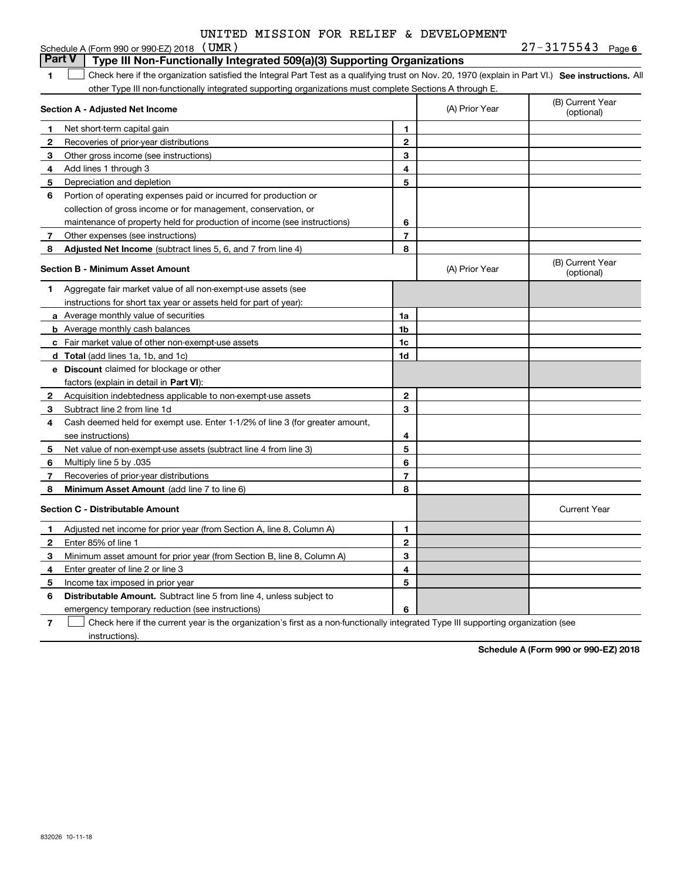| UNITED MISSION FOR RELIEF & DEVELOPMENT |
|-----------------------------------------|
|                                         |

|              | Schedule A (Form 990 or 990-EZ) 2018 (UMR)                                                                                                        |                |                | $27 - 3175543$ Page 6          |
|--------------|---------------------------------------------------------------------------------------------------------------------------------------------------|----------------|----------------|--------------------------------|
|              | <b>Part V</b><br>Type III Non-Functionally Integrated 509(a)(3) Supporting Organizations                                                          |                |                |                                |
| 1            | Check here if the organization satisfied the Integral Part Test as a qualifying trust on Nov. 20, 1970 (explain in Part VI.) See instructions. Al |                |                |                                |
|              | other Type III non-functionally integrated supporting organizations must complete Sections A through E.                                           |                |                |                                |
|              | Section A - Adjusted Net Income                                                                                                                   |                | (A) Prior Year | (B) Current Year<br>(optional) |
| 1            | Net short-term capital gain                                                                                                                       | 1.             |                |                                |
| 2            | Recoveries of prior-year distributions                                                                                                            | $\mathbf{2}$   |                |                                |
| 3            | Other gross income (see instructions)                                                                                                             | 3              |                |                                |
| 4            | Add lines 1 through 3                                                                                                                             | 4              |                |                                |
| 5            | Depreciation and depletion                                                                                                                        | 5              |                |                                |
| 6            | Portion of operating expenses paid or incurred for production or                                                                                  |                |                |                                |
|              | collection of gross income or for management, conservation, or                                                                                    |                |                |                                |
|              | maintenance of property held for production of income (see instructions)                                                                          | 6              |                |                                |
| 7            | Other expenses (see instructions)                                                                                                                 | $\overline{7}$ |                |                                |
| 8            | Adjusted Net Income (subtract lines 5, 6, and 7 from line 4)                                                                                      | 8              |                |                                |
|              | <b>Section B - Minimum Asset Amount</b>                                                                                                           |                | (A) Prior Year | (B) Current Year<br>(optional) |
| 1            | Aggregate fair market value of all non-exempt-use assets (see                                                                                     |                |                |                                |
|              | instructions for short tax year or assets held for part of year):                                                                                 |                |                |                                |
|              | a Average monthly value of securities                                                                                                             | 1a             |                |                                |
|              | <b>b</b> Average monthly cash balances                                                                                                            | 1b             |                |                                |
|              | c Fair market value of other non-exempt-use assets                                                                                                | 1c             |                |                                |
|              | d Total (add lines 1a, 1b, and 1c)                                                                                                                | 1d             |                |                                |
|              | e Discount claimed for blockage or other                                                                                                          |                |                |                                |
|              | factors (explain in detail in Part VI):                                                                                                           |                |                |                                |
| $\mathbf{2}$ | Acquisition indebtedness applicable to non-exempt-use assets                                                                                      | $\mathbf{2}$   |                |                                |
| 3            | Subtract line 2 from line 1d                                                                                                                      | 3              |                |                                |
| 4            | Cash deemed held for exempt use. Enter 1-1/2% of line 3 (for greater amount,                                                                      |                |                |                                |
|              | see instructions)                                                                                                                                 | 4              |                |                                |
| 5            | Net value of non-exempt-use assets (subtract line 4 from line 3)                                                                                  | 5              |                |                                |
| 6            | Multiply line 5 by .035                                                                                                                           | 6              |                |                                |
| 7            | Recoveries of prior-year distributions                                                                                                            | $\overline{7}$ |                |                                |
| 8            | Minimum Asset Amount (add line 7 to line 6)                                                                                                       | 8              |                |                                |
|              | <b>Section C - Distributable Amount</b>                                                                                                           |                |                | <b>Current Year</b>            |
| $\mathbf{1}$ | Adjusted net income for prior year (from Section A, line 8, Column A)                                                                             | 1              |                |                                |
| 2            | Enter 85% of line 1                                                                                                                               | $\mathbf{2}$   |                |                                |
| 3            | Minimum asset amount for prior year (from Section B, line 8, Column A)                                                                            | 3              |                |                                |
| 4            | Enter greater of line 2 or line 3                                                                                                                 | 4              |                |                                |
| 5            | Income tax imposed in prior year                                                                                                                  | 5              |                |                                |
| 6            | <b>Distributable Amount.</b> Subtract line 5 from line 4, unless subject to                                                                       |                |                |                                |
|              | emergency temporary reduction (see instructions)                                                                                                  | 6              |                |                                |

**7** Check here if the current year is the organization's first as a non-functionally integrated Type III supporting organization (see instructions).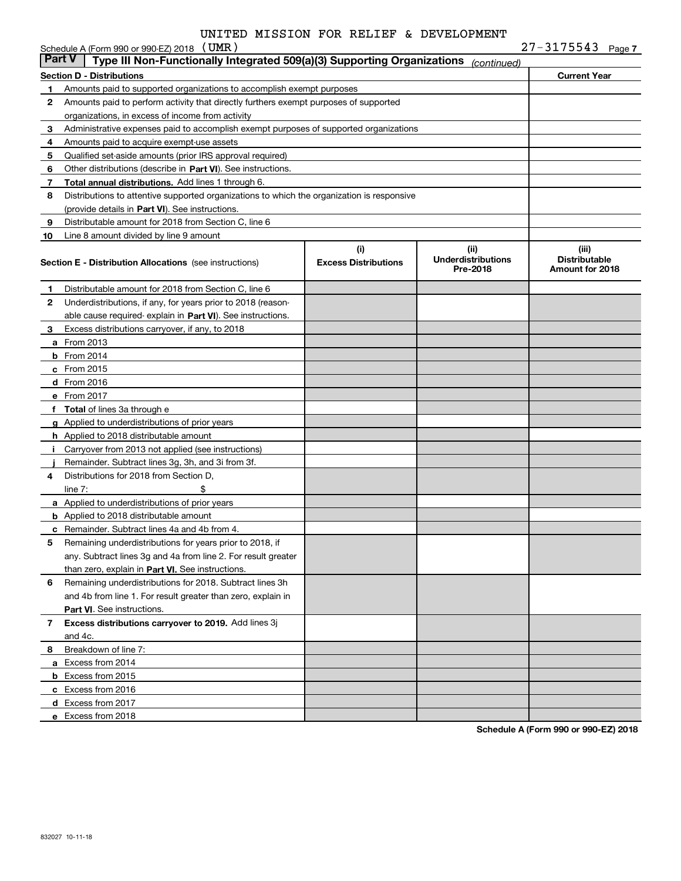|               | Schedule A (Form 990 or 990-EZ) 2018 $(UMR)$                                               |                                    |                                               | $27 - 3175543$ Page 7                            |
|---------------|--------------------------------------------------------------------------------------------|------------------------------------|-----------------------------------------------|--------------------------------------------------|
| <b>Part V</b> | Type III Non-Functionally Integrated 509(a)(3) Supporting Organizations                    |                                    | (continued)                                   |                                                  |
|               | <b>Section D - Distributions</b>                                                           |                                    |                                               | <b>Current Year</b>                              |
| 1             | Amounts paid to supported organizations to accomplish exempt purposes                      |                                    |                                               |                                                  |
| $\mathbf{2}$  | Amounts paid to perform activity that directly furthers exempt purposes of supported       |                                    |                                               |                                                  |
|               | organizations, in excess of income from activity                                           |                                    |                                               |                                                  |
| 3             | Administrative expenses paid to accomplish exempt purposes of supported organizations      |                                    |                                               |                                                  |
| 4             | Amounts paid to acquire exempt-use assets                                                  |                                    |                                               |                                                  |
| 5             | Qualified set-aside amounts (prior IRS approval required)                                  |                                    |                                               |                                                  |
| 6             | Other distributions (describe in Part VI). See instructions.                               |                                    |                                               |                                                  |
| 7             | <b>Total annual distributions.</b> Add lines 1 through 6.                                  |                                    |                                               |                                                  |
| 8             | Distributions to attentive supported organizations to which the organization is responsive |                                    |                                               |                                                  |
|               | (provide details in Part VI). See instructions.                                            |                                    |                                               |                                                  |
| 9             | Distributable amount for 2018 from Section C, line 6                                       |                                    |                                               |                                                  |
| 10            | Line 8 amount divided by line 9 amount                                                     |                                    |                                               |                                                  |
|               | <b>Section E - Distribution Allocations</b> (see instructions)                             | (i)<br><b>Excess Distributions</b> | (ii)<br><b>Underdistributions</b><br>Pre-2018 | (iii)<br><b>Distributable</b><br>Amount for 2018 |
| 1             | Distributable amount for 2018 from Section C, line 6                                       |                                    |                                               |                                                  |
| 2             | Underdistributions, if any, for years prior to 2018 (reason-                               |                                    |                                               |                                                  |
|               | able cause required- explain in Part VI). See instructions.                                |                                    |                                               |                                                  |
| 3             | Excess distributions carryover, if any, to 2018                                            |                                    |                                               |                                                  |
|               | <b>a</b> From 2013                                                                         |                                    |                                               |                                                  |
|               | <b>b</b> From 2014                                                                         |                                    |                                               |                                                  |
|               | c From 2015                                                                                |                                    |                                               |                                                  |
|               | d From 2016                                                                                |                                    |                                               |                                                  |
|               | e From 2017                                                                                |                                    |                                               |                                                  |
|               | <b>Total</b> of lines 3a through e                                                         |                                    |                                               |                                                  |
| g             | Applied to underdistributions of prior years                                               |                                    |                                               |                                                  |
|               | <b>h</b> Applied to 2018 distributable amount                                              |                                    |                                               |                                                  |
|               | Carryover from 2013 not applied (see instructions)                                         |                                    |                                               |                                                  |
|               | Remainder. Subtract lines 3g, 3h, and 3i from 3f.                                          |                                    |                                               |                                                  |
| 4             | Distributions for 2018 from Section D,                                                     |                                    |                                               |                                                  |
|               | line $7:$                                                                                  |                                    |                                               |                                                  |
|               | a Applied to underdistributions of prior years                                             |                                    |                                               |                                                  |
|               | <b>b</b> Applied to 2018 distributable amount                                              |                                    |                                               |                                                  |
|               | c Remainder. Subtract lines 4a and 4b from 4.                                              |                                    |                                               |                                                  |
| 5             | Remaining underdistributions for years prior to 2018, if                                   |                                    |                                               |                                                  |
|               | any. Subtract lines 3g and 4a from line 2. For result greater                              |                                    |                                               |                                                  |
|               | than zero, explain in Part VI. See instructions.                                           |                                    |                                               |                                                  |
| 6             | Remaining underdistributions for 2018. Subtract lines 3h                                   |                                    |                                               |                                                  |
|               | and 4b from line 1. For result greater than zero, explain in                               |                                    |                                               |                                                  |
|               | Part VI. See instructions.                                                                 |                                    |                                               |                                                  |
| 7             | Excess distributions carryover to 2019. Add lines 3j<br>and 4c.                            |                                    |                                               |                                                  |
| 8.            | Breakdown of line 7:                                                                       |                                    |                                               |                                                  |
|               | a Excess from 2014                                                                         |                                    |                                               |                                                  |
|               | <b>b</b> Excess from 2015                                                                  |                                    |                                               |                                                  |
|               | c Excess from 2016                                                                         |                                    |                                               |                                                  |
|               | d Excess from 2017                                                                         |                                    |                                               |                                                  |
|               | e Excess from 2018                                                                         |                                    |                                               |                                                  |
|               |                                                                                            |                                    |                                               |                                                  |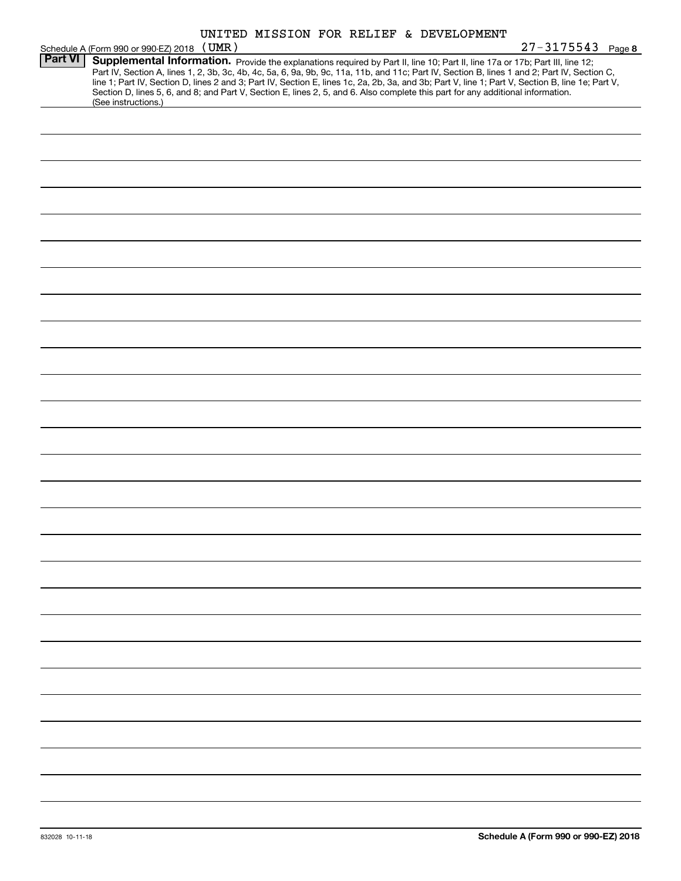|                | Schedule A (Form 990 or 990-EZ) 2018 (UMR)                                                                                                                                                                                                                                                                                                                                                                                              | UNITED MISSION FOR RELIEF & DEVELOPMENT |  |  | $27 - 3175543$<br>Page 8                                                                                                                         |
|----------------|-----------------------------------------------------------------------------------------------------------------------------------------------------------------------------------------------------------------------------------------------------------------------------------------------------------------------------------------------------------------------------------------------------------------------------------------|-----------------------------------------|--|--|--------------------------------------------------------------------------------------------------------------------------------------------------|
| <b>Part VI</b> | Supplemental Information. Provide the explanations required by Part II, line 10; Part II, line 17a or 17b; Part III, line 12;<br>Part IV, Section A, lines 1, 2, 3b, 3c, 4b, 4c, 5a, 6, 9a, 9b, 9c, 11a, 11b, and 11c; Part IV, Section B, lines 1 and 2; Part IV, Section C,<br>Section D, lines 5, 6, and 8; and Part V, Section E, lines 2, 5, and 6. Also complete this part for any additional information.<br>(See instructions.) |                                         |  |  | line 1; Part IV, Section D, lines 2 and 3; Part IV, Section E, lines 1c, 2a, 2b, 3a, and 3b; Part V, line 1; Part V, Section B, line 1e; Part V, |
|                |                                                                                                                                                                                                                                                                                                                                                                                                                                         |                                         |  |  |                                                                                                                                                  |
|                |                                                                                                                                                                                                                                                                                                                                                                                                                                         |                                         |  |  |                                                                                                                                                  |
|                |                                                                                                                                                                                                                                                                                                                                                                                                                                         |                                         |  |  |                                                                                                                                                  |
|                |                                                                                                                                                                                                                                                                                                                                                                                                                                         |                                         |  |  |                                                                                                                                                  |
|                |                                                                                                                                                                                                                                                                                                                                                                                                                                         |                                         |  |  |                                                                                                                                                  |
|                |                                                                                                                                                                                                                                                                                                                                                                                                                                         |                                         |  |  |                                                                                                                                                  |
|                |                                                                                                                                                                                                                                                                                                                                                                                                                                         |                                         |  |  |                                                                                                                                                  |
|                |                                                                                                                                                                                                                                                                                                                                                                                                                                         |                                         |  |  |                                                                                                                                                  |
|                |                                                                                                                                                                                                                                                                                                                                                                                                                                         |                                         |  |  |                                                                                                                                                  |
|                |                                                                                                                                                                                                                                                                                                                                                                                                                                         |                                         |  |  |                                                                                                                                                  |
|                |                                                                                                                                                                                                                                                                                                                                                                                                                                         |                                         |  |  |                                                                                                                                                  |
|                |                                                                                                                                                                                                                                                                                                                                                                                                                                         |                                         |  |  |                                                                                                                                                  |
|                |                                                                                                                                                                                                                                                                                                                                                                                                                                         |                                         |  |  |                                                                                                                                                  |
|                |                                                                                                                                                                                                                                                                                                                                                                                                                                         |                                         |  |  |                                                                                                                                                  |
|                |                                                                                                                                                                                                                                                                                                                                                                                                                                         |                                         |  |  |                                                                                                                                                  |
|                |                                                                                                                                                                                                                                                                                                                                                                                                                                         |                                         |  |  |                                                                                                                                                  |
|                |                                                                                                                                                                                                                                                                                                                                                                                                                                         |                                         |  |  |                                                                                                                                                  |
|                |                                                                                                                                                                                                                                                                                                                                                                                                                                         |                                         |  |  |                                                                                                                                                  |
|                |                                                                                                                                                                                                                                                                                                                                                                                                                                         |                                         |  |  |                                                                                                                                                  |
|                |                                                                                                                                                                                                                                                                                                                                                                                                                                         |                                         |  |  |                                                                                                                                                  |
|                |                                                                                                                                                                                                                                                                                                                                                                                                                                         |                                         |  |  |                                                                                                                                                  |
|                |                                                                                                                                                                                                                                                                                                                                                                                                                                         |                                         |  |  |                                                                                                                                                  |
|                |                                                                                                                                                                                                                                                                                                                                                                                                                                         |                                         |  |  |                                                                                                                                                  |
|                |                                                                                                                                                                                                                                                                                                                                                                                                                                         |                                         |  |  |                                                                                                                                                  |
|                |                                                                                                                                                                                                                                                                                                                                                                                                                                         |                                         |  |  |                                                                                                                                                  |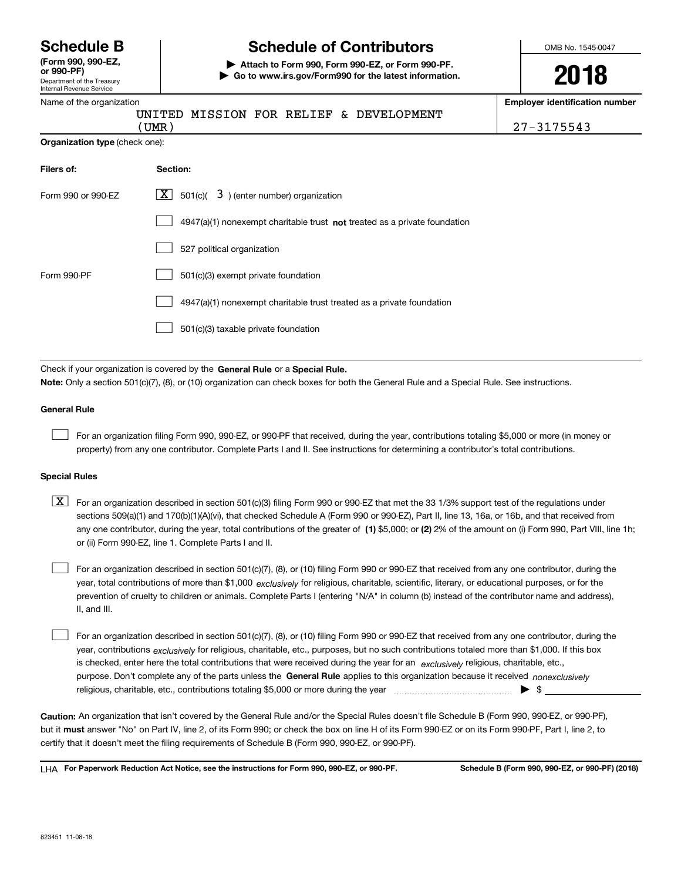Department of the Treasury Internal Revenue Service **(Form 990, 990-EZ, or 990-PF)**

Name of the organization

# **Schedule B Schedule of Contributors**

**| Attach to Form 990, Form 990-EZ, or Form 990-PF. | Go to www.irs.gov/Form990 for the latest information.** OMB No. 1545-0047

**2018**

**Employer identification number**

(UMR) 27-3175543

|            | (UMR )                                |  |  |  |  | UNITED MISSION FOR RELIEF & DEVELOPMENT |  |  |  |
|------------|---------------------------------------|--|--|--|--|-----------------------------------------|--|--|--|
|            | <b>Organization type (check one):</b> |  |  |  |  |                                         |  |  |  |
| Filers of: | Section:                              |  |  |  |  |                                         |  |  |  |

| Form 990 or 990-EZ | $\boxed{\mathbf{X}}$ 501(c)( 3) (enter number) organization                 |
|--------------------|-----------------------------------------------------------------------------|
|                    | $4947(a)(1)$ nonexempt charitable trust not treated as a private foundation |
|                    | 527 political organization                                                  |
| Form 990-PF        | 501(c)(3) exempt private foundation                                         |
|                    | 4947(a)(1) nonexempt charitable trust treated as a private foundation       |
|                    | 501(c)(3) taxable private foundation                                        |

Check if your organization is covered by the **General Rule** or a **Special Rule. Note:**  Only a section 501(c)(7), (8), or (10) organization can check boxes for both the General Rule and a Special Rule. See instructions.

#### **General Rule**

 $\mathcal{L}^{\text{max}}$ 

For an organization filing Form 990, 990-EZ, or 990-PF that received, during the year, contributions totaling \$5,000 or more (in money or property) from any one contributor. Complete Parts I and II. See instructions for determining a contributor's total contributions.

#### **Special Rules**

any one contributor, during the year, total contributions of the greater of  $\,$  (1) \$5,000; or **(2)** 2% of the amount on (i) Form 990, Part VIII, line 1h;  $\boxed{\textbf{X}}$  For an organization described in section 501(c)(3) filing Form 990 or 990-EZ that met the 33 1/3% support test of the regulations under sections 509(a)(1) and 170(b)(1)(A)(vi), that checked Schedule A (Form 990 or 990-EZ), Part II, line 13, 16a, or 16b, and that received from or (ii) Form 990-EZ, line 1. Complete Parts I and II.

year, total contributions of more than \$1,000 *exclusively* for religious, charitable, scientific, literary, or educational purposes, or for the For an organization described in section 501(c)(7), (8), or (10) filing Form 990 or 990-EZ that received from any one contributor, during the prevention of cruelty to children or animals. Complete Parts I (entering "N/A" in column (b) instead of the contributor name and address), II, and III.  $\mathcal{L}^{\text{max}}$ 

purpose. Don't complete any of the parts unless the **General Rule** applies to this organization because it received *nonexclusively* year, contributions <sub>exclusively</sub> for religious, charitable, etc., purposes, but no such contributions totaled more than \$1,000. If this box is checked, enter here the total contributions that were received during the year for an  $\;$ exclusively religious, charitable, etc., For an organization described in section 501(c)(7), (8), or (10) filing Form 990 or 990-EZ that received from any one contributor, during the religious, charitable, etc., contributions totaling \$5,000 or more during the year  $\Box$ — $\Box$   $\Box$  $\mathcal{L}^{\text{max}}$ 

**Caution:**  An organization that isn't covered by the General Rule and/or the Special Rules doesn't file Schedule B (Form 990, 990-EZ, or 990-PF),  **must** but it answer "No" on Part IV, line 2, of its Form 990; or check the box on line H of its Form 990-EZ or on its Form 990-PF, Part I, line 2, to certify that it doesn't meet the filing requirements of Schedule B (Form 990, 990-EZ, or 990-PF).

**For Paperwork Reduction Act Notice, see the instructions for Form 990, 990-EZ, or 990-PF. Schedule B (Form 990, 990-EZ, or 990-PF) (2018)** LHA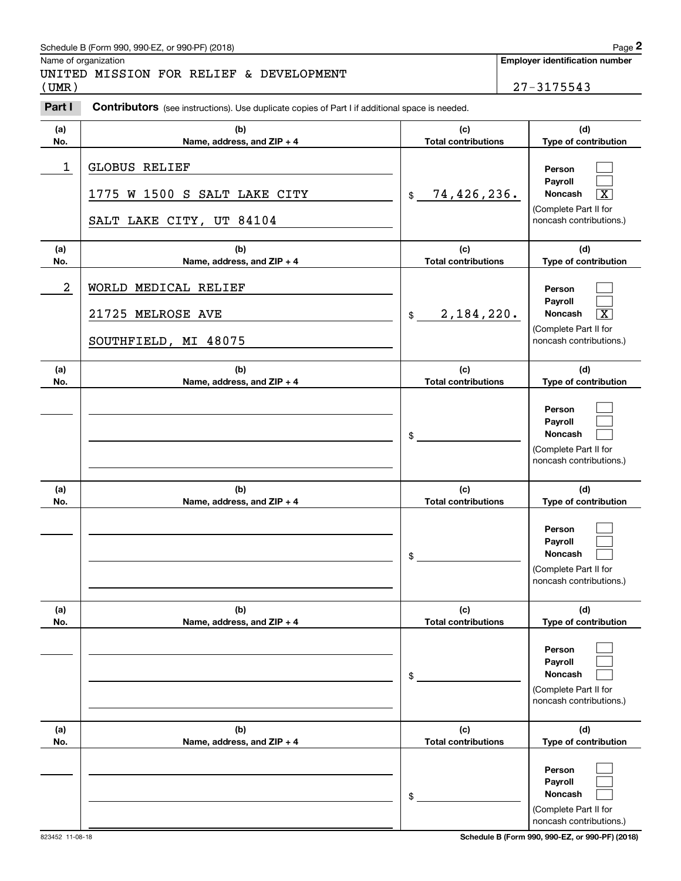# Schedule B (Form 990, 990-EZ, or 990-PF) (2018) Page 2

# UNITED MISSION FOR RELIEF & DEVELOPMENT

|                  | Schedule B (Form 990, 990-EZ, or 990-PF) (2018)                                                       |                                   | Page 2                                                                                                      |
|------------------|-------------------------------------------------------------------------------------------------------|-----------------------------------|-------------------------------------------------------------------------------------------------------------|
| (UMR)            | Name of organization<br>UNITED MISSION FOR RELIEF & DEVELOPMENT                                       |                                   | <b>Employer identification number</b><br>27-3175543                                                         |
| Part I           | <b>Contributors</b> (see instructions). Use duplicate copies of Part I if additional space is needed. |                                   |                                                                                                             |
| (a)<br>No.       | (b)<br>Name, address, and ZIP + 4                                                                     | (c)<br><b>Total contributions</b> | (d)<br>Type of contribution                                                                                 |
| 1                | <b>GLOBUS RELIEF</b><br>1775 W 1500 S SALT LAKE CITY<br>SALT LAKE CITY, UT 84104                      | 74,426,236.<br>\$                 | Person<br>Payroll<br>$\overline{\text{X}}$<br>Noncash<br>(Complete Part II for<br>noncash contributions.)   |
| (a)<br>No.       | (b)<br>Name, address, and ZIP + 4                                                                     | (c)<br><b>Total contributions</b> | (d)<br>Type of contribution                                                                                 |
| $\boldsymbol{2}$ | WORLD MEDICAL RELIEF<br>21725 MELROSE AVE<br>SOUTHFIELD, MI 48075                                     | 2,184,220.<br>\$                  | Person<br>Payroll<br>$\overline{\mathbf{X}}$<br>Noncash<br>(Complete Part II for<br>noncash contributions.) |
| (a)<br>No.       | (b)<br>Name, address, and ZIP + 4                                                                     | (c)<br><b>Total contributions</b> | (d)<br>Type of contribution                                                                                 |
|                  |                                                                                                       | \$                                | Person<br>Payroll<br>Noncash<br>(Complete Part II for<br>noncash contributions.)                            |
| (a)<br>No.       | (b)<br>Name, address, and ZIP + 4                                                                     | (c)<br><b>Total contributions</b> | (d)<br>Type of contribution                                                                                 |
|                  |                                                                                                       | \$                                | Person<br>Payroll<br>Noncash<br>(Complete Part II for<br>noncash contributions.)                            |
| (a)<br>No.       | (b)<br>Name, address, and ZIP + 4                                                                     | (c)<br><b>Total contributions</b> | (d)<br>Type of contribution                                                                                 |
|                  |                                                                                                       | \$                                | Person<br>Payroll<br>Noncash<br>(Complete Part II for<br>noncash contributions.)                            |
| (a)<br>No.       | (b)<br>Name, address, and ZIP + 4                                                                     | (c)<br><b>Total contributions</b> | (d)<br>Type of contribution                                                                                 |
|                  |                                                                                                       | \$                                | Person<br>Payroll<br>Noncash<br>(Complete Part II for<br>noncash contributions.)                            |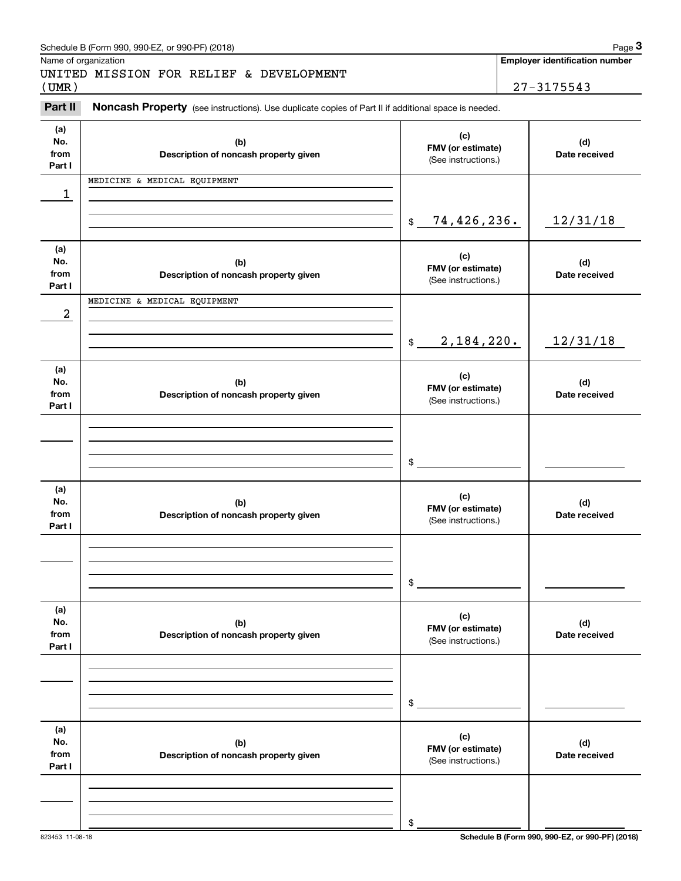|                      | Schedule B (Form 990, 990-EZ, or 990-PF) (2018)                                                     |                                          |            | Page 3                                |  |
|----------------------|-----------------------------------------------------------------------------------------------------|------------------------------------------|------------|---------------------------------------|--|
| Name of organization |                                                                                                     |                                          |            | <b>Employer identification number</b> |  |
| (UMR)                | UNITED MISSION FOR RELIEF & DEVELOPMENT                                                             |                                          | 27-3175543 |                                       |  |
|                      |                                                                                                     |                                          |            |                                       |  |
| Part II              | Noncash Property (see instructions). Use duplicate copies of Part II if additional space is needed. |                                          |            |                                       |  |
| (a)                  |                                                                                                     | (c)                                      |            |                                       |  |
| No.<br>from          | (b)                                                                                                 | FMV (or estimate)                        |            | (d)                                   |  |
| Part I               | Description of noncash property given                                                               | (See instructions.)                      |            | Date received                         |  |
|                      | MEDICINE & MEDICAL EQUIPMENT                                                                        |                                          |            |                                       |  |
| 1                    |                                                                                                     |                                          |            |                                       |  |
|                      |                                                                                                     |                                          |            |                                       |  |
|                      |                                                                                                     | 74,426,236.<br>$\frac{1}{2}$             |            | 12/31/18                              |  |
| (a)                  |                                                                                                     |                                          |            |                                       |  |
| No.                  | (b)                                                                                                 | (c)<br>FMV (or estimate)                 |            | (d)                                   |  |
| from<br>Part I       | Description of noncash property given                                                               | (See instructions.)                      |            | Date received                         |  |
|                      | MEDICINE & MEDICAL EQUIPMENT                                                                        |                                          |            |                                       |  |
| 2                    |                                                                                                     |                                          |            |                                       |  |
|                      |                                                                                                     |                                          |            |                                       |  |
|                      |                                                                                                     | 2,184,220.<br>\$                         |            | 12/31/18                              |  |
| (a)                  |                                                                                                     |                                          |            |                                       |  |
| No.                  | (b)                                                                                                 | (c)                                      |            | (d)                                   |  |
| from                 | Description of noncash property given                                                               | FMV (or estimate)<br>(See instructions.) |            | Date received                         |  |
| Part I               |                                                                                                     |                                          |            |                                       |  |
|                      |                                                                                                     |                                          |            |                                       |  |
|                      |                                                                                                     |                                          |            |                                       |  |
|                      |                                                                                                     | \$                                       |            |                                       |  |
|                      |                                                                                                     |                                          |            |                                       |  |
| (a)<br>No.           | (b)                                                                                                 | (c)                                      |            | (d)                                   |  |
| from                 | Description of noncash property given                                                               | FMV (or estimate)<br>(See instructions.) |            | Date received                         |  |
| Part I               |                                                                                                     |                                          |            |                                       |  |
|                      |                                                                                                     |                                          |            |                                       |  |
|                      |                                                                                                     |                                          |            |                                       |  |
|                      |                                                                                                     | \$                                       |            |                                       |  |
|                      |                                                                                                     |                                          |            |                                       |  |
| (a)<br>No.           | (b)                                                                                                 | (c)                                      |            | (d)                                   |  |
| from                 | Description of noncash property given                                                               | FMV (or estimate)                        |            | Date received                         |  |
| Part I               |                                                                                                     | (See instructions.)                      |            |                                       |  |
|                      |                                                                                                     |                                          |            |                                       |  |
|                      |                                                                                                     |                                          |            |                                       |  |
|                      |                                                                                                     | \$                                       |            |                                       |  |
|                      |                                                                                                     |                                          |            |                                       |  |
| (a)<br>No.           |                                                                                                     | (c)                                      |            |                                       |  |
| from                 | (b)<br>Description of noncash property given                                                        | FMV (or estimate)                        |            | (d)<br>Date received                  |  |
| Part I               |                                                                                                     | (See instructions.)                      |            |                                       |  |
|                      |                                                                                                     |                                          |            |                                       |  |
|                      |                                                                                                     |                                          |            |                                       |  |
|                      |                                                                                                     | \$                                       |            |                                       |  |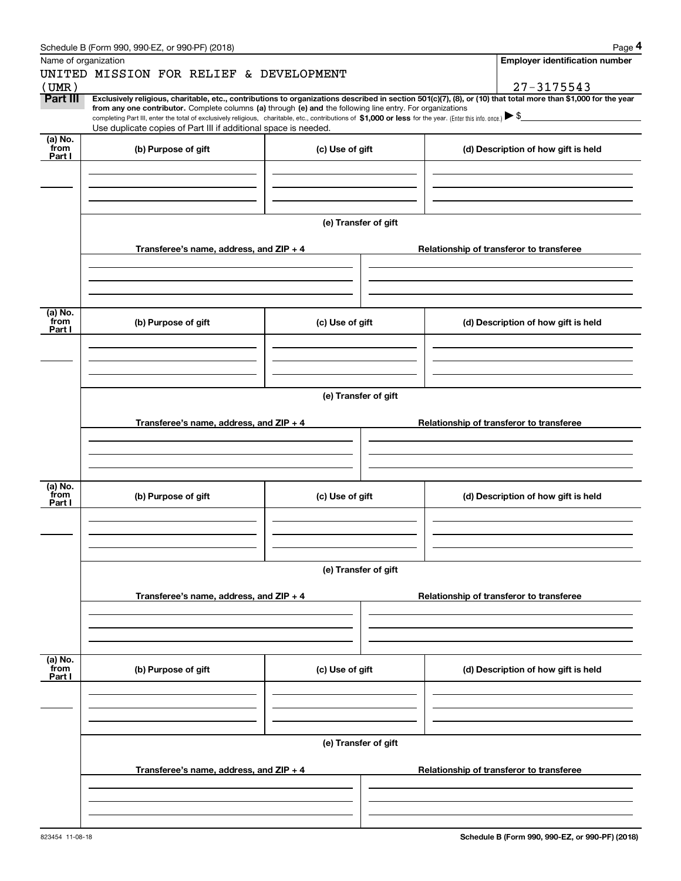|                      | Schedule B (Form 990, 990-EZ, or 990-PF) (2018)                                                                                                                                                                                                                                                 |                      | Page 4                                                                                                                                                         |
|----------------------|-------------------------------------------------------------------------------------------------------------------------------------------------------------------------------------------------------------------------------------------------------------------------------------------------|----------------------|----------------------------------------------------------------------------------------------------------------------------------------------------------------|
| Name of organization |                                                                                                                                                                                                                                                                                                 |                      | Employer identification number                                                                                                                                 |
|                      | UNITED MISSION FOR RELIEF & DEVELOPMENT                                                                                                                                                                                                                                                         |                      |                                                                                                                                                                |
| (UMR)                |                                                                                                                                                                                                                                                                                                 |                      | 27-3175543                                                                                                                                                     |
| Part III             |                                                                                                                                                                                                                                                                                                 |                      | Exclusively religious, charitable, etc., contributions to organizations described in section 501(c)(7), (8), or (10) that total more than \$1,000 for the year |
|                      | from any one contributor. Complete columns (a) through (e) and the following line entry. For organizations<br>completing Part III, enter the total of exclusively religious, charitable, etc., contributions of \$1,000 or less for the year. (Enter this info. once.) $\blacktriangleright$ \$ |                      |                                                                                                                                                                |
|                      | Use duplicate copies of Part III if additional space is needed.                                                                                                                                                                                                                                 |                      |                                                                                                                                                                |
| $(a)$ No.            |                                                                                                                                                                                                                                                                                                 |                      |                                                                                                                                                                |
| from<br>Part I       | (b) Purpose of gift                                                                                                                                                                                                                                                                             | (c) Use of gift      | (d) Description of how gift is held                                                                                                                            |
|                      |                                                                                                                                                                                                                                                                                                 |                      |                                                                                                                                                                |
|                      |                                                                                                                                                                                                                                                                                                 |                      |                                                                                                                                                                |
|                      |                                                                                                                                                                                                                                                                                                 |                      |                                                                                                                                                                |
|                      |                                                                                                                                                                                                                                                                                                 |                      |                                                                                                                                                                |
|                      |                                                                                                                                                                                                                                                                                                 | (e) Transfer of gift |                                                                                                                                                                |
|                      |                                                                                                                                                                                                                                                                                                 |                      |                                                                                                                                                                |
|                      | Transferee's name, address, and ZIP + 4                                                                                                                                                                                                                                                         |                      | Relationship of transferor to transferee                                                                                                                       |
|                      |                                                                                                                                                                                                                                                                                                 |                      |                                                                                                                                                                |
|                      |                                                                                                                                                                                                                                                                                                 |                      |                                                                                                                                                                |
|                      |                                                                                                                                                                                                                                                                                                 |                      |                                                                                                                                                                |
|                      |                                                                                                                                                                                                                                                                                                 |                      |                                                                                                                                                                |
| (a) No.<br>from      | (b) Purpose of gift                                                                                                                                                                                                                                                                             | (c) Use of gift      | (d) Description of how gift is held                                                                                                                            |
| Part I               |                                                                                                                                                                                                                                                                                                 |                      |                                                                                                                                                                |
|                      |                                                                                                                                                                                                                                                                                                 |                      |                                                                                                                                                                |
|                      |                                                                                                                                                                                                                                                                                                 |                      |                                                                                                                                                                |
|                      |                                                                                                                                                                                                                                                                                                 |                      |                                                                                                                                                                |
|                      |                                                                                                                                                                                                                                                                                                 |                      |                                                                                                                                                                |
|                      |                                                                                                                                                                                                                                                                                                 | (e) Transfer of gift |                                                                                                                                                                |
|                      |                                                                                                                                                                                                                                                                                                 |                      |                                                                                                                                                                |
|                      | Transferee's name, address, and $ZIP + 4$                                                                                                                                                                                                                                                       |                      | Relationship of transferor to transferee                                                                                                                       |
|                      |                                                                                                                                                                                                                                                                                                 |                      |                                                                                                                                                                |
|                      |                                                                                                                                                                                                                                                                                                 |                      |                                                                                                                                                                |
|                      |                                                                                                                                                                                                                                                                                                 |                      |                                                                                                                                                                |
| (a) No.              |                                                                                                                                                                                                                                                                                                 |                      |                                                                                                                                                                |
| from<br>Part I       | (b) Purpose of gift                                                                                                                                                                                                                                                                             | (c) Use of gift      | (d) Description of how gift is held                                                                                                                            |
|                      |                                                                                                                                                                                                                                                                                                 |                      |                                                                                                                                                                |
|                      |                                                                                                                                                                                                                                                                                                 |                      |                                                                                                                                                                |
|                      |                                                                                                                                                                                                                                                                                                 |                      |                                                                                                                                                                |
|                      |                                                                                                                                                                                                                                                                                                 |                      |                                                                                                                                                                |
|                      |                                                                                                                                                                                                                                                                                                 | (e) Transfer of gift |                                                                                                                                                                |
|                      |                                                                                                                                                                                                                                                                                                 |                      |                                                                                                                                                                |
|                      | Transferee's name, address, and ZIP + 4                                                                                                                                                                                                                                                         |                      | Relationship of transferor to transferee                                                                                                                       |
|                      |                                                                                                                                                                                                                                                                                                 |                      |                                                                                                                                                                |
|                      |                                                                                                                                                                                                                                                                                                 |                      |                                                                                                                                                                |
|                      |                                                                                                                                                                                                                                                                                                 |                      |                                                                                                                                                                |
|                      |                                                                                                                                                                                                                                                                                                 |                      |                                                                                                                                                                |
| (a) No.<br>from      | (b) Purpose of gift                                                                                                                                                                                                                                                                             | (c) Use of gift      | (d) Description of how gift is held                                                                                                                            |
| Part I               |                                                                                                                                                                                                                                                                                                 |                      |                                                                                                                                                                |
|                      |                                                                                                                                                                                                                                                                                                 |                      |                                                                                                                                                                |
|                      |                                                                                                                                                                                                                                                                                                 |                      |                                                                                                                                                                |
|                      |                                                                                                                                                                                                                                                                                                 |                      |                                                                                                                                                                |
|                      |                                                                                                                                                                                                                                                                                                 |                      |                                                                                                                                                                |
|                      |                                                                                                                                                                                                                                                                                                 | (e) Transfer of gift |                                                                                                                                                                |
|                      |                                                                                                                                                                                                                                                                                                 |                      |                                                                                                                                                                |
|                      | Transferee's name, address, and $ZIP + 4$                                                                                                                                                                                                                                                       |                      | Relationship of transferor to transferee                                                                                                                       |
|                      |                                                                                                                                                                                                                                                                                                 |                      |                                                                                                                                                                |
|                      |                                                                                                                                                                                                                                                                                                 |                      |                                                                                                                                                                |
|                      |                                                                                                                                                                                                                                                                                                 |                      |                                                                                                                                                                |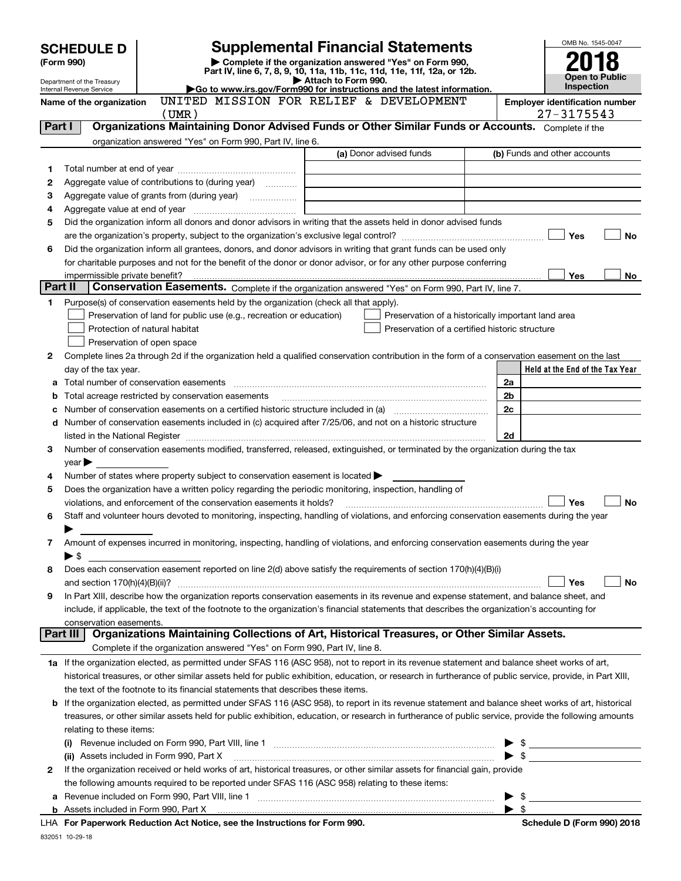|         | <b>SCHEDULE D</b>                   | <b>Supplemental Financial Statements</b>                                                                                                                                                                                      |                                                                                 |                                                    |                    | OMB No. 1545-0047                                       |
|---------|-------------------------------------|-------------------------------------------------------------------------------------------------------------------------------------------------------------------------------------------------------------------------------|---------------------------------------------------------------------------------|----------------------------------------------------|--------------------|---------------------------------------------------------|
|         | (Form 990)                          | Complete if the organization answered "Yes" on Form 990,                                                                                                                                                                      |                                                                                 |                                                    |                    |                                                         |
|         | Department of the Treasury          | Part IV, line 6, 7, 8, 9, 10, 11a, 11b, 11c, 11d, 11e, 11f, 12a, or 12b.                                                                                                                                                      | Attach to Form 990.                                                             |                                                    |                    | <b>Open to Public</b>                                   |
|         | Internal Revenue Service            | Go to www.irs.gov/Form990 for instructions and the latest information.                                                                                                                                                        |                                                                                 |                                                    |                    | <b>Inspection</b>                                       |
|         | Name of the organization            | UNITED MISSION FOR RELIEF & DEVELOPMENT<br>$($ UMR $)$                                                                                                                                                                        |                                                                                 |                                                    |                    | <b>Employer identification number</b><br>$27 - 3175543$ |
| Part I  |                                     | Organizations Maintaining Donor Advised Funds or Other Similar Funds or Accounts. Complete if the                                                                                                                             |                                                                                 |                                                    |                    |                                                         |
|         |                                     | organization answered "Yes" on Form 990, Part IV, line 6.                                                                                                                                                                     |                                                                                 |                                                    |                    |                                                         |
|         |                                     |                                                                                                                                                                                                                               |                                                                                 | (a) Donor advised funds                            |                    | (b) Funds and other accounts                            |
| 1       |                                     |                                                                                                                                                                                                                               |                                                                                 |                                                    |                    |                                                         |
| 2       |                                     | Aggregate value of contributions to (during year)                                                                                                                                                                             |                                                                                 |                                                    |                    |                                                         |
| 3       |                                     |                                                                                                                                                                                                                               | the contract of the contract of the contract of the contract of the contract of |                                                    |                    |                                                         |
| 4       |                                     |                                                                                                                                                                                                                               |                                                                                 |                                                    |                    |                                                         |
| 5       |                                     | Did the organization inform all donors and donor advisors in writing that the assets held in donor advised funds                                                                                                              |                                                                                 |                                                    |                    |                                                         |
|         |                                     |                                                                                                                                                                                                                               |                                                                                 |                                                    |                    | Yes<br>No                                               |
| 6       |                                     | Did the organization inform all grantees, donors, and donor advisors in writing that grant funds can be used only                                                                                                             |                                                                                 |                                                    |                    |                                                         |
|         |                                     | for charitable purposes and not for the benefit of the donor or donor advisor, or for any other purpose conferring                                                                                                            |                                                                                 |                                                    |                    |                                                         |
| Part II | impermissible private benefit?      | Conservation Easements. Complete if the organization answered "Yes" on Form 990, Part IV, line 7.                                                                                                                             |                                                                                 |                                                    |                    | Yes<br>No                                               |
| 1.      |                                     | Purpose(s) of conservation easements held by the organization (check all that apply).                                                                                                                                         |                                                                                 |                                                    |                    |                                                         |
|         |                                     | Preservation of land for public use (e.g., recreation or education)                                                                                                                                                           |                                                                                 | Preservation of a historically important land area |                    |                                                         |
|         |                                     | Protection of natural habitat                                                                                                                                                                                                 |                                                                                 | Preservation of a certified historic structure     |                    |                                                         |
|         |                                     | Preservation of open space                                                                                                                                                                                                    |                                                                                 |                                                    |                    |                                                         |
| 2       |                                     | Complete lines 2a through 2d if the organization held a qualified conservation contribution in the form of a conservation easement on the last                                                                                |                                                                                 |                                                    |                    |                                                         |
|         | day of the tax year.                |                                                                                                                                                                                                                               |                                                                                 |                                                    |                    | Held at the End of the Tax Year                         |
| a       |                                     |                                                                                                                                                                                                                               |                                                                                 |                                                    | 2a                 |                                                         |
| b       |                                     | Total acreage restricted by conservation easements                                                                                                                                                                            |                                                                                 |                                                    | 2b                 |                                                         |
| с       |                                     |                                                                                                                                                                                                                               |                                                                                 |                                                    | 2c                 |                                                         |
|         |                                     | d Number of conservation easements included in (c) acquired after 7/25/06, and not on a historic structure                                                                                                                    |                                                                                 |                                                    |                    |                                                         |
|         |                                     | listed in the National Register [11, 1200] [12] The National Register [11, 1200] [12] The National Register [11, 1200] [12] The National Register [11, 1200] [12] The National Register [11, 1200] [12] The National Register |                                                                                 |                                                    | 2d                 |                                                         |
| 3       |                                     | Number of conservation easements modified, transferred, released, extinguished, or terminated by the organization during the tax                                                                                              |                                                                                 |                                                    |                    |                                                         |
|         | $year \blacktriangleright$          |                                                                                                                                                                                                                               |                                                                                 |                                                    |                    |                                                         |
| 4       |                                     | Number of states where property subject to conservation easement is located                                                                                                                                                   |                                                                                 |                                                    |                    |                                                         |
| 5       |                                     | Does the organization have a written policy regarding the periodic monitoring, inspection, handling of<br>violations, and enforcement of the conservation easements it holds?                                                 |                                                                                 |                                                    |                    | <b>No</b><br>Yes                                        |
| 6       |                                     | Staff and volunteer hours devoted to monitoring, inspecting, handling of violations, and enforcing conservation easements during the year                                                                                     |                                                                                 |                                                    |                    |                                                         |
|         |                                     |                                                                                                                                                                                                                               |                                                                                 |                                                    |                    |                                                         |
| 7       |                                     | Amount of expenses incurred in monitoring, inspecting, handling of violations, and enforcing conservation easements during the year                                                                                           |                                                                                 |                                                    |                    |                                                         |
|         | ▶\$                                 |                                                                                                                                                                                                                               |                                                                                 |                                                    |                    |                                                         |
| 8       |                                     | Does each conservation easement reported on line $2(d)$ above satisfy the requirements of section $170(h)(4)(B)(i)$                                                                                                           |                                                                                 |                                                    |                    |                                                         |
|         |                                     |                                                                                                                                                                                                                               |                                                                                 |                                                    |                    | Yes<br>No                                               |
| 9       |                                     | In Part XIII, describe how the organization reports conservation easements in its revenue and expense statement, and balance sheet, and                                                                                       |                                                                                 |                                                    |                    |                                                         |
|         |                                     | include, if applicable, the text of the footnote to the organization's financial statements that describes the organization's accounting for                                                                                  |                                                                                 |                                                    |                    |                                                         |
|         | conservation easements.<br>Part III | Organizations Maintaining Collections of Art, Historical Treasures, or Other Similar Assets.                                                                                                                                  |                                                                                 |                                                    |                    |                                                         |
|         |                                     | Complete if the organization answered "Yes" on Form 990, Part IV, line 8.                                                                                                                                                     |                                                                                 |                                                    |                    |                                                         |
|         |                                     | 1a If the organization elected, as permitted under SFAS 116 (ASC 958), not to report in its revenue statement and balance sheet works of art,                                                                                 |                                                                                 |                                                    |                    |                                                         |
|         |                                     | historical treasures, or other similar assets held for public exhibition, education, or research in furtherance of public service, provide, in Part XIII,                                                                     |                                                                                 |                                                    |                    |                                                         |
|         |                                     | the text of the footnote to its financial statements that describes these items.                                                                                                                                              |                                                                                 |                                                    |                    |                                                         |
| b       |                                     | If the organization elected, as permitted under SFAS 116 (ASC 958), to report in its revenue statement and balance sheet works of art, historical                                                                             |                                                                                 |                                                    |                    |                                                         |
|         |                                     | treasures, or other similar assets held for public exhibition, education, or research in furtherance of public service, provide the following amounts                                                                         |                                                                                 |                                                    |                    |                                                         |
|         | relating to these items:            |                                                                                                                                                                                                                               |                                                                                 |                                                    |                    |                                                         |
|         | (i)                                 |                                                                                                                                                                                                                               |                                                                                 |                                                    |                    | $\frac{1}{2}$                                           |
|         |                                     | (ii) Assets included in Form 990, Part X                                                                                                                                                                                      |                                                                                 |                                                    |                    |                                                         |
| 2       |                                     | If the organization received or held works of art, historical treasures, or other similar assets for financial gain, provide                                                                                                  |                                                                                 |                                                    |                    |                                                         |
|         |                                     | the following amounts required to be reported under SFAS 116 (ASC 958) relating to these items:                                                                                                                               |                                                                                 |                                                    |                    |                                                         |
| а       |                                     |                                                                                                                                                                                                                               |                                                                                 |                                                    |                    | $\frac{1}{2}$                                           |
|         |                                     |                                                                                                                                                                                                                               |                                                                                 |                                                    | $\triangleright$ s |                                                         |

**For Paperwork Reduction Act Notice, see the Instructions for Form 990. Schedule D (Form 990) 2018** LHA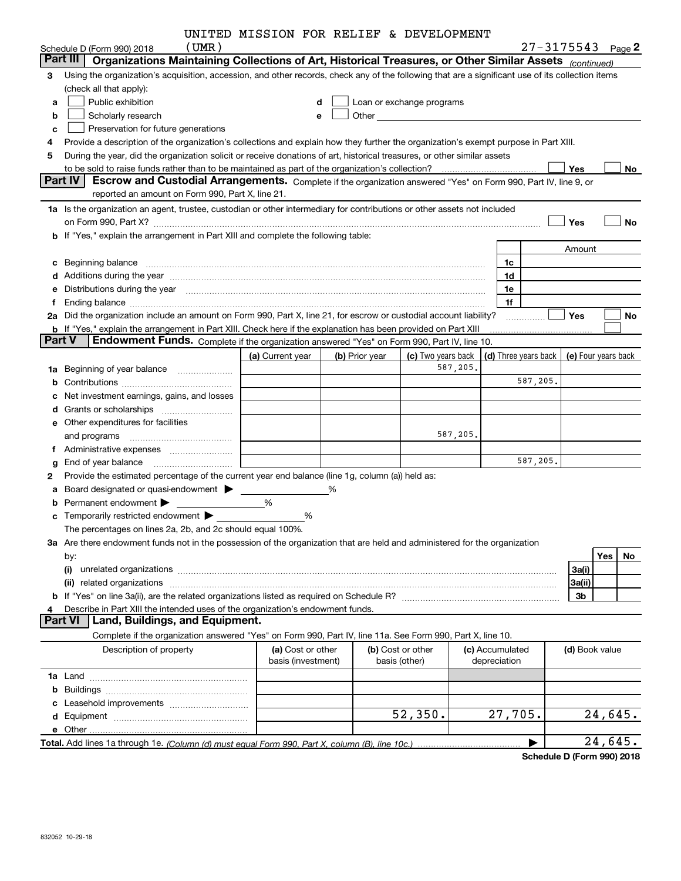|   |                                                                                                                                                                                                                                             |                                                                                                                                                                     | UNITED MISSION FOR RELIEF & DEVELOPMENT |   |                |                                                                                                                                                                                                                               |          |                                            |          |                       |           |
|---|---------------------------------------------------------------------------------------------------------------------------------------------------------------------------------------------------------------------------------------------|---------------------------------------------------------------------------------------------------------------------------------------------------------------------|-----------------------------------------|---|----------------|-------------------------------------------------------------------------------------------------------------------------------------------------------------------------------------------------------------------------------|----------|--------------------------------------------|----------|-----------------------|-----------|
|   | Schedule D (Form 990) 2018                                                                                                                                                                                                                  | (UMR)                                                                                                                                                               |                                         |   |                |                                                                                                                                                                                                                               |          |                                            |          | $27 - 3175543$ Page 2 |           |
|   | Part III                                                                                                                                                                                                                                    | Organizations Maintaining Collections of Art, Historical Treasures, or Other Similar Assets (continued)                                                             |                                         |   |                |                                                                                                                                                                                                                               |          |                                            |          |                       |           |
| 3 | Using the organization's acquisition, accession, and other records, check any of the following that are a significant use of its collection items                                                                                           |                                                                                                                                                                     |                                         |   |                |                                                                                                                                                                                                                               |          |                                            |          |                       |           |
|   | (check all that apply):                                                                                                                                                                                                                     |                                                                                                                                                                     |                                         |   |                |                                                                                                                                                                                                                               |          |                                            |          |                       |           |
| a | Public exhibition                                                                                                                                                                                                                           |                                                                                                                                                                     |                                         |   |                | Loan or exchange programs                                                                                                                                                                                                     |          |                                            |          |                       |           |
| b | Scholarly research                                                                                                                                                                                                                          |                                                                                                                                                                     |                                         |   |                | Other and the contract of the contract of the contract of the contract of the contract of the contract of the contract of the contract of the contract of the contract of the contract of the contract of the contract of the |          |                                            |          |                       |           |
| c | Preservation for future generations                                                                                                                                                                                                         |                                                                                                                                                                     |                                         |   |                |                                                                                                                                                                                                                               |          |                                            |          |                       |           |
|   | Provide a description of the organization's collections and explain how they further the organization's exempt purpose in Part XIII.                                                                                                        |                                                                                                                                                                     |                                         |   |                |                                                                                                                                                                                                                               |          |                                            |          |                       |           |
| 5 | During the year, did the organization solicit or receive donations of art, historical treasures, or other similar assets                                                                                                                    |                                                                                                                                                                     |                                         |   |                |                                                                                                                                                                                                                               |          |                                            |          |                       |           |
|   | to be sold to raise funds rather than to be maintained as part of the organization's collection?                                                                                                                                            |                                                                                                                                                                     |                                         |   |                |                                                                                                                                                                                                                               |          |                                            |          | Yes                   | No        |
|   | <b>Part IV</b>                                                                                                                                                                                                                              | Escrow and Custodial Arrangements. Complete if the organization answered "Yes" on Form 990, Part IV, line 9, or<br>reported an amount on Form 990, Part X, line 21. |                                         |   |                |                                                                                                                                                                                                                               |          |                                            |          |                       |           |
|   | 1a Is the organization an agent, trustee, custodian or other intermediary for contributions or other assets not included                                                                                                                    |                                                                                                                                                                     |                                         |   |                |                                                                                                                                                                                                                               |          |                                            |          |                       |           |
|   |                                                                                                                                                                                                                                             |                                                                                                                                                                     |                                         |   |                |                                                                                                                                                                                                                               |          |                                            |          |                       |           |
|   | on Form 990, Part X? [11] matter contracts and contracts and contracts are contracted and contracts are contracted and contract and contract of the contract of the contract of the contract of the contract of the contract o              |                                                                                                                                                                     |                                         |   |                |                                                                                                                                                                                                                               |          |                                            |          | Yes                   | No        |
|   | b If "Yes," explain the arrangement in Part XIII and complete the following table:                                                                                                                                                          |                                                                                                                                                                     |                                         |   |                |                                                                                                                                                                                                                               |          |                                            |          |                       |           |
|   |                                                                                                                                                                                                                                             |                                                                                                                                                                     |                                         |   |                |                                                                                                                                                                                                                               |          |                                            |          | Amount                |           |
|   | c Beginning balance measurements and the contract of Beginning balance measurements are all the contract of the contract of the contract of the contract of the contract of the contract of the contract of the contract of th              |                                                                                                                                                                     |                                         |   |                |                                                                                                                                                                                                                               |          | 1c                                         |          |                       |           |
|   | d Additions during the year measurements are all an according to the year measurement of the year measurement of the state of the state of the state of the state of the state of the state of the state of the state of the s              |                                                                                                                                                                     |                                         |   |                |                                                                                                                                                                                                                               |          | 1d                                         |          |                       |           |
|   | e Distributions during the year manufactured and continuum and contact the year manufactured and contact the year manufactured and contact the year manufactured and contact the year manufactured and contact the year manufa              |                                                                                                                                                                     |                                         |   |                |                                                                                                                                                                                                                               |          | 1e                                         |          |                       |           |
| f |                                                                                                                                                                                                                                             |                                                                                                                                                                     |                                         |   |                |                                                                                                                                                                                                                               |          | 1f                                         |          | <b>Yes</b>            | No        |
|   | 2a Did the organization include an amount on Form 990, Part X, line 21, for escrow or custodial account liability?<br><b>b</b> If "Yes," explain the arrangement in Part XIII. Check here if the explanation has been provided on Part XIII |                                                                                                                                                                     |                                         |   |                |                                                                                                                                                                                                                               |          |                                            |          |                       |           |
|   | <b>Part V</b>                                                                                                                                                                                                                               | Endowment Funds. Complete if the organization answered "Yes" on Form 990, Part IV, line 10.                                                                         |                                         |   |                |                                                                                                                                                                                                                               |          |                                            |          |                       |           |
|   |                                                                                                                                                                                                                                             |                                                                                                                                                                     | (a) Current year                        |   | (b) Prior year | (c) Two years back                                                                                                                                                                                                            |          | (d) Three years back   (e) Four years back |          |                       |           |
|   | 1a Beginning of year balance                                                                                                                                                                                                                |                                                                                                                                                                     |                                         |   |                |                                                                                                                                                                                                                               | 587,205. |                                            |          |                       |           |
| b |                                                                                                                                                                                                                                             |                                                                                                                                                                     |                                         |   |                |                                                                                                                                                                                                                               |          |                                            | 587,205. |                       |           |
|   | Net investment earnings, gains, and losses                                                                                                                                                                                                  |                                                                                                                                                                     |                                         |   |                |                                                                                                                                                                                                                               |          |                                            |          |                       |           |
|   |                                                                                                                                                                                                                                             |                                                                                                                                                                     |                                         |   |                |                                                                                                                                                                                                                               |          |                                            |          |                       |           |
|   | e Other expenditures for facilities                                                                                                                                                                                                         |                                                                                                                                                                     |                                         |   |                |                                                                                                                                                                                                                               |          |                                            |          |                       |           |
|   | and programs                                                                                                                                                                                                                                |                                                                                                                                                                     |                                         |   |                |                                                                                                                                                                                                                               | 587,205. |                                            |          |                       |           |
|   | f Administrative expenses <i>manually communicative</i>                                                                                                                                                                                     |                                                                                                                                                                     |                                         |   |                |                                                                                                                                                                                                                               |          |                                            |          |                       |           |
| g |                                                                                                                                                                                                                                             |                                                                                                                                                                     |                                         |   |                |                                                                                                                                                                                                                               |          |                                            | 587,205. |                       |           |
| 2 | Provide the estimated percentage of the current year end balance (line 1g, column (a)) held as:                                                                                                                                             |                                                                                                                                                                     |                                         |   |                |                                                                                                                                                                                                                               |          |                                            |          |                       |           |
| а | Board designated or quasi-endowment                                                                                                                                                                                                         |                                                                                                                                                                     |                                         | ℅ |                |                                                                                                                                                                                                                               |          |                                            |          |                       |           |
|   | Permanent endowment >                                                                                                                                                                                                                       |                                                                                                                                                                     | %                                       |   |                |                                                                                                                                                                                                                               |          |                                            |          |                       |           |
|   | c Temporarily restricted endowment $\blacktriangleright$                                                                                                                                                                                    |                                                                                                                                                                     |                                         | % |                |                                                                                                                                                                                                                               |          |                                            |          |                       |           |
|   | The percentages on lines 2a, 2b, and 2c should equal 100%.                                                                                                                                                                                  |                                                                                                                                                                     |                                         |   |                |                                                                                                                                                                                                                               |          |                                            |          |                       |           |
|   | 3a Are there endowment funds not in the possession of the organization that are held and administered for the organization                                                                                                                  |                                                                                                                                                                     |                                         |   |                |                                                                                                                                                                                                                               |          |                                            |          |                       |           |
|   | by:                                                                                                                                                                                                                                         |                                                                                                                                                                     |                                         |   |                |                                                                                                                                                                                                                               |          |                                            |          |                       | Yes<br>No |
|   | (i)                                                                                                                                                                                                                                         |                                                                                                                                                                     |                                         |   |                |                                                                                                                                                                                                                               |          |                                            |          | 3a(i)                 |           |
|   |                                                                                                                                                                                                                                             |                                                                                                                                                                     |                                         |   |                |                                                                                                                                                                                                                               |          |                                            |          | 3a(ii)                |           |
|   |                                                                                                                                                                                                                                             |                                                                                                                                                                     |                                         |   |                |                                                                                                                                                                                                                               |          |                                            |          | 3b                    |           |
| 4 | Describe in Part XIII the intended uses of the organization's endowment funds.                                                                                                                                                              |                                                                                                                                                                     |                                         |   |                |                                                                                                                                                                                                                               |          |                                            |          |                       |           |
|   | <b>Part VI</b>                                                                                                                                                                                                                              | Land, Buildings, and Equipment.                                                                                                                                     |                                         |   |                |                                                                                                                                                                                                                               |          |                                            |          |                       |           |
|   |                                                                                                                                                                                                                                             | Complete if the organization answered "Yes" on Form 990, Part IV, line 11a. See Form 990, Part X, line 10.                                                          |                                         |   |                |                                                                                                                                                                                                                               |          |                                            |          |                       |           |
|   | Description of property                                                                                                                                                                                                                     |                                                                                                                                                                     | (a) Cost or other<br>basis (investment) |   |                | (b) Cost or other<br>basis (other)                                                                                                                                                                                            |          | (c) Accumulated<br>depreciation            |          | (d) Book value        |           |
|   |                                                                                                                                                                                                                                             |                                                                                                                                                                     |                                         |   |                |                                                                                                                                                                                                                               |          |                                            |          |                       |           |
| b |                                                                                                                                                                                                                                             |                                                                                                                                                                     |                                         |   |                |                                                                                                                                                                                                                               |          |                                            |          |                       |           |
|   |                                                                                                                                                                                                                                             |                                                                                                                                                                     |                                         |   |                |                                                                                                                                                                                                                               |          |                                            |          |                       |           |
|   |                                                                                                                                                                                                                                             |                                                                                                                                                                     |                                         |   |                | 52,350.                                                                                                                                                                                                                       |          | 27,705.                                    |          |                       | 24,645.   |
|   |                                                                                                                                                                                                                                             |                                                                                                                                                                     |                                         |   |                |                                                                                                                                                                                                                               |          |                                            |          |                       |           |
|   |                                                                                                                                                                                                                                             |                                                                                                                                                                     |                                         |   |                |                                                                                                                                                                                                                               |          | ▶                                          |          |                       | 24,645.   |

**Schedule D (Form 990) 2018**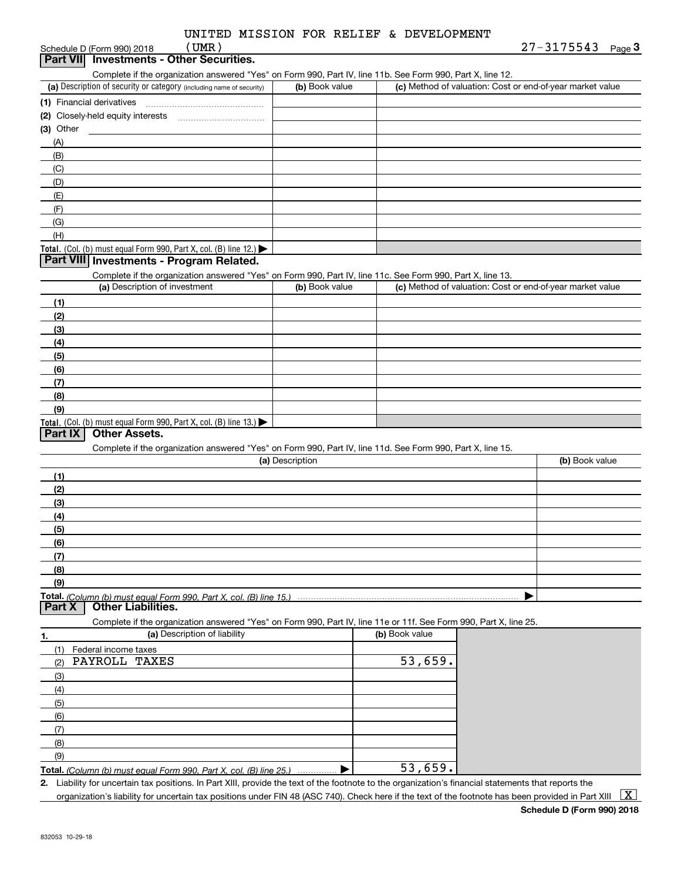#### (a) Description of security or category (including name of security)  $\vert$  (b) Book value  $\vert$  (c) Total. (Col. (b) must equal Form 990, Part X, col. (B) line 12.) Total. (Col. (b) must equal Form 990, Part X, col. (B) line 13.) **(1)** Financial derivatives ~~~~~~~~~~~~~~~ **(2)** Closely-held equity interests **(3)** Other (a) Description of investment **b (b)** Book value **(1)(2) (3)(4) (5)(6)(7)(8)(9)(a) (b)**  Description**(1)(2) (3)(4)(5) (6)(7) (8)(9)Total.**  *(Column (b) must equal Form 990, Part X, col. (B) line 15.)* **1.(a)** Description of liability **Book value (b)** Book value Schedule D (Form 990) 2018 Complete if the organization answered "Yes" on Form 990, Part IV, line 11b. See Form 990, Part X, line 12.  $(b)$  Book value  $\vert$  (c) Method of valuation: Cost or end-of-year market value ~~~~~~~~~~~(A)(B)(C)(D)(E)(F)(G)(H)Complete if the organization answered "Yes" on Form 990, Part IV, line 11c. See Form 990, Part X, line 13. (c) Method of valuation: Cost or end-of-year market value Complete if the organization answered "Yes" on Form 990, Part IV, line 11d. See Form 990, Part X, line 15. (b) Book value  $\blacktriangleright$ Complete if the organization answered "Yes" on Form 990, Part IV, line 11e or 11f. See Form 990, Part X, line 25. (1)Federal income taxes (2)(3)(4)(5)(6)(7)(8)(9)**Part VII Investments - Other Securities. Part VIII Investments - Program Related. Part IX Other Assets. Part X Other Liabilities.** (UMR) PAYROLL TAXES 53,659.

**Total.**  *(Column (b) must equal Form 990, Part X, col. (B) line 25.)* . . . . . . . . . . . . . . .  $\blacktriangleright$ 

**2.**Liability for uncertain tax positions. In Part XIII, provide the text of the footnote to the organization's financial statements that reports the

organization's liability for uncertain tax positions under FIN 48 (ASC 740). Check here if the text of the footnote has been provided in Part XIII  $\vert$  X  $\vert$ 

53,659.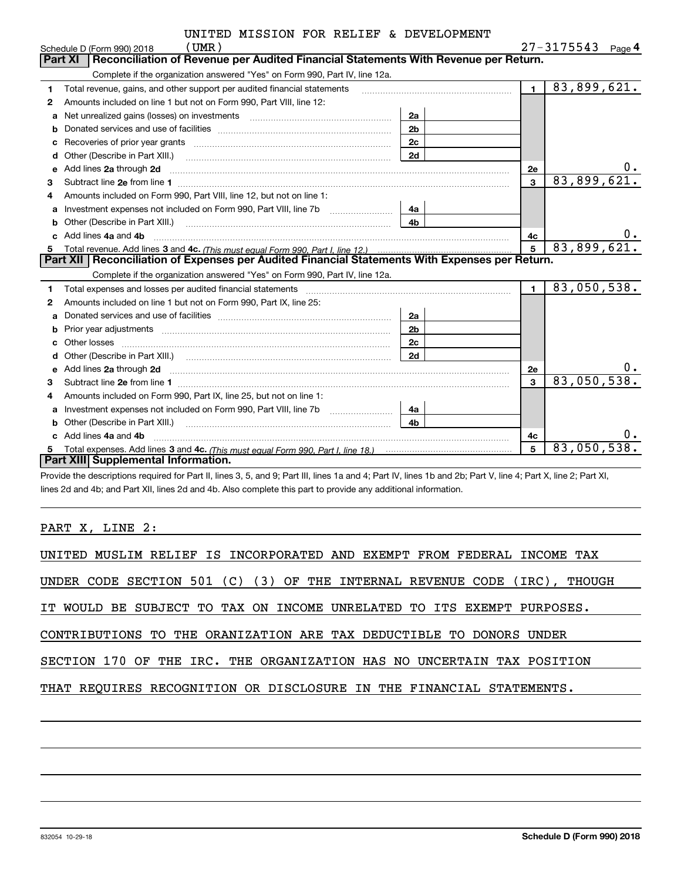|    | UMR)<br>Schedule D (Form 990) 2018                                                                                    |                |                | 27-3175543<br>Page $4$ |
|----|-----------------------------------------------------------------------------------------------------------------------|----------------|----------------|------------------------|
|    | Reconciliation of Revenue per Audited Financial Statements With Revenue per Return.<br>Part XI                        |                |                |                        |
|    | Complete if the organization answered "Yes" on Form 990, Part IV, line 12a.                                           |                |                |                        |
| 1  | Total revenue, gains, and other support per audited financial statements                                              |                | $\blacksquare$ | 83,899,621.            |
| 2  | Amounts included on line 1 but not on Form 990, Part VIII, line 12:                                                   |                |                |                        |
| a  | Net unrealized gains (losses) on investments [111] [12] matter and all the unrealized gains (losses) on investments   | 2a             |                |                        |
|    |                                                                                                                       | 2 <sub>b</sub> |                |                        |
| C  | Recoveries of prior year grants [111] with the content of prior with the coveries of prior year grants                | 2c             |                |                        |
| d  |                                                                                                                       | 2d             |                |                        |
| е  | Add lines 2a through 2d                                                                                               |                | 2e             |                        |
| З  |                                                                                                                       |                | $\mathbf{3}$   | 83,899,621.            |
| 4  | Amounts included on Form 990, Part VIII, line 12, but not on line 1:                                                  |                |                |                        |
| a  |                                                                                                                       | 4a             |                |                        |
| b  | Other (Describe in Part XIII.) <b>Construction Contract Construction</b> Chern Construction Construction Construction | 4 <sub>h</sub> |                |                        |
| C. | Add lines 4a and 4b                                                                                                   |                | 4c             | $0$ .                  |
| 5. |                                                                                                                       |                | 5              | 83,899,621.            |
|    | Part XII   Reconciliation of Expenses per Audited Financial Statements With Expenses per Return.                      |                |                |                        |
|    | Complete if the organization answered "Yes" on Form 990, Part IV, line 12a.                                           |                |                |                        |
| 1  | Total expenses and losses per audited financial statements                                                            |                | $\mathbf{1}$   | 83,050,538.            |
| 2  | Amounts included on line 1 but not on Form 990, Part IX, line 25:                                                     |                |                |                        |
| a  |                                                                                                                       | 2a             |                |                        |
| b  |                                                                                                                       | 2 <sub>b</sub> |                |                        |
| C  | Other losses                                                                                                          | 2c             |                |                        |
|    |                                                                                                                       | 2d             |                |                        |
| е  | Add lines 2a through 2d                                                                                               |                | <b>2e</b>      | 0.                     |
| 3  | Subtract line 2e from line 1                                                                                          |                | 3              | 83,050,538.            |
| 4  | Amounts included on Form 990, Part IX, line 25, but not on line 1:                                                    |                |                |                        |
| a  | Investment expenses not included on Form 990, Part VIII, line 7b [1000000000000000000000000000000000                  | 4a             |                |                        |
| b  |                                                                                                                       | 4b             |                |                        |
|    | Add lines 4a and 4b                                                                                                   |                | 4с             | 0.                     |
|    |                                                                                                                       |                | 5              | 83,050,538.            |
|    | Part XIII Supplemental Information.                                                                                   |                |                |                        |

Provide the descriptions required for Part II, lines 3, 5, and 9; Part III, lines 1a and 4; Part IV, lines 1b and 2b; Part V, line 4; Part X, line 2; Part XI, lines 2d and 4b; and Part XII, lines 2d and 4b. Also complete this part to provide any additional information.

PART X, LINE 2:

| UNITED MUSLIM RELIEF IS INCORPORATED AND EXEMPT FROM FEDERAL INCOME TAX   |
|---------------------------------------------------------------------------|
| UNDER CODE SECTION 501 (C) (3) OF THE INTERNAL REVENUE CODE (IRC), THOUGH |
| IT WOULD BE SUBJECT TO TAX ON INCOME UNRELATED TO ITS EXEMPT PURPOSES.    |
| CONTRIBUTIONS TO THE ORANIZATION ARE TAX DEDUCTIBLE TO DONORS UNDER       |
| SECTION 170 OF THE IRC. THE ORGANIZATION HAS NO UNCERTAIN TAX POSITION    |
| THAT REQUIRES RECOGNITION OR DISCLOSURE IN THE FINANCIAL STATEMENTS.      |
|                                                                           |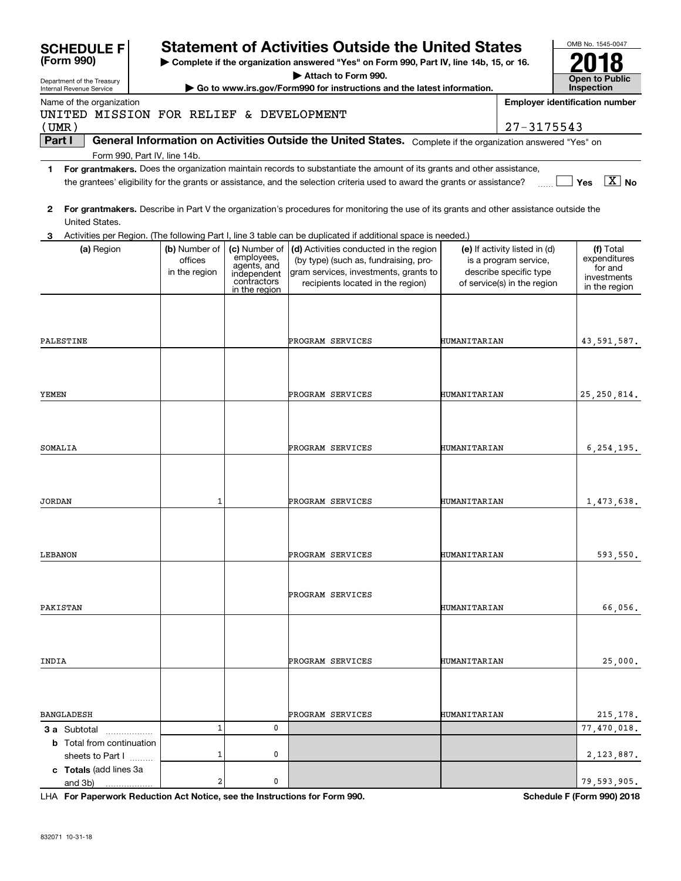| <b>SCHEDULE F</b><br>(Form 990)                        |                                           |                                                                          | <b>Statement of Activities Outside the United States</b><br>Complete if the organization answered "Yes" on Form 990, Part IV, line 14b, 15, or 16.<br>Attach to Form 990.                                                                            |              |                                                                                                                 | OMB No. 1545-0047                                                    |
|--------------------------------------------------------|-------------------------------------------|--------------------------------------------------------------------------|------------------------------------------------------------------------------------------------------------------------------------------------------------------------------------------------------------------------------------------------------|--------------|-----------------------------------------------------------------------------------------------------------------|----------------------------------------------------------------------|
| Department of the Treasury<br>Internal Revenue Service |                                           |                                                                          | Go to www.irs.gov/Form990 for instructions and the latest information.                                                                                                                                                                               |              |                                                                                                                 | <b>Open to Public</b><br>Inspection                                  |
| Name of the organization                               |                                           |                                                                          |                                                                                                                                                                                                                                                      |              |                                                                                                                 | <b>Employer identification number</b>                                |
| UNITED MISSION FOR RELIEF & DEVELOPMENT<br>(UMR)       |                                           |                                                                          |                                                                                                                                                                                                                                                      |              | 27-3175543                                                                                                      |                                                                      |
| Part I                                                 |                                           |                                                                          | General Information on Activities Outside the United States. Complete if the organization answered "Yes" on                                                                                                                                          |              |                                                                                                                 |                                                                      |
| Form 990, Part IV, line 14b.                           |                                           |                                                                          |                                                                                                                                                                                                                                                      |              |                                                                                                                 |                                                                      |
| 1                                                      |                                           |                                                                          | For grantmakers. Does the organization maintain records to substantiate the amount of its grants and other assistance,<br>the grantees' eligibility for the grants or assistance, and the selection criteria used to award the grants or assistance? |              |                                                                                                                 | $\overline{X}$ No<br>Yes                                             |
| 2<br>United States.                                    |                                           |                                                                          | For grantmakers. Describe in Part V the organization's procedures for monitoring the use of its grants and other assistance outside the                                                                                                              |              |                                                                                                                 |                                                                      |
|                                                        |                                           |                                                                          | Activities per Region. (The following Part I, line 3 table can be duplicated if additional space is needed.)                                                                                                                                         |              |                                                                                                                 |                                                                      |
| (a) Region                                             | (b) Number of<br>offices<br>in the region | employees,<br>agents, and<br>independent<br>contractors<br>in the region | (c) Number of $ $ (d) Activities conducted in the region<br>(by type) (such as, fundraising, pro-<br>gram services, investments, grants to<br>recipients located in the region)                                                                      |              | (e) If activity listed in (d)<br>is a program service,<br>describe specific type<br>of service(s) in the region | (f) Total<br>expenditures<br>for and<br>investments<br>in the region |
|                                                        |                                           |                                                                          |                                                                                                                                                                                                                                                      |              |                                                                                                                 |                                                                      |
| PALESTINE                                              |                                           |                                                                          | PROGRAM SERVICES                                                                                                                                                                                                                                     | HUMANITARIAN |                                                                                                                 | 43,591,587.                                                          |
|                                                        |                                           |                                                                          |                                                                                                                                                                                                                                                      |              |                                                                                                                 |                                                                      |
| YEMEN                                                  |                                           |                                                                          | PROGRAM SERVICES                                                                                                                                                                                                                                     | HUMANITARIAN |                                                                                                                 | 25, 250, 814.                                                        |
| SOMALIA                                                |                                           |                                                                          | PROGRAM SERVICES                                                                                                                                                                                                                                     | HUMANITARIAN |                                                                                                                 | 6, 254, 195.                                                         |
| <b>JORDAN</b>                                          | 1                                         |                                                                          | PROGRAM SERVICES                                                                                                                                                                                                                                     | HUMANITARIAN |                                                                                                                 | 1,473,638.                                                           |
|                                                        |                                           |                                                                          |                                                                                                                                                                                                                                                      |              |                                                                                                                 |                                                                      |
| LEBANON                                                |                                           |                                                                          | PROGRAM SERVICES                                                                                                                                                                                                                                     | HUMANITARIAN |                                                                                                                 | 593,550.                                                             |
| PAKISTAN                                               |                                           |                                                                          | PROGRAM SERVICES                                                                                                                                                                                                                                     | HUMANITARIAN |                                                                                                                 | 66,056.                                                              |
|                                                        |                                           |                                                                          |                                                                                                                                                                                                                                                      |              |                                                                                                                 |                                                                      |
| INDIA                                                  |                                           |                                                                          | PROGRAM SERVICES                                                                                                                                                                                                                                     | HUMANITARIAN |                                                                                                                 | 25,000.                                                              |
|                                                        |                                           |                                                                          |                                                                                                                                                                                                                                                      |              |                                                                                                                 |                                                                      |
| <b>BANGLADESH</b>                                      |                                           |                                                                          | PROGRAM SERVICES                                                                                                                                                                                                                                     | HUMANITARIAN |                                                                                                                 | 215, 178.                                                            |
| <b>3 a</b> Subtotal                                    | $\mathbf 1$                               | 0                                                                        |                                                                                                                                                                                                                                                      |              |                                                                                                                 | 77,470,018.                                                          |
| <b>b</b> Total from continuation<br>sheets to Part I   | 1                                         | 0                                                                        |                                                                                                                                                                                                                                                      |              |                                                                                                                 | 2, 123, 887.                                                         |
| c Totals (add lines 3a<br>and 3b)                      | 2                                         | 0                                                                        |                                                                                                                                                                                                                                                      |              |                                                                                                                 | 79,593,905.                                                          |

**For Paperwork Reduction Act Notice, see the Instructions for Form 990. Schedule F (Form 990) 2018** LHA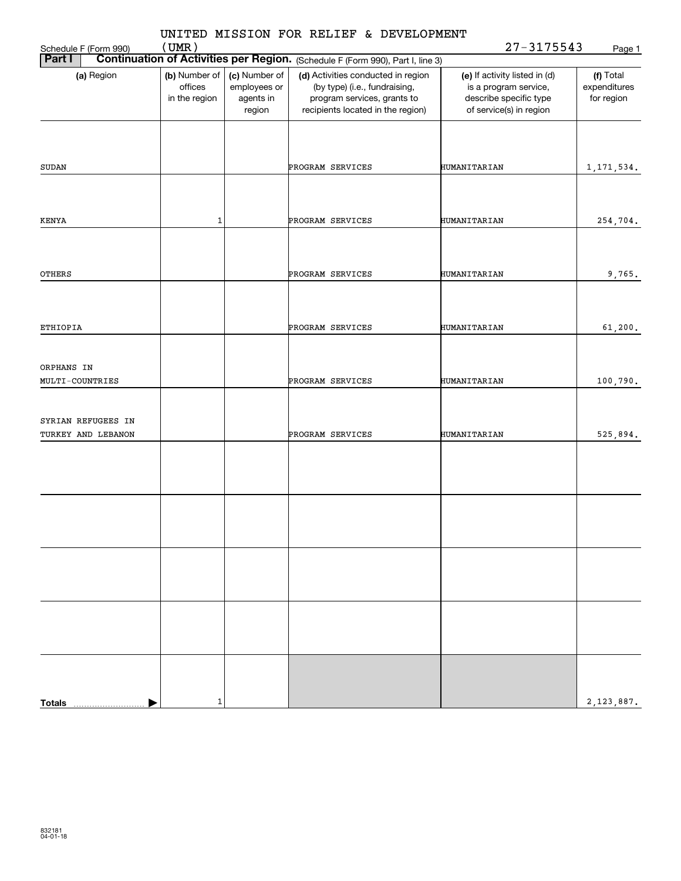|               |                                          |                                           |                                                      | UNITED MISSION FOR RELIEF & DEVELOPMENT                                                                                                 |                                                                                                             |                                         |
|---------------|------------------------------------------|-------------------------------------------|------------------------------------------------------|-----------------------------------------------------------------------------------------------------------------------------------------|-------------------------------------------------------------------------------------------------------------|-----------------------------------------|
|               | Schedule F (Form 990)                    | (UMR)                                     |                                                      |                                                                                                                                         | $27 - 3175543$                                                                                              | Page 1                                  |
| Part I        |                                          |                                           |                                                      | <b>Continuation of Activities per Region.</b> (Schedule F (Form 990), Part I, line 3)                                                   |                                                                                                             |                                         |
|               | (a) Region                               | (b) Number of<br>offices<br>in the region | (c) Number of<br>employees or<br>agents in<br>region | (d) Activities conducted in region<br>(by type) (i.e., fundraising,<br>program services, grants to<br>recipients located in the region) | (e) If activity listed in (d)<br>is a program service,<br>describe specific type<br>of service(s) in region | (f) Total<br>expenditures<br>for region |
|               |                                          |                                           |                                                      |                                                                                                                                         |                                                                                                             |                                         |
| SUDAN         |                                          |                                           |                                                      | PROGRAM SERVICES                                                                                                                        | HUMANITARIAN                                                                                                | 1, 171, 534.                            |
| KENYA         |                                          | $\mathbf 1$                               |                                                      | PROGRAM SERVICES                                                                                                                        | HUMANITARIAN                                                                                                | 254,704.                                |
|               |                                          |                                           |                                                      |                                                                                                                                         |                                                                                                             |                                         |
| OTHERS        |                                          |                                           |                                                      | PROGRAM SERVICES                                                                                                                        | HUMANITARIAN                                                                                                | 9,765.                                  |
|               |                                          |                                           |                                                      |                                                                                                                                         |                                                                                                             |                                         |
| ETHIOPIA      |                                          |                                           |                                                      | PROGRAM SERVICES                                                                                                                        | HUMANITARIAN                                                                                                | 61, 200.                                |
| ORPHANS IN    |                                          |                                           |                                                      |                                                                                                                                         |                                                                                                             |                                         |
|               | MULTI-COUNTRIES                          |                                           |                                                      | PROGRAM SERVICES                                                                                                                        | HUMANITARIAN                                                                                                | 100,790.                                |
|               | SYRIAN REFUGEES IN<br>TURKEY AND LEBANON |                                           |                                                      | PROGRAM SERVICES                                                                                                                        | HUMANITARIAN                                                                                                | 525,894.                                |
|               |                                          |                                           |                                                      |                                                                                                                                         |                                                                                                             |                                         |
|               |                                          |                                           |                                                      |                                                                                                                                         |                                                                                                             |                                         |
|               |                                          |                                           |                                                      |                                                                                                                                         |                                                                                                             |                                         |
|               |                                          |                                           |                                                      |                                                                                                                                         |                                                                                                             |                                         |
|               |                                          |                                           |                                                      |                                                                                                                                         |                                                                                                             |                                         |
|               |                                          |                                           |                                                      |                                                                                                                                         |                                                                                                             |                                         |
|               |                                          |                                           |                                                      |                                                                                                                                         |                                                                                                             |                                         |
| <b>Totals</b> |                                          | 1                                         |                                                      |                                                                                                                                         |                                                                                                             | 2, 123, 887.                            |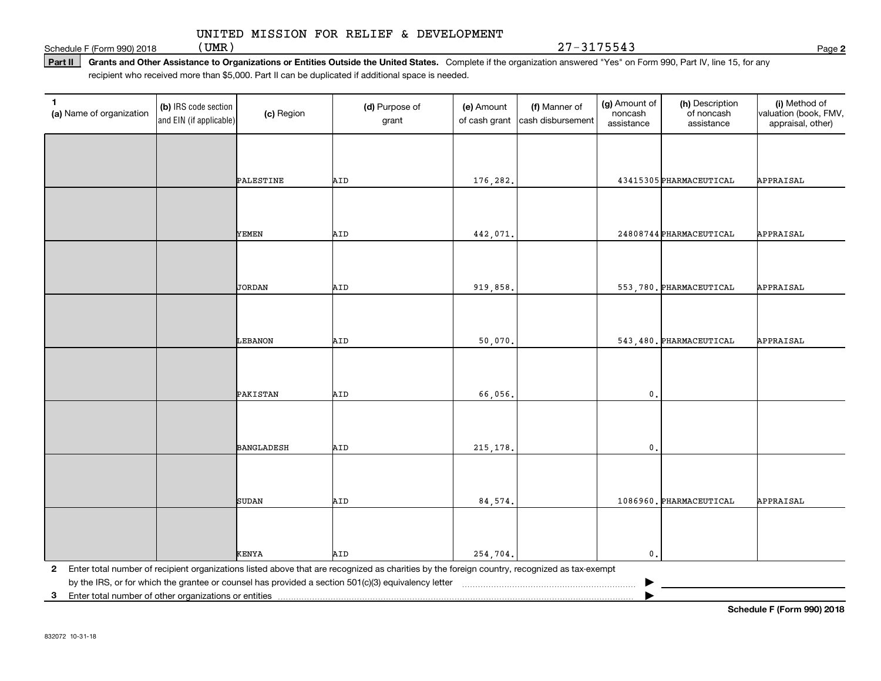(UMR) 27-3175543

Schedule F (Form 990) 2018  $(UMR)$ 

Part II | Grants and Other Assistance to Organizations or Entities Outside the United States. Complete if the organization answered "Yes" on Form 990, Part IV, line 15, for any recipient who received more than \$5,000. Part II can be duplicated if additional space is needed.

| $\mathbf{1}$<br>(a) Name of organization                | (b) IRS code section<br>and EIN (if applicable) | (c) Region        | (d) Purpose of<br>grant                                                                                                                      | (e) Amount<br>of cash grant | (f) Manner of<br>cash disbursement | (g) Amount of<br>noncash<br>assistance | (h) Description<br>of noncash<br>assistance | (i) Method of<br>valuation (book, FMV,<br>appraisal, other) |
|---------------------------------------------------------|-------------------------------------------------|-------------------|----------------------------------------------------------------------------------------------------------------------------------------------|-----------------------------|------------------------------------|----------------------------------------|---------------------------------------------|-------------------------------------------------------------|
|                                                         |                                                 |                   |                                                                                                                                              |                             |                                    |                                        |                                             |                                                             |
|                                                         |                                                 | PALESTINE         | AID                                                                                                                                          | 176,282.                    |                                    |                                        | 43415305 PHARMACEUTICAL                     | APPRAISAL                                                   |
|                                                         |                                                 |                   |                                                                                                                                              |                             |                                    |                                        |                                             |                                                             |
|                                                         |                                                 | YEMEN             | AID                                                                                                                                          | 442,071.                    |                                    |                                        | 24808744 PHARMACEUTICAL                     | APPRAISAL                                                   |
|                                                         |                                                 |                   |                                                                                                                                              |                             |                                    |                                        |                                             |                                                             |
|                                                         |                                                 | JORDAN            | AID                                                                                                                                          | 919,858.                    |                                    |                                        | 553,780. PHARMACEUTICAL                     | APPRAISAL                                                   |
|                                                         |                                                 |                   |                                                                                                                                              |                             |                                    |                                        |                                             |                                                             |
|                                                         |                                                 | LEBANON           | AID                                                                                                                                          | 50,070                      |                                    |                                        | 543,480. PHARMACEUTICAL                     | APPRAISAL                                                   |
|                                                         |                                                 |                   |                                                                                                                                              |                             |                                    |                                        |                                             |                                                             |
|                                                         |                                                 | PAKISTAN          | AID                                                                                                                                          | 66,056.                     |                                    | $\mathfrak o$ .                        |                                             |                                                             |
|                                                         |                                                 |                   |                                                                                                                                              |                             |                                    |                                        |                                             |                                                             |
|                                                         |                                                 | <b>BANGLADESH</b> | AID                                                                                                                                          | 215, 178.                   |                                    | $\mathbf{0}$                           |                                             |                                                             |
|                                                         |                                                 |                   |                                                                                                                                              |                             |                                    |                                        |                                             |                                                             |
|                                                         |                                                 | <b>SUDAN</b>      | AID                                                                                                                                          | 84,574.                     |                                    |                                        | 1086960. PHARMACEUTICAL                     | APPRAISAL                                                   |
|                                                         |                                                 |                   |                                                                                                                                              |                             |                                    |                                        |                                             |                                                             |
|                                                         |                                                 | KENYA             | AID                                                                                                                                          | 254,704.                    |                                    | $\mathbf{0}$ .                         |                                             |                                                             |
| $\mathbf{2}$                                            |                                                 |                   | Enter total number of recipient organizations listed above that are recognized as charities by the foreign country, recognized as tax-exempt |                             |                                    |                                        |                                             |                                                             |
|                                                         |                                                 |                   | by the IRS, or for which the grantee or counsel has provided a section 501(c)(3) equivalency letter                                          |                             |                                    |                                        |                                             |                                                             |
| 3 Enter total number of other organizations or entities |                                                 |                   |                                                                                                                                              |                             |                                    |                                        |                                             |                                                             |

**2**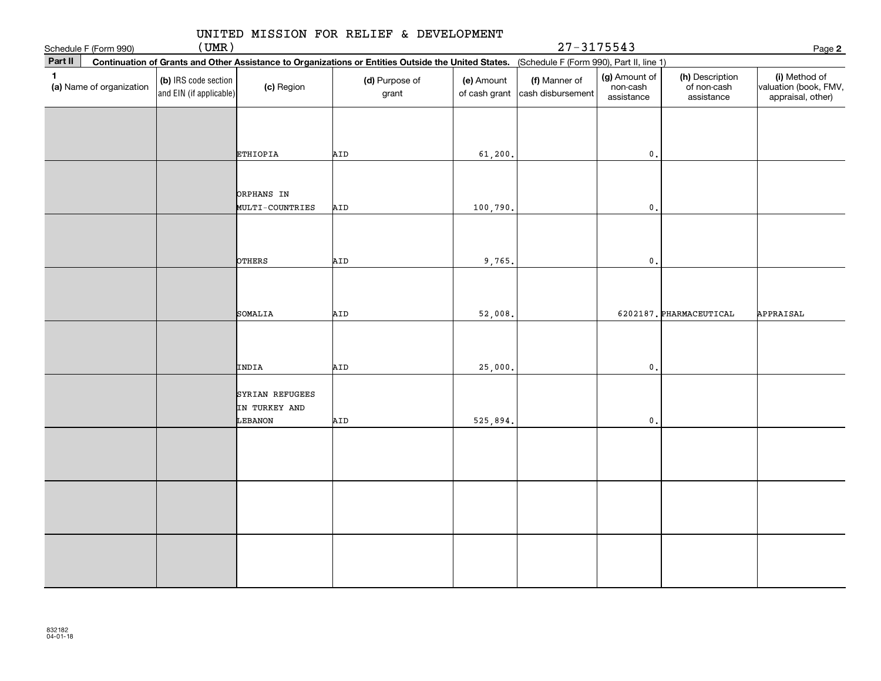| Schedule F (Form 990)                    | (UMR)                                           |                                                      |                                                                                                                                              |                             | $27 - 3175543$                     |                                         |                                              | Page 2                                                      |
|------------------------------------------|-------------------------------------------------|------------------------------------------------------|----------------------------------------------------------------------------------------------------------------------------------------------|-----------------------------|------------------------------------|-----------------------------------------|----------------------------------------------|-------------------------------------------------------------|
| Part II                                  |                                                 |                                                      | Continuation of Grants and Other Assistance to Organizations or Entities Outside the United States. (Schedule F (Form 990), Part II, line 1) |                             |                                    |                                         |                                              |                                                             |
| $\mathbf{1}$<br>(a) Name of organization | (b) IRS code section<br>and EIN (if applicable) | (c) Region                                           | (d) Purpose of<br>grant                                                                                                                      | (e) Amount<br>of cash grant | (f) Manner of<br>cash disbursement | (g) Amount of<br>non-cash<br>assistance | (h) Description<br>of non-cash<br>assistance | (i) Method of<br>valuation (book, FMV,<br>appraisal, other) |
|                                          |                                                 | <b>ETHIOPIA</b>                                      | AID                                                                                                                                          | 61,200.                     |                                    | $\mathbf 0$ .                           |                                              |                                                             |
|                                          |                                                 | <b>ORPHANS IN</b>                                    |                                                                                                                                              |                             |                                    |                                         |                                              |                                                             |
|                                          |                                                 | MULTI-COUNTRIES                                      | AID                                                                                                                                          | 100,790.                    |                                    | $\mathfrak o$ .                         |                                              |                                                             |
|                                          |                                                 | <b>OTHERS</b>                                        | AID                                                                                                                                          | 9,765.                      |                                    | $\mathbf{0}$ .                          |                                              |                                                             |
|                                          |                                                 | SOMALIA                                              | AID                                                                                                                                          | 52,008.                     |                                    |                                         | 6202187. PHARMACEUTICAL                      | APPRAISAL                                                   |
|                                          |                                                 |                                                      |                                                                                                                                              |                             |                                    | $\mathbf{0}$ .                          |                                              |                                                             |
|                                          |                                                 | INDIA<br>SYRIAN REFUGEES<br>IN TURKEY AND<br>LEBANON | AID<br>AID                                                                                                                                   | 25,000.<br>525,894.         |                                    | $\mathsf{0}$ .                          |                                              |                                                             |
|                                          |                                                 |                                                      |                                                                                                                                              |                             |                                    |                                         |                                              |                                                             |
|                                          |                                                 |                                                      |                                                                                                                                              |                             |                                    |                                         |                                              |                                                             |
|                                          |                                                 |                                                      |                                                                                                                                              |                             |                                    |                                         |                                              |                                                             |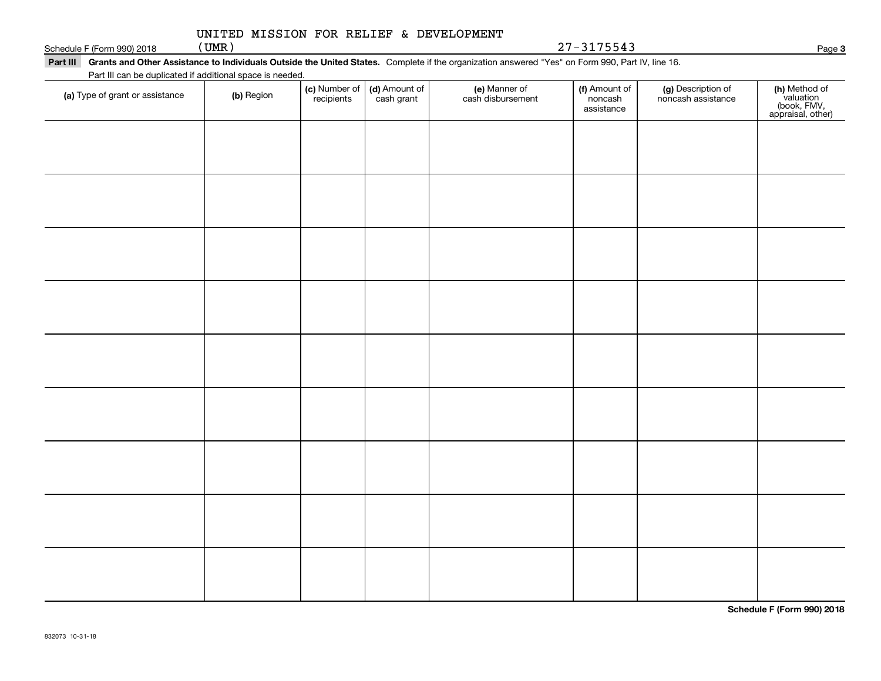#### Schedule F (Form 990) 2018  $(UMR)$ UNITED MISSION FOR RELIEF & DEVELOPMENT

Part III Grants and Other Assistance to Individuals Outside the United States. Complete if the organization answered "Yes" on Form 990, Part IV, line 16. Part III can be duplicated if additional space is needed.

| T are in car be depiled to a dominal space is riceded.<br>(a) Type of grant or assistance | (b) Region | (c) Number of<br>recipients | (d) Amount of<br>cash grant | (e) Manner of<br>cash disbursement | (f) Amount of<br>noncash<br>assistance | (g) Description of<br>noncash assistance | (h) Method of<br>valuation<br>(book, FMV,<br>appraisal, other) |
|-------------------------------------------------------------------------------------------|------------|-----------------------------|-----------------------------|------------------------------------|----------------------------------------|------------------------------------------|----------------------------------------------------------------|
|                                                                                           |            |                             |                             |                                    |                                        |                                          |                                                                |
|                                                                                           |            |                             |                             |                                    |                                        |                                          |                                                                |
|                                                                                           |            |                             |                             |                                    |                                        |                                          |                                                                |
|                                                                                           |            |                             |                             |                                    |                                        |                                          |                                                                |
|                                                                                           |            |                             |                             |                                    |                                        |                                          |                                                                |
|                                                                                           |            |                             |                             |                                    |                                        |                                          |                                                                |
|                                                                                           |            |                             |                             |                                    |                                        |                                          |                                                                |
|                                                                                           |            |                             |                             |                                    |                                        |                                          |                                                                |
|                                                                                           |            |                             |                             |                                    |                                        |                                          |                                                                |
|                                                                                           |            |                             |                             |                                    |                                        |                                          |                                                                |
|                                                                                           |            |                             |                             |                                    |                                        |                                          |                                                                |
|                                                                                           |            |                             |                             |                                    |                                        |                                          |                                                                |
|                                                                                           |            |                             |                             |                                    |                                        |                                          |                                                                |
|                                                                                           |            |                             |                             |                                    |                                        |                                          |                                                                |

**3**

**Schedule F (Form 990) 2018**

(UMR) 27-3175543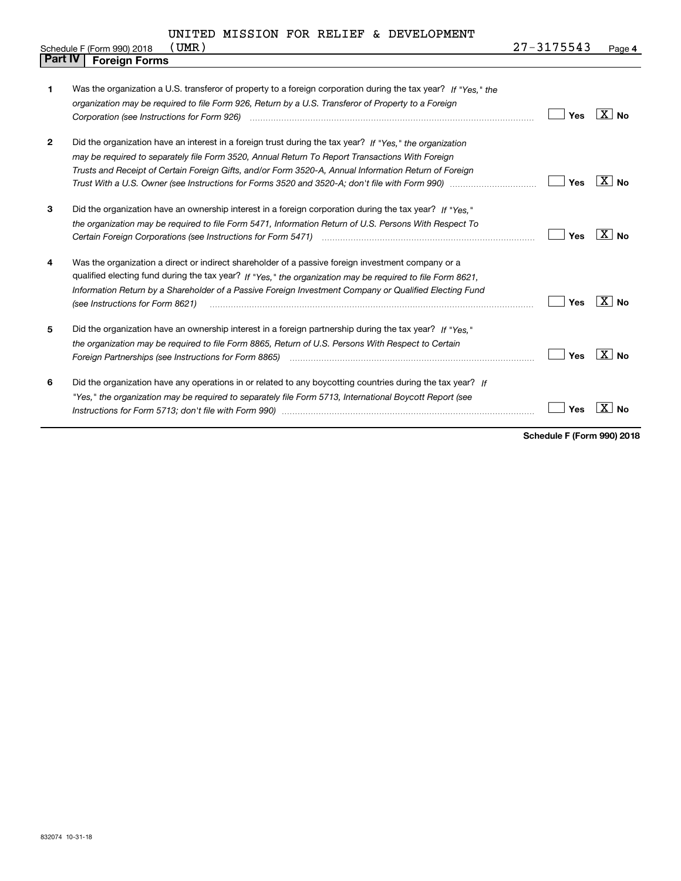|              | UMR)<br>Schedule F (Form 990) 2018                                                                                                                                                                                                                                                                                                                             | 27-3175543 | Page 4                    |
|--------------|----------------------------------------------------------------------------------------------------------------------------------------------------------------------------------------------------------------------------------------------------------------------------------------------------------------------------------------------------------------|------------|---------------------------|
| Part IV      | <b>Foreign Forms</b>                                                                                                                                                                                                                                                                                                                                           |            |                           |
| 1            | Was the organization a U.S. transferor of property to a foreign corporation during the tax year? If "Yes," the<br>organization may be required to file Form 926, Return by a U.S. Transferor of Property to a Foreign<br>Corporation (see Instructions for Form 926) manufactured controller controller to the control of the control of                       | Yes        | ΧI<br><b>No</b>           |
| $\mathbf{2}$ | Did the organization have an interest in a foreign trust during the tax year? If "Yes." the organization<br>may be required to separately file Form 3520, Annual Return To Report Transactions With Foreign<br>Trusts and Receipt of Certain Foreign Gifts, and/or Form 3520-A, Annual Information Return of Foreign                                           | Yes        | <b>No</b>                 |
| 3            | Did the organization have an ownership interest in a foreign corporation during the tax year? If "Yes."<br>the organization may be required to file Form 5471, Information Return of U.S. Persons With Respect To                                                                                                                                              | Yes        | $X \mid N_{0}$            |
| 4            | Was the organization a direct or indirect shareholder of a passive foreign investment company or a<br>qualified electing fund during the tax year? If "Yes," the organization may be required to file Form 8621,<br>Information Return by a Shareholder of a Passive Foreign Investment Company or Qualified Electing Fund<br>(see Instructions for Form 8621) | Yes        | $\mathbf{X}$<br><b>No</b> |
| 5            | Did the organization have an ownership interest in a foreign partnership during the tax year? If "Yes."<br>the organization may be required to file Form 8865, Return of U.S. Persons With Respect to Certain                                                                                                                                                  | Yes        | $X \mid N_{0}$            |
| 6            | Did the organization have any operations in or related to any boycotting countries during the tax year? If<br>"Yes," the organization may be required to separately file Form 5713, International Boycott Report (see                                                                                                                                          | Yes        | ΧI<br>No                  |

**Schedule F (Form 990) 2018**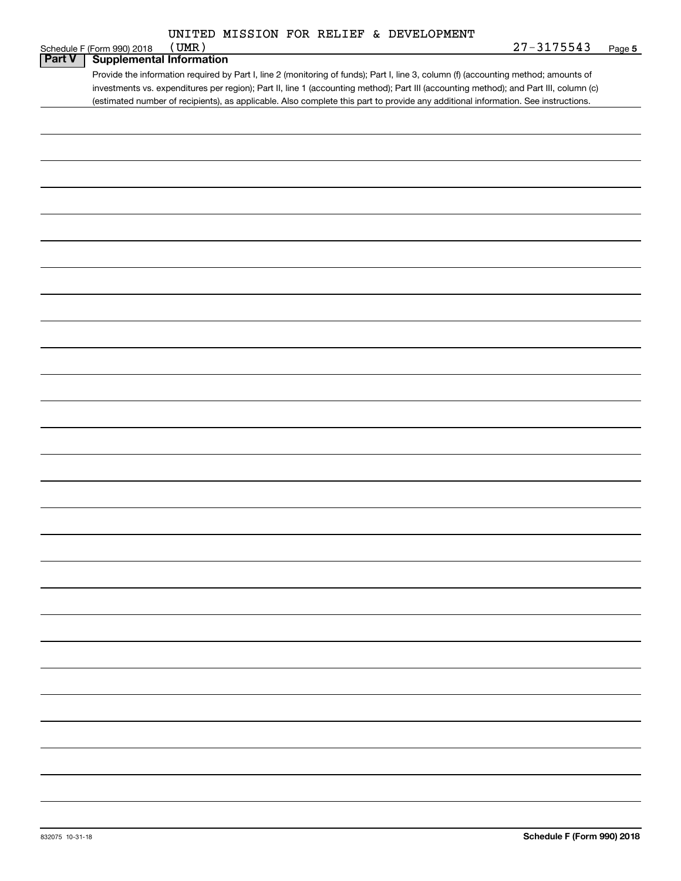| UNITED MISSION FOR RELIEF & DEVELOPMENT |  |
|-----------------------------------------|--|
|                                         |  |

|               | (UMR)<br>Schedule F (Form 990) 2018                                                                                                                                                                                                                                          | <u>27-3175543</u> | Page 5 |
|---------------|------------------------------------------------------------------------------------------------------------------------------------------------------------------------------------------------------------------------------------------------------------------------------|-------------------|--------|
| <b>Part V</b> | <b>Supplemental Information</b>                                                                                                                                                                                                                                              |                   |        |
|               | Provide the information required by Part I, line 2 (monitoring of funds); Part I, line 3, column (f) (accounting method; amounts of<br>investments vs. expenditures per region); Part II, line 1 (accounting method); Part III (accounting method); and Part III, column (c) |                   |        |
|               | (estimated number of recipients), as applicable. Also complete this part to provide any additional information. See instructions.                                                                                                                                            |                   |        |
|               |                                                                                                                                                                                                                                                                              |                   |        |
|               |                                                                                                                                                                                                                                                                              |                   |        |
|               |                                                                                                                                                                                                                                                                              |                   |        |
|               |                                                                                                                                                                                                                                                                              |                   |        |
|               |                                                                                                                                                                                                                                                                              |                   |        |
|               |                                                                                                                                                                                                                                                                              |                   |        |
|               |                                                                                                                                                                                                                                                                              |                   |        |
|               |                                                                                                                                                                                                                                                                              |                   |        |
|               |                                                                                                                                                                                                                                                                              |                   |        |
|               |                                                                                                                                                                                                                                                                              |                   |        |
|               |                                                                                                                                                                                                                                                                              |                   |        |
|               |                                                                                                                                                                                                                                                                              |                   |        |
|               |                                                                                                                                                                                                                                                                              |                   |        |
|               |                                                                                                                                                                                                                                                                              |                   |        |
|               |                                                                                                                                                                                                                                                                              |                   |        |
|               |                                                                                                                                                                                                                                                                              |                   |        |
|               |                                                                                                                                                                                                                                                                              |                   |        |
|               |                                                                                                                                                                                                                                                                              |                   |        |
|               |                                                                                                                                                                                                                                                                              |                   |        |
|               |                                                                                                                                                                                                                                                                              |                   |        |
|               |                                                                                                                                                                                                                                                                              |                   |        |
|               |                                                                                                                                                                                                                                                                              |                   |        |
|               |                                                                                                                                                                                                                                                                              |                   |        |
|               |                                                                                                                                                                                                                                                                              |                   |        |
|               |                                                                                                                                                                                                                                                                              |                   |        |
|               |                                                                                                                                                                                                                                                                              |                   |        |
|               |                                                                                                                                                                                                                                                                              |                   |        |
|               |                                                                                                                                                                                                                                                                              |                   |        |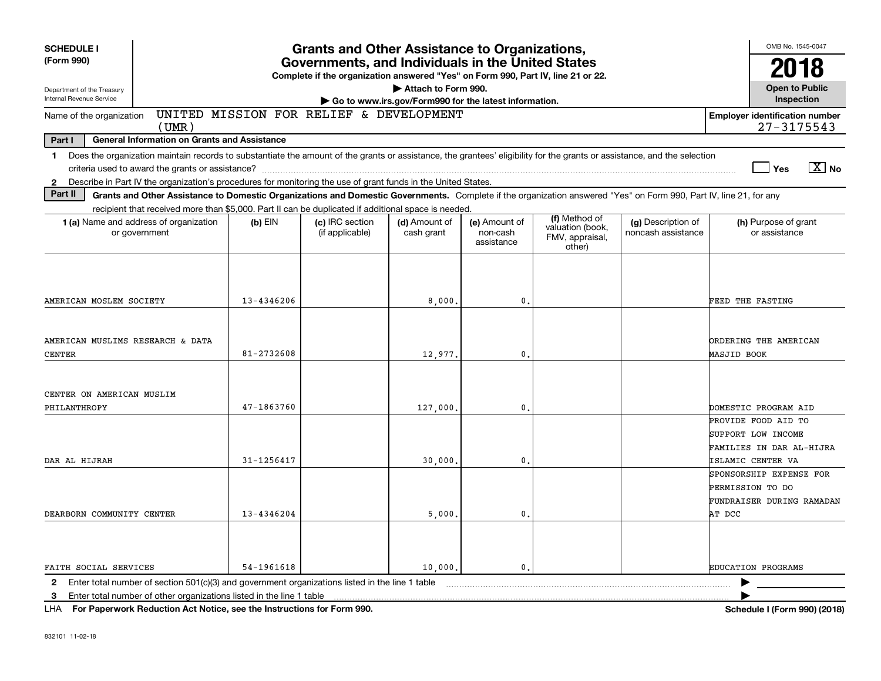| <b>SCHEDULE I</b>                                      |                                                                                                                                                                                                                                                                                           |                | <b>Grants and Other Assistance to Organizations,</b>                                                                                  |                                                                              |                                         |                                               |                                          | OMB No. 1545-0047                                                                                 |                       |
|--------------------------------------------------------|-------------------------------------------------------------------------------------------------------------------------------------------------------------------------------------------------------------------------------------------------------------------------------------------|----------------|---------------------------------------------------------------------------------------------------------------------------------------|------------------------------------------------------------------------------|-----------------------------------------|-----------------------------------------------|------------------------------------------|---------------------------------------------------------------------------------------------------|-----------------------|
| (Form 990)                                             |                                                                                                                                                                                                                                                                                           |                | Governments, and Individuals in the United States<br>Complete if the organization answered "Yes" on Form 990, Part IV, line 21 or 22. |                                                                              |                                         |                                               |                                          |                                                                                                   | 18                    |
| Department of the Treasury<br>Internal Revenue Service |                                                                                                                                                                                                                                                                                           |                |                                                                                                                                       | Attach to Form 990.<br>Go to www.irs.gov/Form990 for the latest information. |                                         |                                               |                                          | <b>Open to Public</b><br>Inspection                                                               |                       |
| Name of the organization                               | (UMR)                                                                                                                                                                                                                                                                                     |                | UNITED MISSION FOR RELIEF & DEVELOPMENT                                                                                               |                                                                              |                                         |                                               |                                          | <b>Employer identification number</b><br>$27 - 3175543$                                           |                       |
| Part I                                                 | <b>General Information on Grants and Assistance</b>                                                                                                                                                                                                                                       |                |                                                                                                                                       |                                                                              |                                         |                                               |                                          |                                                                                                   |                       |
| $\mathbf 1$<br>$\mathbf{2}$                            | Does the organization maintain records to substantiate the amount of the grants or assistance, the grantees' eligibility for the grants or assistance, and the selection<br>Describe in Part IV the organization's procedures for monitoring the use of grant funds in the United States. |                |                                                                                                                                       |                                                                              |                                         |                                               |                                          | Yes                                                                                               | $\boxed{\text{X}}$ No |
| Part II                                                | Grants and Other Assistance to Domestic Organizations and Domestic Governments. Complete if the organization answered "Yes" on Form 990, Part IV, line 21, for any                                                                                                                        |                |                                                                                                                                       |                                                                              |                                         |                                               |                                          |                                                                                                   |                       |
|                                                        | recipient that received more than \$5,000. Part II can be duplicated if additional space is needed.                                                                                                                                                                                       |                |                                                                                                                                       |                                                                              |                                         | (f) Method of                                 |                                          |                                                                                                   |                       |
|                                                        | 1 (a) Name and address of organization<br>or government                                                                                                                                                                                                                                   | $(b)$ EIN      | (c) IRC section<br>(if applicable)                                                                                                    | (d) Amount of<br>cash grant                                                  | (e) Amount of<br>non-cash<br>assistance | valuation (book,<br>FMV, appraisal,<br>other) | (g) Description of<br>noncash assistance | (h) Purpose of grant<br>or assistance                                                             |                       |
| AMERICAN MOSLEM SOCIETY                                |                                                                                                                                                                                                                                                                                           | 13-4346206     |                                                                                                                                       | 8,000,                                                                       | 0.                                      |                                               |                                          | FEED THE FASTING                                                                                  |                       |
| AMERICAN MUSLIMS RESEARCH & DATA<br><b>CENTER</b>      |                                                                                                                                                                                                                                                                                           | $81 - 2732608$ |                                                                                                                                       | 12,977.                                                                      | 0.                                      |                                               |                                          | ORDERING THE AMERICAN<br>MASJID BOOK                                                              |                       |
| CENTER ON AMERICAN MUSLIM<br>PHILANTHROPY              |                                                                                                                                                                                                                                                                                           | $47 - 1863760$ |                                                                                                                                       | 127,000,                                                                     | $\mathbf{0}$ .                          |                                               |                                          | DOMESTIC PROGRAM AID                                                                              |                       |
| DAR AL HIJRAH                                          |                                                                                                                                                                                                                                                                                           | 31-1256417     |                                                                                                                                       | 30,000                                                                       | $\mathbf{0}$ .                          |                                               |                                          | PROVIDE FOOD AID TO<br><b>SUPPORT LOW INCOME</b><br>FAMILIES IN DAR AL-HIJRA<br>ISLAMIC CENTER VA |                       |
| DEARBORN COMMUNITY CENTER                              |                                                                                                                                                                                                                                                                                           | 13-4346204     |                                                                                                                                       | 5,000.                                                                       | 0.                                      |                                               |                                          | SPONSORSHIP EXPENSE FOR<br>PERMISSION TO DO<br>FUNDRAISER DURING RAMADAN<br>AT DCC                |                       |
| FAITH SOCIAL SERVICES                                  |                                                                                                                                                                                                                                                                                           | 54-1961618     |                                                                                                                                       | 10,000.                                                                      | 0                                       |                                               |                                          | <b>EDUCATION PROGRAMS</b>                                                                         |                       |
|                                                        | 2 Enter total number of section 501(c)(3) and government organizations listed in the line 1 table                                                                                                                                                                                         |                |                                                                                                                                       |                                                                              |                                         |                                               |                                          |                                                                                                   |                       |
| 3                                                      | Enter total number of other organizations listed in the line 1 table                                                                                                                                                                                                                      |                |                                                                                                                                       |                                                                              |                                         |                                               |                                          |                                                                                                   |                       |

**For Paperwork Reduction Act Notice, see the Instructions for Form 990. Schedule I (Form 990) (2018)** LHA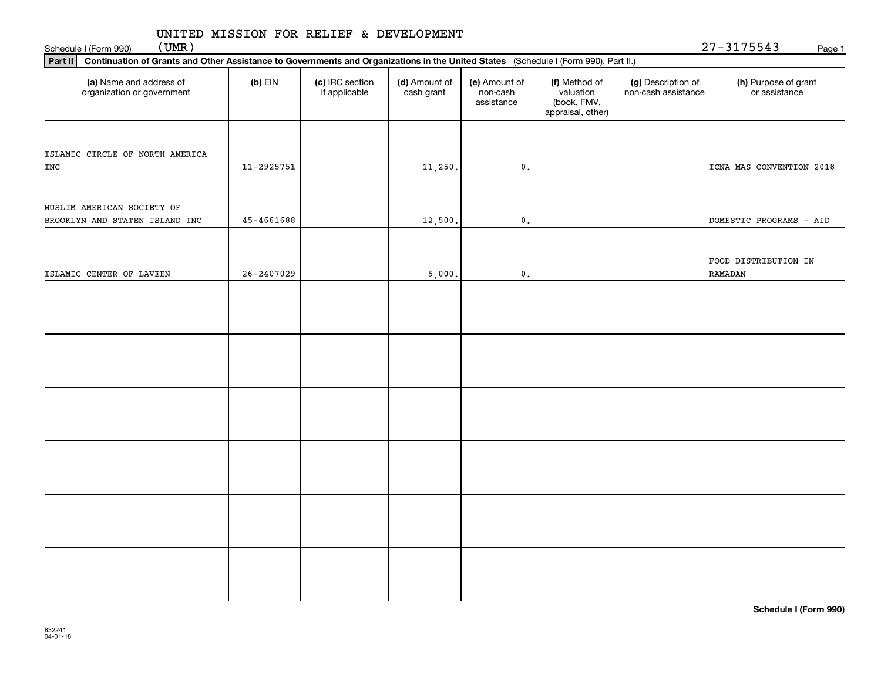(UMR)

| Part II   Continuation of Grants and Other Assistance to Governments and Organizations in the United States (Schedule I (Form 990), Part II.) |                |                                  |                             |                                         |                                                                |                                           |                                       |
|-----------------------------------------------------------------------------------------------------------------------------------------------|----------------|----------------------------------|-----------------------------|-----------------------------------------|----------------------------------------------------------------|-------------------------------------------|---------------------------------------|
| (a) Name and address of<br>organization or government                                                                                         | $(b)$ EIN      | (c) IRC section<br>if applicable | (d) Amount of<br>cash grant | (e) Amount of<br>non-cash<br>assistance | (f) Method of<br>valuation<br>(book, FMV,<br>appraisal, other) | (g) Description of<br>non-cash assistance | (h) Purpose of grant<br>or assistance |
|                                                                                                                                               |                |                                  |                             |                                         |                                                                |                                           |                                       |
|                                                                                                                                               |                |                                  |                             |                                         |                                                                |                                           |                                       |
| ISLAMIC CIRCLE OF NORTH AMERICA<br>${\tt INC}$                                                                                                | $11 - 2925751$ |                                  | 11,250.                     | $\mathfrak o$ .                         |                                                                |                                           | ICNA MAS CONVENTION 2018              |
|                                                                                                                                               |                |                                  |                             |                                         |                                                                |                                           |                                       |
| MUSLIM AMERICAN SOCIETY OF                                                                                                                    |                |                                  |                             |                                         |                                                                |                                           |                                       |
| BROOKLYN AND STATEN ISLAND INC                                                                                                                | $45 - 4661688$ |                                  | 12,500.                     | $\mathbf{0}$ .                          |                                                                |                                           | DOMESTIC PROGRAMS - AID               |
|                                                                                                                                               |                |                                  |                             |                                         |                                                                |                                           | FOOD DISTRIBUTION IN                  |
| ISLAMIC CENTER OF LAVEEN                                                                                                                      | $26 - 2407029$ |                                  | 5,000.                      | $\mathfrak o$ .                         |                                                                |                                           | RAMADAN                               |
|                                                                                                                                               |                |                                  |                             |                                         |                                                                |                                           |                                       |
|                                                                                                                                               |                |                                  |                             |                                         |                                                                |                                           |                                       |
|                                                                                                                                               |                |                                  |                             |                                         |                                                                |                                           |                                       |
|                                                                                                                                               |                |                                  |                             |                                         |                                                                |                                           |                                       |
|                                                                                                                                               |                |                                  |                             |                                         |                                                                |                                           |                                       |
|                                                                                                                                               |                |                                  |                             |                                         |                                                                |                                           |                                       |
|                                                                                                                                               |                |                                  |                             |                                         |                                                                |                                           |                                       |
|                                                                                                                                               |                |                                  |                             |                                         |                                                                |                                           |                                       |
|                                                                                                                                               |                |                                  |                             |                                         |                                                                |                                           |                                       |
|                                                                                                                                               |                |                                  |                             |                                         |                                                                |                                           |                                       |
|                                                                                                                                               |                |                                  |                             |                                         |                                                                |                                           |                                       |
|                                                                                                                                               |                |                                  |                             |                                         |                                                                |                                           |                                       |
|                                                                                                                                               |                |                                  |                             |                                         |                                                                |                                           |                                       |
|                                                                                                                                               |                |                                  |                             |                                         |                                                                |                                           |                                       |
|                                                                                                                                               |                |                                  |                             |                                         |                                                                |                                           |                                       |
|                                                                                                                                               |                |                                  |                             |                                         |                                                                |                                           |                                       |
|                                                                                                                                               |                |                                  |                             |                                         |                                                                |                                           |                                       |
|                                                                                                                                               |                |                                  |                             |                                         |                                                                |                                           |                                       |
|                                                                                                                                               |                |                                  |                             |                                         |                                                                |                                           |                                       |

**Schedule I (Form 990)**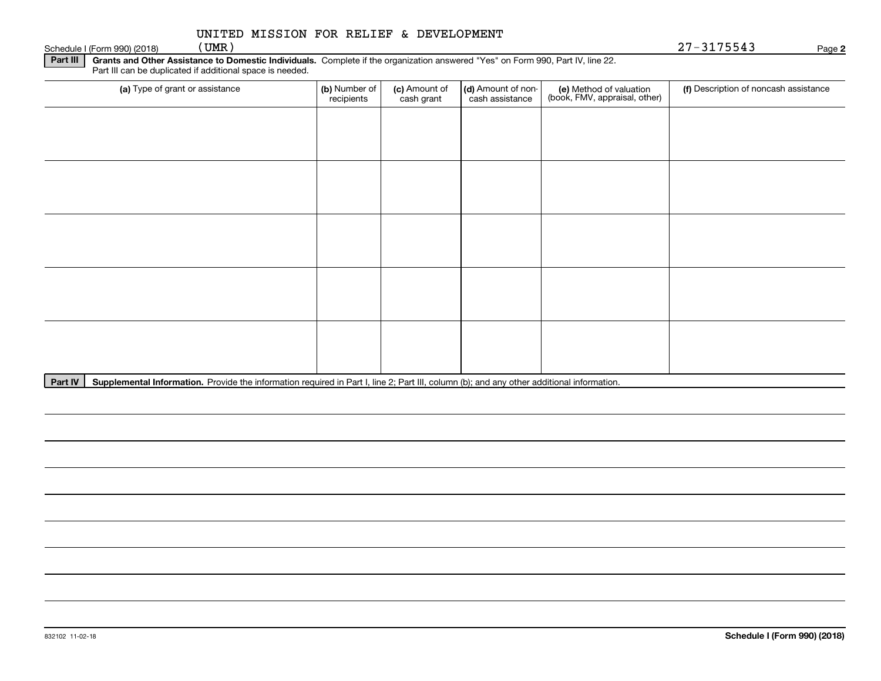| UNITED MISSION FOR RELIEF & DEVELOPMENT |  |  |  |  |  |
|-----------------------------------------|--|--|--|--|--|
|-----------------------------------------|--|--|--|--|--|

Schedule I (Form 990) (2018)  $(UMR)$ 

**2**(UMR) 27-3175543

**Part III** | Grants and Other Assistance to Domestic Individuals. Complete if the organization answered "Yes" on Form 990, Part IV, line 22. Part III can be duplicated if additional space is needed.

| (a) Type of grant or assistance | (b) Number of<br>recipients | (c) Amount of<br>cash grant | (d) Amount of non-<br>cash assistance | (e) Method of valuation<br>(book, FMV, appraisal, other) | (f) Description of noncash assistance |
|---------------------------------|-----------------------------|-----------------------------|---------------------------------------|----------------------------------------------------------|---------------------------------------|
|                                 |                             |                             |                                       |                                                          |                                       |
|                                 |                             |                             |                                       |                                                          |                                       |
|                                 |                             |                             |                                       |                                                          |                                       |
|                                 |                             |                             |                                       |                                                          |                                       |
|                                 |                             |                             |                                       |                                                          |                                       |
|                                 |                             |                             |                                       |                                                          |                                       |
|                                 |                             |                             |                                       |                                                          |                                       |
|                                 |                             |                             |                                       |                                                          |                                       |
|                                 |                             |                             |                                       |                                                          |                                       |
|                                 |                             |                             |                                       |                                                          |                                       |

Part IV | Supplemental Information. Provide the information required in Part I, line 2; Part III, column (b); and any other additional information.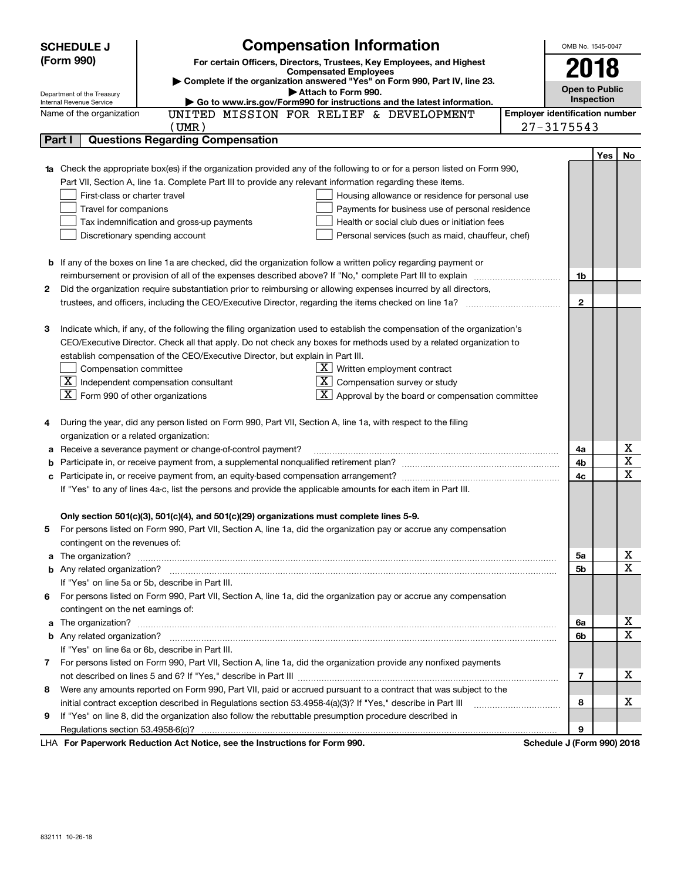|        | <b>SCHEDULE J</b>                                                                                                                                        | <b>Compensation Information</b>                                                                                                                                                                                                    |                                       | OMB No. 1545-0047 |     |             |  |
|--------|----------------------------------------------------------------------------------------------------------------------------------------------------------|------------------------------------------------------------------------------------------------------------------------------------------------------------------------------------------------------------------------------------|---------------------------------------|-------------------|-----|-------------|--|
|        | (Form 990)                                                                                                                                               | For certain Officers, Directors, Trustees, Key Employees, and Highest<br><b>Compensated Employees</b>                                                                                                                              |                                       |                   |     |             |  |
|        |                                                                                                                                                          |                                                                                                                                                                                                                                    | 2018                                  |                   |     |             |  |
|        | Complete if the organization answered "Yes" on Form 990, Part IV, line 23.<br><b>Open to Public</b><br>Attach to Form 990.<br>Department of the Treasury |                                                                                                                                                                                                                                    |                                       |                   |     |             |  |
|        | Internal Revenue Service                                                                                                                                 | Go to www.irs.gov/Form990 for instructions and the latest information.                                                                                                                                                             |                                       | Inspection        |     |             |  |
|        | Name of the organization                                                                                                                                 | UNITED MISSION FOR RELIEF & DEVELOPMENT                                                                                                                                                                                            | <b>Employer identification number</b> |                   |     |             |  |
|        |                                                                                                                                                          | $($ UMR $)$                                                                                                                                                                                                                        | $27 - 3175543$                        |                   |     |             |  |
| Part I |                                                                                                                                                          | <b>Questions Regarding Compensation</b>                                                                                                                                                                                            |                                       |                   |     |             |  |
|        |                                                                                                                                                          |                                                                                                                                                                                                                                    |                                       |                   | Yes | No          |  |
|        |                                                                                                                                                          | Check the appropriate box(es) if the organization provided any of the following to or for a person listed on Form 990,                                                                                                             |                                       |                   |     |             |  |
|        |                                                                                                                                                          | Part VII, Section A, line 1a. Complete Part III to provide any relevant information regarding these items.                                                                                                                         |                                       |                   |     |             |  |
|        | First-class or charter travel                                                                                                                            | Housing allowance or residence for personal use                                                                                                                                                                                    |                                       |                   |     |             |  |
|        | Travel for companions                                                                                                                                    | Payments for business use of personal residence                                                                                                                                                                                    |                                       |                   |     |             |  |
|        |                                                                                                                                                          | Tax indemnification and gross-up payments<br>Health or social club dues or initiation fees                                                                                                                                         |                                       |                   |     |             |  |
|        |                                                                                                                                                          | Discretionary spending account<br>Personal services (such as maid, chauffeur, chef)                                                                                                                                                |                                       |                   |     |             |  |
|        |                                                                                                                                                          |                                                                                                                                                                                                                                    |                                       |                   |     |             |  |
|        |                                                                                                                                                          | <b>b</b> If any of the boxes on line 1a are checked, did the organization follow a written policy regarding payment or<br>reimbursement or provision of all of the expenses described above? If "No," complete Part III to explain |                                       | 1b                |     |             |  |
| 2      |                                                                                                                                                          | Did the organization require substantiation prior to reimbursing or allowing expenses incurred by all directors,                                                                                                                   |                                       |                   |     |             |  |
|        |                                                                                                                                                          |                                                                                                                                                                                                                                    |                                       | $\mathbf{2}$      |     |             |  |
|        |                                                                                                                                                          |                                                                                                                                                                                                                                    |                                       |                   |     |             |  |
| з      |                                                                                                                                                          | Indicate which, if any, of the following the filing organization used to establish the compensation of the organization's                                                                                                          |                                       |                   |     |             |  |
|        |                                                                                                                                                          | CEO/Executive Director. Check all that apply. Do not check any boxes for methods used by a related organization to                                                                                                                 |                                       |                   |     |             |  |
|        |                                                                                                                                                          | establish compensation of the CEO/Executive Director, but explain in Part III.                                                                                                                                                     |                                       |                   |     |             |  |
|        | Compensation committee                                                                                                                                   | $X$ Written employment contract                                                                                                                                                                                                    |                                       |                   |     |             |  |
|        |                                                                                                                                                          | $\boxed{\text{X}}$ Independent compensation consultant<br>$X$ Compensation survey or study                                                                                                                                         |                                       |                   |     |             |  |
|        | $\overline{\mathbf{X}}$ Form 990 of other organizations                                                                                                  | $X$ Approval by the board or compensation committee                                                                                                                                                                                |                                       |                   |     |             |  |
|        |                                                                                                                                                          |                                                                                                                                                                                                                                    |                                       |                   |     |             |  |
| 4      |                                                                                                                                                          | During the year, did any person listed on Form 990, Part VII, Section A, line 1a, with respect to the filing                                                                                                                       |                                       |                   |     |             |  |
|        | organization or a related organization:                                                                                                                  |                                                                                                                                                                                                                                    |                                       |                   |     |             |  |
| а      |                                                                                                                                                          | Receive a severance payment or change-of-control payment?                                                                                                                                                                          |                                       | 4a                |     | Χ           |  |
| b      |                                                                                                                                                          |                                                                                                                                                                                                                                    |                                       | 4b                |     | Χ           |  |
|        |                                                                                                                                                          |                                                                                                                                                                                                                                    |                                       | 4c                |     | X           |  |
|        |                                                                                                                                                          | If "Yes" to any of lines 4a-c, list the persons and provide the applicable amounts for each item in Part III.                                                                                                                      |                                       |                   |     |             |  |
|        |                                                                                                                                                          |                                                                                                                                                                                                                                    |                                       |                   |     |             |  |
|        |                                                                                                                                                          | Only section 501(c)(3), 501(c)(4), and 501(c)(29) organizations must complete lines 5-9.                                                                                                                                           |                                       |                   |     |             |  |
| 5      |                                                                                                                                                          | For persons listed on Form 990, Part VII, Section A, line 1a, did the organization pay or accrue any compensation                                                                                                                  |                                       |                   |     |             |  |
|        | contingent on the revenues of:                                                                                                                           |                                                                                                                                                                                                                                    |                                       |                   |     |             |  |
| a      |                                                                                                                                                          |                                                                                                                                                                                                                                    |                                       | 5a                |     | х           |  |
|        |                                                                                                                                                          |                                                                                                                                                                                                                                    |                                       | 5b                |     | $\mathbf X$ |  |
|        |                                                                                                                                                          | If "Yes" on line 5a or 5b, describe in Part III.                                                                                                                                                                                   |                                       |                   |     |             |  |
|        |                                                                                                                                                          | 6 For persons listed on Form 990, Part VII, Section A, line 1a, did the organization pay or accrue any compensation                                                                                                                |                                       |                   |     |             |  |
|        | contingent on the net earnings of:                                                                                                                       |                                                                                                                                                                                                                                    |                                       |                   |     |             |  |
| a      |                                                                                                                                                          |                                                                                                                                                                                                                                    |                                       | 6a                |     | х           |  |
|        |                                                                                                                                                          |                                                                                                                                                                                                                                    |                                       | 6b                |     | $\mathbf X$ |  |
|        |                                                                                                                                                          | If "Yes" on line 6a or 6b, describe in Part III.                                                                                                                                                                                   |                                       |                   |     |             |  |
|        |                                                                                                                                                          | 7 For persons listed on Form 990, Part VII, Section A, line 1a, did the organization provide any nonfixed payments                                                                                                                 |                                       |                   |     |             |  |
|        |                                                                                                                                                          |                                                                                                                                                                                                                                    |                                       | 7                 |     | х           |  |
| 8      |                                                                                                                                                          | Were any amounts reported on Form 990, Part VII, paid or accrued pursuant to a contract that was subject to the                                                                                                                    |                                       |                   |     |             |  |
|        |                                                                                                                                                          | initial contract exception described in Regulations section 53.4958-4(a)(3)? If "Yes," describe in Part III                                                                                                                        |                                       | 8                 |     | х           |  |
| 9      |                                                                                                                                                          | If "Yes" on line 8, did the organization also follow the rebuttable presumption procedure described in                                                                                                                             |                                       |                   |     |             |  |
|        | Regulations section 53.4958-6(c)?                                                                                                                        |                                                                                                                                                                                                                                    |                                       | 9                 |     |             |  |
|        |                                                                                                                                                          | For Panorwork Poduction Act Notice, see the Instructions for Form 000                                                                                                                                                              | Schodule I (Form 000) 2018            |                   |     |             |  |

LHA For Paperwork Reduction Act Notice, see the Instructions for Form 990. Schedule J (Form 990) 2018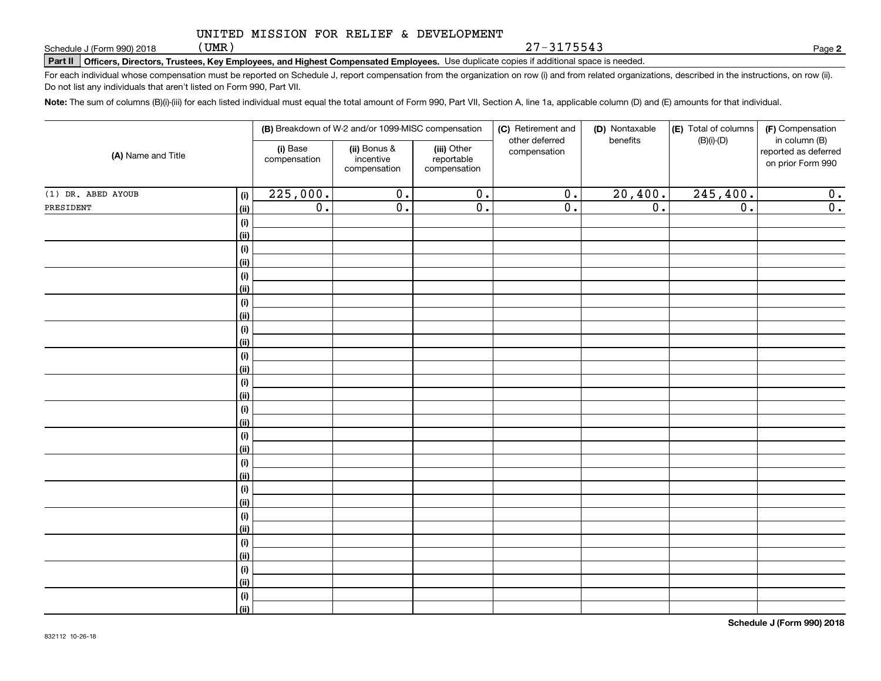(UMR)

**Part II Officers, Directors, Trustees, Key Employees, and Highest Compensated Employees.**  Schedule J (Form 990) 2018 Page Use duplicate copies if additional space is needed.

For each individual whose compensation must be reported on Schedule J, report compensation from the organization on row (i) and from related organizations, described in the instructions, on row (ii). Do not list any individuals that aren't listed on Form 990, Part VII.

**Note:**  The sum of columns (B)(i)-(iii) for each listed individual must equal the total amount of Form 990, Part VII, Section A, line 1a, applicable column (D) and (E) amounts for that individual.

| (A) Name and Title   |                    |                          | (B) Breakdown of W-2 and/or 1099-MISC compensation |                                           | (C) Retirement and<br>other deferred | (D) Nontaxable<br>benefits | (E) Total of columns | (F) Compensation                                           |
|----------------------|--------------------|--------------------------|----------------------------------------------------|-------------------------------------------|--------------------------------------|----------------------------|----------------------|------------------------------------------------------------|
|                      |                    | (i) Base<br>compensation | (ii) Bonus &<br>incentive<br>compensation          | (iii) Other<br>reportable<br>compensation | compensation                         |                            | $(B)(i)-(D)$         | in column (B)<br>reported as deferred<br>on prior Form 990 |
| $(1)$ DR. ABED AYOUB | (i)                | 225,000.                 | $\overline{0}$ .                                   | $\overline{0}$ .                          | $\overline{0}$ .                     | 20,400.                    | 245, 400.            | 0.                                                         |
| PRESIDENT            | (ii)               | 0.                       | $\overline{0}$ .                                   | $\overline{0}$ .                          | $\overline{0}$ .                     | $\overline{0}$ .           | $\overline{0}$ .     | 0.                                                         |
|                      | $(\sf{i})$         |                          |                                                    |                                           |                                      |                            |                      |                                                            |
|                      | (ii)               |                          |                                                    |                                           |                                      |                            |                      |                                                            |
|                      | $(\sf{i})$         |                          |                                                    |                                           |                                      |                            |                      |                                                            |
|                      | (ii)               |                          |                                                    |                                           |                                      |                            |                      |                                                            |
|                      | $(\sf{i})$         |                          |                                                    |                                           |                                      |                            |                      |                                                            |
|                      | (ii)               |                          |                                                    |                                           |                                      |                            |                      |                                                            |
|                      | $(\sf{i})$         |                          |                                                    |                                           |                                      |                            |                      |                                                            |
|                      | (ii)               |                          |                                                    |                                           |                                      |                            |                      |                                                            |
|                      | $(\sf{i})$         |                          |                                                    |                                           |                                      |                            |                      |                                                            |
|                      | (ii)               |                          |                                                    |                                           |                                      |                            |                      |                                                            |
|                      | $(\sf{i})$         |                          |                                                    |                                           |                                      |                            |                      |                                                            |
|                      | (ii)               |                          |                                                    |                                           |                                      |                            |                      |                                                            |
|                      | $(\sf{i})$<br>(ii) |                          |                                                    |                                           |                                      |                            |                      |                                                            |
|                      | $(\sf{i})$         |                          |                                                    |                                           |                                      |                            |                      |                                                            |
|                      | (ii)               |                          |                                                    |                                           |                                      |                            |                      |                                                            |
|                      | $(\sf{i})$         |                          |                                                    |                                           |                                      |                            |                      |                                                            |
|                      | (ii)               |                          |                                                    |                                           |                                      |                            |                      |                                                            |
|                      | $(\sf{i})$         |                          |                                                    |                                           |                                      |                            |                      |                                                            |
|                      | (ii)               |                          |                                                    |                                           |                                      |                            |                      |                                                            |
|                      | $(\sf{i})$         |                          |                                                    |                                           |                                      |                            |                      |                                                            |
|                      | (ii)               |                          |                                                    |                                           |                                      |                            |                      |                                                            |
|                      | $(\sf{i})$         |                          |                                                    |                                           |                                      |                            |                      |                                                            |
|                      | (ii)               |                          |                                                    |                                           |                                      |                            |                      |                                                            |
|                      | $(\sf{i})$         |                          |                                                    |                                           |                                      |                            |                      |                                                            |
|                      | (ii)               |                          |                                                    |                                           |                                      |                            |                      |                                                            |
|                      | $(\sf{i})$         |                          |                                                    |                                           |                                      |                            |                      |                                                            |
|                      | (ii)               |                          |                                                    |                                           |                                      |                            |                      |                                                            |
|                      | $(\sf{i})$         |                          |                                                    |                                           |                                      |                            |                      |                                                            |
|                      | (ii)               |                          |                                                    |                                           |                                      |                            |                      |                                                            |

**2**

27-3175543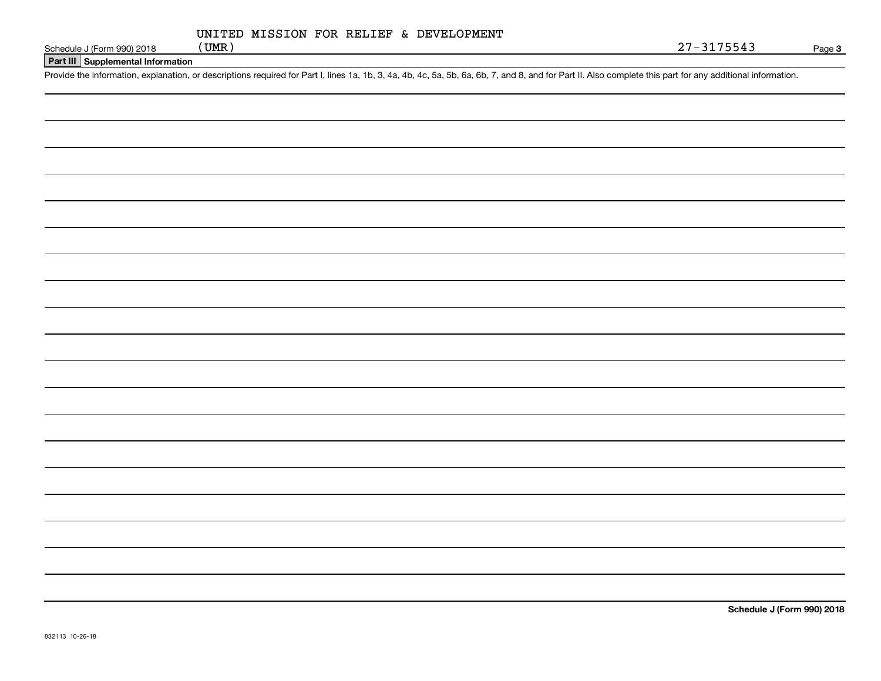# **Part III Supplemental Information**

Schedule J (Form 990) 2018 (UMR)<br>Part III Supplemental Information<br>Provide the information, explanation, or descriptions required for Part I, lines 1a, 1b, 3, 4a, 4b, 4c, 5a, 5b, 6a, 6b, 7, and 8, and for Part II. Also com

**Schedule J (Form 990) 2018**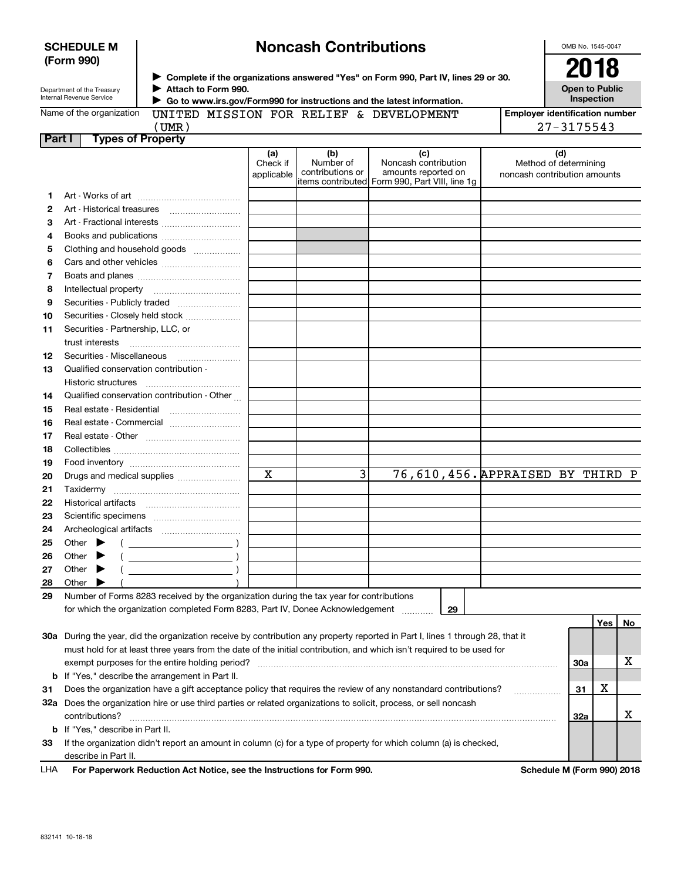| (Form 990) |                                                        |                                                                                                                   |                               |                                      | ▶ Complete if the organizations answered "Yes" on Form 990, Part IV, lines 29 or 30.                                           | 2018                                                         |            |    |
|------------|--------------------------------------------------------|-------------------------------------------------------------------------------------------------------------------|-------------------------------|--------------------------------------|--------------------------------------------------------------------------------------------------------------------------------|--------------------------------------------------------------|------------|----|
|            | Department of the Treasury<br>Internal Revenue Service | Attach to Form 990.                                                                                               |                               |                                      | Go to www.irs.gov/Form990 for instructions and the latest information.                                                         | <b>Open to Public</b><br>Inspection                          |            |    |
|            | Name of the organization                               | UNITED MISSION FOR RELIEF & DEVELOPMENT                                                                           |                               |                                      |                                                                                                                                | <b>Employer identification number</b>                        |            |    |
|            |                                                        | (UMR)                                                                                                             |                               |                                      |                                                                                                                                | $27 - 3175543$                                               |            |    |
| Part I     |                                                        | <b>Types of Property</b>                                                                                          |                               |                                      |                                                                                                                                |                                                              |            |    |
|            |                                                        |                                                                                                                   | (a)<br>Check if<br>applicable | (b)<br>Number of<br>contributions or | (c)<br>Noncash contribution<br>amounts reported on<br>items contributed Form 990, Part VIII, line 1g                           | (d)<br>Method of determining<br>noncash contribution amounts |            |    |
| 1.         |                                                        |                                                                                                                   |                               |                                      |                                                                                                                                |                                                              |            |    |
| 2          |                                                        |                                                                                                                   |                               |                                      |                                                                                                                                |                                                              |            |    |
| З          |                                                        | Art - Fractional interests                                                                                        |                               |                                      |                                                                                                                                |                                                              |            |    |
| 4          |                                                        | Books and publications                                                                                            |                               |                                      |                                                                                                                                |                                                              |            |    |
| 5          |                                                        | Clothing and household goods                                                                                      |                               |                                      |                                                                                                                                |                                                              |            |    |
| 6          |                                                        |                                                                                                                   |                               |                                      |                                                                                                                                |                                                              |            |    |
| 7          |                                                        |                                                                                                                   |                               |                                      |                                                                                                                                |                                                              |            |    |
| 8          |                                                        |                                                                                                                   |                               |                                      |                                                                                                                                |                                                              |            |    |
| 9          |                                                        |                                                                                                                   |                               |                                      |                                                                                                                                |                                                              |            |    |
| 10         |                                                        | Securities - Closely held stock                                                                                   |                               |                                      |                                                                                                                                |                                                              |            |    |
| 11         | Securities - Partnership, LLC, or                      |                                                                                                                   |                               |                                      |                                                                                                                                |                                                              |            |    |
|            | trust interests                                        |                                                                                                                   |                               |                                      |                                                                                                                                |                                                              |            |    |
| 12         |                                                        | Securities - Miscellaneous                                                                                        |                               |                                      |                                                                                                                                |                                                              |            |    |
| 13         | Qualified conservation contribution -                  |                                                                                                                   |                               |                                      |                                                                                                                                |                                                              |            |    |
|            |                                                        |                                                                                                                   |                               |                                      |                                                                                                                                |                                                              |            |    |
| 14         |                                                        | Qualified conservation contribution - Other                                                                       |                               |                                      |                                                                                                                                |                                                              |            |    |
| 15         | Real estate - Residential                              |                                                                                                                   |                               |                                      |                                                                                                                                |                                                              |            |    |
| 16         |                                                        | Real estate - Commercial                                                                                          |                               |                                      |                                                                                                                                |                                                              |            |    |
| 17         |                                                        |                                                                                                                   |                               |                                      |                                                                                                                                |                                                              |            |    |
| 18         |                                                        |                                                                                                                   |                               |                                      |                                                                                                                                |                                                              |            |    |
| 19         |                                                        |                                                                                                                   |                               |                                      |                                                                                                                                |                                                              |            |    |
| 20         |                                                        | Drugs and medical supplies                                                                                        | X                             | 3                                    | 76,610,456. APPRAISED BY THIRD P                                                                                               |                                                              |            |    |
| 21         |                                                        |                                                                                                                   |                               |                                      |                                                                                                                                |                                                              |            |    |
| 22         |                                                        |                                                                                                                   |                               |                                      |                                                                                                                                |                                                              |            |    |
| 23         |                                                        |                                                                                                                   |                               |                                      |                                                                                                                                |                                                              |            |    |
| 24         |                                                        |                                                                                                                   |                               |                                      |                                                                                                                                |                                                              |            |    |
| 25         |                                                        |                                                                                                                   |                               |                                      |                                                                                                                                |                                                              |            |    |
| 26         | Other $\blacktriangleright$ (                          | $\mathcal{L}$ and $\mathcal{L}$ and $\mathcal{L}$                                                                 |                               |                                      |                                                                                                                                |                                                              |            |    |
| 27         | Other                                                  |                                                                                                                   |                               |                                      |                                                                                                                                |                                                              |            |    |
| 28         | Other                                                  |                                                                                                                   |                               |                                      |                                                                                                                                |                                                              |            |    |
| 29         |                                                        | Number of Forms 8283 received by the organization during the tax year for contributions                           |                               |                                      |                                                                                                                                |                                                              |            |    |
|            |                                                        | for which the organization completed Form 8283, Part IV, Donee Acknowledgement                                    |                               |                                      | 29                                                                                                                             |                                                              |            |    |
|            |                                                        |                                                                                                                   |                               |                                      |                                                                                                                                |                                                              | <b>Yes</b> | No |
|            |                                                        |                                                                                                                   |                               |                                      | 30a During the year, did the organization receive by contribution any property reported in Part I, lines 1 through 28, that it |                                                              |            |    |
|            |                                                        |                                                                                                                   |                               |                                      | must hold for at least three years from the date of the initial contribution, and which isn't required to be used for          |                                                              |            |    |
|            |                                                        | exempt purposes for the entire holding period?                                                                    |                               |                                      |                                                                                                                                | 30a                                                          |            | х  |
|            |                                                        | <b>b</b> If "Yes," describe the arrangement in Part II.                                                           |                               |                                      |                                                                                                                                |                                                              | х          |    |
| 31         |                                                        |                                                                                                                   |                               |                                      | Does the organization have a gift acceptance policy that requires the review of any nonstandard contributions?                 | 31                                                           |            |    |
|            |                                                        | 32a Does the organization hire or use third parties or related organizations to solicit, process, or sell noncash |                               |                                      |                                                                                                                                |                                                              |            | X  |
|            | contributions?                                         |                                                                                                                   |                               |                                      |                                                                                                                                | 32a                                                          |            |    |
|            | <b>b</b> If "Yes," describe in Part II.                |                                                                                                                   |                               |                                      |                                                                                                                                |                                                              |            |    |
| 33         |                                                        |                                                                                                                   |                               |                                      | If the organization didn't report an amount in column (c) for a type of property for which column (a) is checked,              |                                                              |            |    |
|            | describe in Part II.                                   |                                                                                                                   |                               |                                      |                                                                                                                                |                                                              |            |    |

**Noncash Contributions**

For Paperwork Reduction Act Notice, see the Instructions for Form 990. **Schedule M** (Form 990) 2018 LHA

OMB No. 1545-0047

**SCHEDULE M**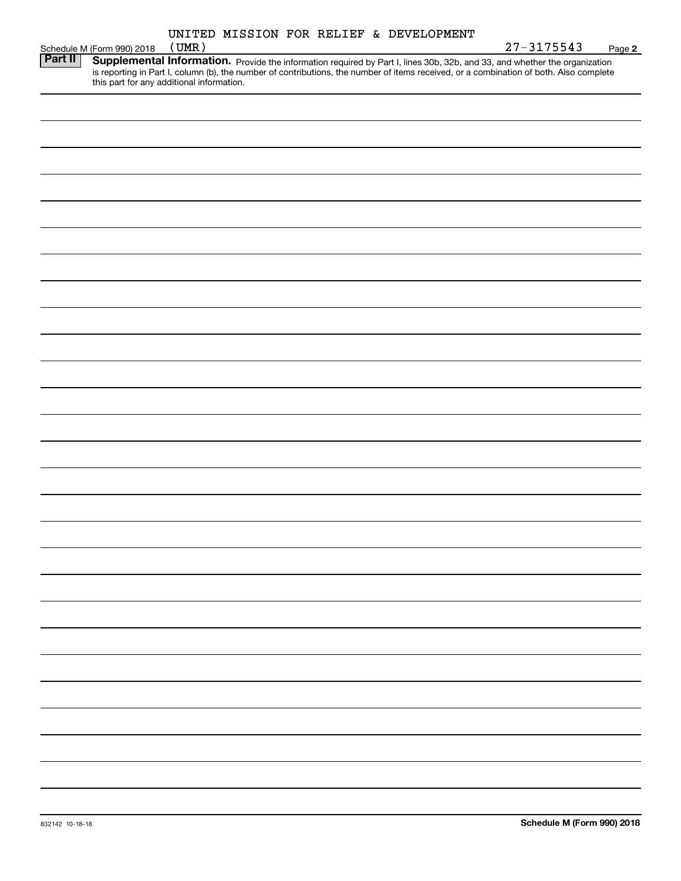|         |  |  | UNITED MISSION FOR RELIEF & DEVELOPMENT |  |
|---------|--|--|-----------------------------------------|--|
| 1.77.57 |  |  |                                         |  |

|         | ONITED MISSION FOR RELIEF & DEVELOPMENT<br>$27 - 3175543$<br>(UMR)                                                                                                                                                                  |        |
|---------|-------------------------------------------------------------------------------------------------------------------------------------------------------------------------------------------------------------------------------------|--------|
| Part II | Schedule M (Form 990) 2018                                                                                                                                                                                                          | Page 2 |
|         | <b>Supplemental Information.</b> Provide the information required by Part I, lines 30b, 32b, and 33, and whether the organization is reporting in Part I, column (b), the number of contributions, the number of items received, or |        |
|         |                                                                                                                                                                                                                                     |        |
|         |                                                                                                                                                                                                                                     |        |
|         |                                                                                                                                                                                                                                     |        |
|         |                                                                                                                                                                                                                                     |        |
|         |                                                                                                                                                                                                                                     |        |
|         |                                                                                                                                                                                                                                     |        |
|         |                                                                                                                                                                                                                                     |        |
|         |                                                                                                                                                                                                                                     |        |
|         |                                                                                                                                                                                                                                     |        |
|         |                                                                                                                                                                                                                                     |        |
|         |                                                                                                                                                                                                                                     |        |
|         |                                                                                                                                                                                                                                     |        |
|         |                                                                                                                                                                                                                                     |        |
|         |                                                                                                                                                                                                                                     |        |
|         |                                                                                                                                                                                                                                     |        |
|         |                                                                                                                                                                                                                                     |        |
|         |                                                                                                                                                                                                                                     |        |
|         |                                                                                                                                                                                                                                     |        |
|         |                                                                                                                                                                                                                                     |        |
|         |                                                                                                                                                                                                                                     |        |
|         |                                                                                                                                                                                                                                     |        |
|         |                                                                                                                                                                                                                                     |        |
|         |                                                                                                                                                                                                                                     |        |
|         |                                                                                                                                                                                                                                     |        |
|         |                                                                                                                                                                                                                                     |        |
|         |                                                                                                                                                                                                                                     |        |
|         |                                                                                                                                                                                                                                     |        |
|         |                                                                                                                                                                                                                                     |        |
|         |                                                                                                                                                                                                                                     |        |
|         |                                                                                                                                                                                                                                     |        |
|         |                                                                                                                                                                                                                                     |        |
|         |                                                                                                                                                                                                                                     |        |
|         |                                                                                                                                                                                                                                     |        |
|         |                                                                                                                                                                                                                                     |        |
|         |                                                                                                                                                                                                                                     |        |
|         |                                                                                                                                                                                                                                     |        |
|         |                                                                                                                                                                                                                                     |        |
|         |                                                                                                                                                                                                                                     |        |
|         |                                                                                                                                                                                                                                     |        |
|         |                                                                                                                                                                                                                                     |        |
|         |                                                                                                                                                                                                                                     |        |
|         |                                                                                                                                                                                                                                     |        |
|         |                                                                                                                                                                                                                                     |        |
|         |                                                                                                                                                                                                                                     |        |
|         |                                                                                                                                                                                                                                     |        |
|         |                                                                                                                                                                                                                                     |        |
|         |                                                                                                                                                                                                                                     |        |
|         |                                                                                                                                                                                                                                     |        |
|         |                                                                                                                                                                                                                                     |        |
|         |                                                                                                                                                                                                                                     |        |
|         |                                                                                                                                                                                                                                     |        |
|         |                                                                                                                                                                                                                                     |        |
|         |                                                                                                                                                                                                                                     |        |
|         |                                                                                                                                                                                                                                     |        |
|         |                                                                                                                                                                                                                                     |        |
|         |                                                                                                                                                                                                                                     |        |
|         |                                                                                                                                                                                                                                     |        |
|         |                                                                                                                                                                                                                                     |        |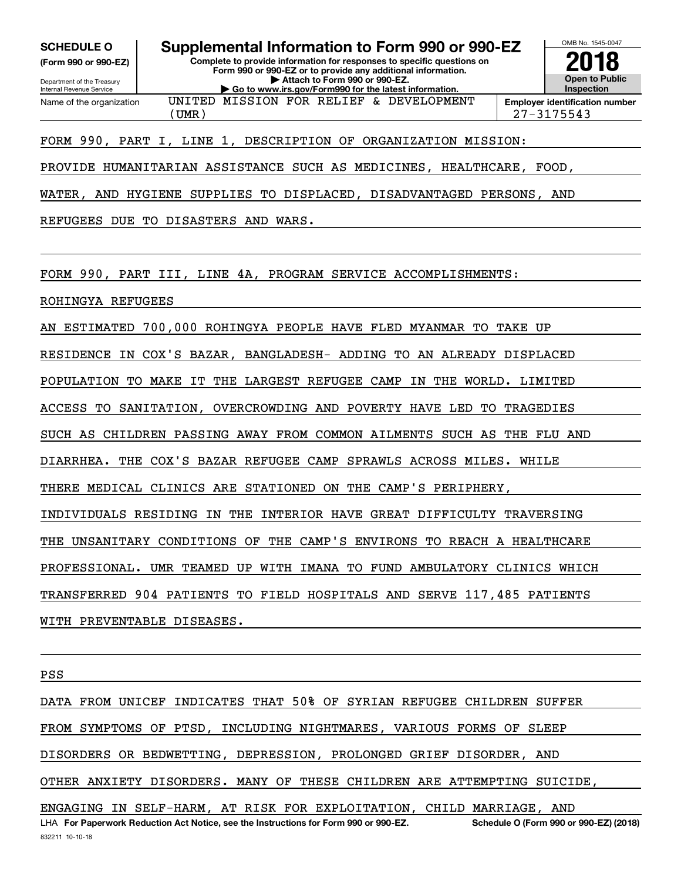**(Form 990 or 990-EZ)**

Department of the Treasury Internal Revenue Service Name of the organization

**SCHEDULE O Supplemental Information to Form 990 or 990-EZ**

UNITED MISSION FOR RELIEF & DEVELOPMENT

**Complete to provide information for responses to specific questions on Form 990 or 990-EZ or to provide any additional information. | Attach to Form 990 or 990-EZ. | Go to www.irs.gov/Form990 for the latest information.**



(UMR) 27-3175543

# FORM 990, PART I, LINE 1, DESCRIPTION OF ORGANIZATION MISSION:

PROVIDE HUMANITARIAN ASSISTANCE SUCH AS MEDICINES, HEALTHCARE, FOOD,

WATER, AND HYGIENE SUPPLIES TO DISPLACED, DISADVANTAGED PERSONS, AND

REFUGEES DUE TO DISASTERS AND WARS.

FORM 990, PART III, LINE 4A, PROGRAM SERVICE ACCOMPLISHMENTS:

ROHINGYA REFUGEES

AN ESTIMATED 700,000 ROHINGYA PEOPLE HAVE FLED MYANMAR TO TAKE UP

RESIDENCE IN COX'S BAZAR, BANGLADESH- ADDING TO AN ALREADY DISPLACED

POPULATION TO MAKE IT THE LARGEST REFUGEE CAMP IN THE WORLD. LIMITED

ACCESS TO SANITATION, OVERCROWDING AND POVERTY HAVE LED TO TRAGEDIES

SUCH AS CHILDREN PASSING AWAY FROM COMMON AILMENTS SUCH AS THE FLU AND

DIARRHEA. THE COX'S BAZAR REFUGEE CAMP SPRAWLS ACROSS MILES. WHILE

THERE MEDICAL CLINICS ARE STATIONED ON THE CAMP'S PERIPHERY,

INDIVIDUALS RESIDING IN THE INTERIOR HAVE GREAT DIFFICULTY TRAVERSING

THE UNSANITARY CONDITIONS OF THE CAMP'S ENVIRONS TO REACH A HEALTHCARE

PROFESSIONAL. UMR TEAMED UP WITH IMANA TO FUND AMBULATORY CLINICS WHICH

TRANSFERRED 904 PATIENTS TO FIELD HOSPITALS AND SERVE 117,485 PATIENTS

WITH PREVENTABLE DISEASES.

PSS

832211 10-10-18 LHA For Paperwork Reduction Act Notice, see the Instructions for Form 990 or 990-EZ. Schedule O (Form 990 or 990-EZ) (2018) DATA FROM UNICEF INDICATES THAT 50% OF SYRIAN REFUGEE CHILDREN SUFFER FROM SYMPTOMS OF PTSD, INCLUDING NIGHTMARES, VARIOUS FORMS OF SLEEP DISORDERS OR BEDWETTING, DEPRESSION, PROLONGED GRIEF DISORDER, AND OTHER ANXIETY DISORDERS. MANY OF THESE CHILDREN ARE ATTEMPTING SUICIDE, ENGAGING IN SELF-HARM, AT RISK FOR EXPLOITATION, CHILD MARRIAGE, AND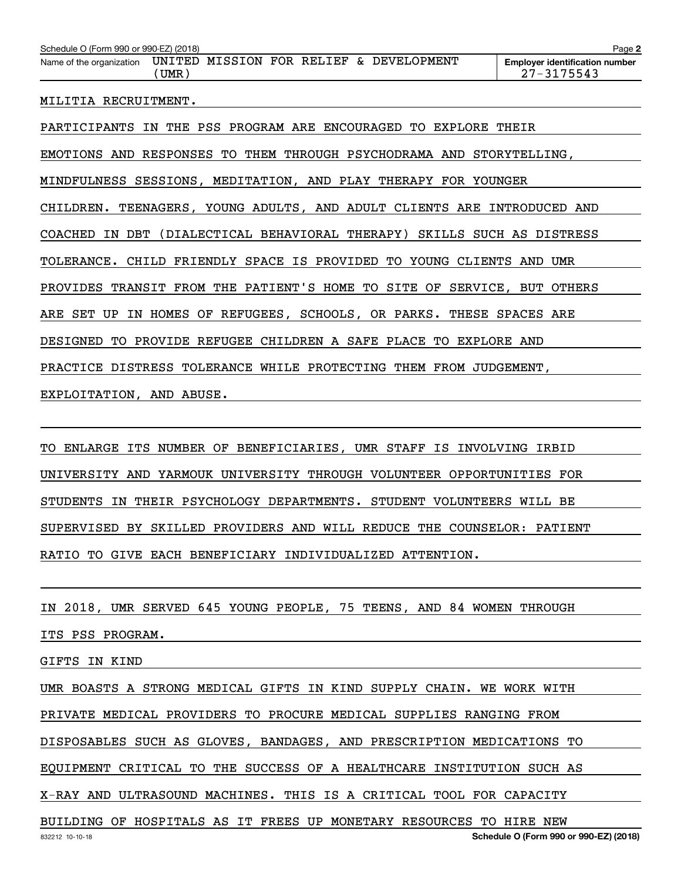| Schedule O (Form 990 or 990-EZ) (2018)                                                  | Page 2                                                  |
|-----------------------------------------------------------------------------------------|---------------------------------------------------------|
| Name of the organization UNITED MISSION FOR RELIEF & DEVELOPMENT<br>(UMR)               | <b>Employer identification number</b><br>$27 - 3175543$ |
| MILITIA RECRUITMENT.                                                                    |                                                         |
| PARTICIPANTS IN THE PSS PROGRAM ARE ENCOURAGED<br>TO.                                   | EXPLORE THEIR                                           |
| EMOTIONS AND RESPONSES TO THEM THROUGH PSYCHODRAMA AND                                  | STORYTELLING,                                           |
| MINDFULNESS SESSIONS, MEDITATION, AND PLAY THERAPY FOR YOUNGER                          |                                                         |
| TEENAGERS, YOUNG ADULTS, AND ADULT CLIENTS ARE INTRODUCED AND<br>CHILDREN.              |                                                         |
| (DIALECTICAL BEHAVIORAL THERAPY) SKILLS SUCH AS DISTRESS<br>DBT<br><b>COACHED</b><br>ΙN |                                                         |

TOLERANCE. CHILD FRIENDLY SPACE IS PROVIDED TO YOUNG CLIENTS AND UMR

PROVIDES TRANSIT FROM THE PATIENT'S HOME TO SITE OF SERVICE, BUT OTHERS

ARE SET UP IN HOMES OF REFUGEES, SCHOOLS, OR PARKS. THESE SPACES ARE

DESIGNED TO PROVIDE REFUGEE CHILDREN A SAFE PLACE TO EXPLORE AND

PRACTICE DISTRESS TOLERANCE WHILE PROTECTING THEM FROM JUDGEMENT,

EXPLOITATION, AND ABUSE.

TO ENLARGE ITS NUMBER OF BENEFICIARIES, UMR STAFF IS INVOLVING IRBID UNIVERSITY AND YARMOUK UNIVERSITY THROUGH VOLUNTEER OPPORTUNITIES FOR STUDENTS IN THEIR PSYCHOLOGY DEPARTMENTS. STUDENT VOLUNTEERS WILL BE SUPERVISED BY SKILLED PROVIDERS AND WILL REDUCE THE COUNSELOR: PATIENT RATIO TO GIVE EACH BENEFICIARY INDIVIDUALIZED ATTENTION.

IN 2018, UMR SERVED 645 YOUNG PEOPLE, 75 TEENS, AND 84 WOMEN THROUGH

ITS PSS PROGRAM.

GIFTS IN KIND

UMR BOASTS A STRONG MEDICAL GIFTS IN KIND SUPPLY CHAIN. WE WORK WITH

PRIVATE MEDICAL PROVIDERS TO PROCURE MEDICAL SUPPLIES RANGING FROM

DISPOSABLES SUCH AS GLOVES, BANDAGES, AND PRESCRIPTION MEDICATIONS TO

EQUIPMENT CRITICAL TO THE SUCCESS OF A HEALTHCARE INSTITUTION SUCH AS

X-RAY AND ULTRASOUND MACHINES. THIS IS A CRITICAL TOOL FOR CAPACITY

BUILDING OF HOSPITALS AS IT FREES UP MONETARY RESOURCES TO HIRE NEW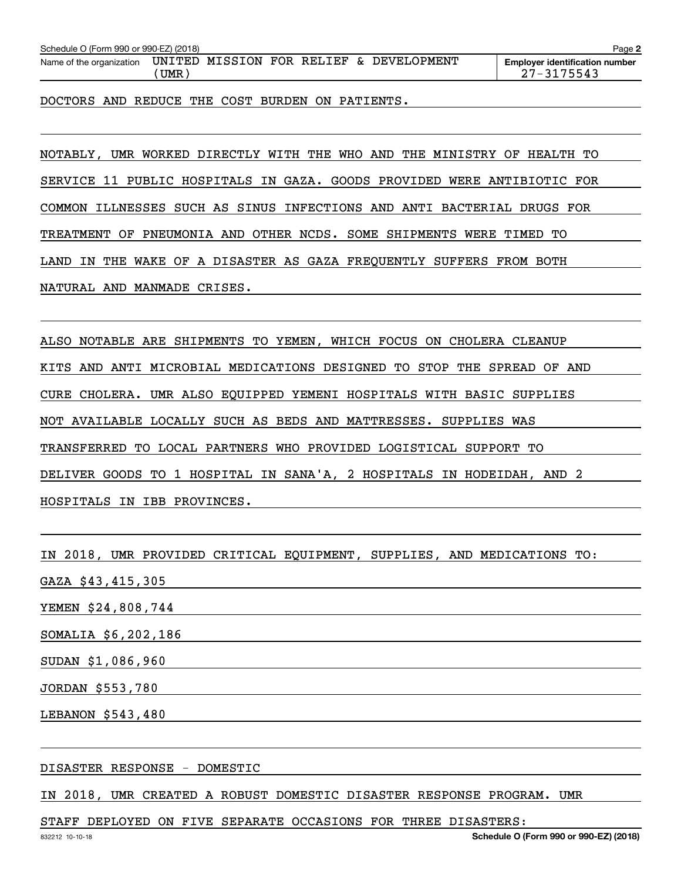| Schedule O (Form 990 or 990-EZ) (2018)<br>Page 2 |               |                           |  |  |  |                          |                                                         |
|--------------------------------------------------|---------------|---------------------------|--|--|--|--------------------------|---------------------------------------------------------|
| Name of the organization                         | UNITED<br>UMR | <b>MISSION FOR RELIEF</b> |  |  |  | <b>&amp; DEVELOPMENT</b> | <b>Employer identification number</b><br>$27 - 3175543$ |

DOCTORS AND REDUCE THE COST BURDEN ON PATIENTS.

NOTABLY, UMR WORKED DIRECTLY WITH THE WHO AND THE MINISTRY OF HEALTH TO SERVICE 11 PUBLIC HOSPITALS IN GAZA. GOODS PROVIDED WERE ANTIBIOTIC FOR COMMON ILLNESSES SUCH AS SINUS INFECTIONS AND ANTI BACTERIAL DRUGS FOR TREATMENT OF PNEUMONIA AND OTHER NCDS. SOME SHIPMENTS WERE TIMED TO LAND IN THE WAKE OF A DISASTER AS GAZA FREQUENTLY SUFFERS FROM BOTH NATURAL AND MANMADE CRISES.

ALSO NOTABLE ARE SHIPMENTS TO YEMEN, WHICH FOCUS ON CHOLERA CLEANUP KITS AND ANTI MICROBIAL MEDICATIONS DESIGNED TO STOP THE SPREAD OF AND CURE CHOLERA. UMR ALSO EQUIPPED YEMENI HOSPITALS WITH BASIC SUPPLIES NOT AVAILABLE LOCALLY SUCH AS BEDS AND MATTRESSES. SUPPLIES WAS TRANSFERRED TO LOCAL PARTNERS WHO PROVIDED LOGISTICAL SUPPORT TO DELIVER GOODS TO 1 HOSPITAL IN SANA'A, 2 HOSPITALS IN HODEIDAH, AND 2 HOSPITALS IN IBB PROVINCES.

IN 2018, UMR PROVIDED CRITICAL EQUIPMENT, SUPPLIES, AND MEDICATIONS TO:

GAZA \$43,415,305

YEMEN \$24,808,744

SOMALIA \$6,202,186

SUDAN \$1,086,960

JORDAN \$553,780

LEBANON \$543,480

#### DISASTER RESPONSE - DOMESTIC

IN 2018, UMR CREATED A ROBUST DOMESTIC DISASTER RESPONSE PROGRAM. UMR

#### STAFF DEPLOYED ON FIVE SEPARATE OCCASIONS FOR THREE DISASTERS: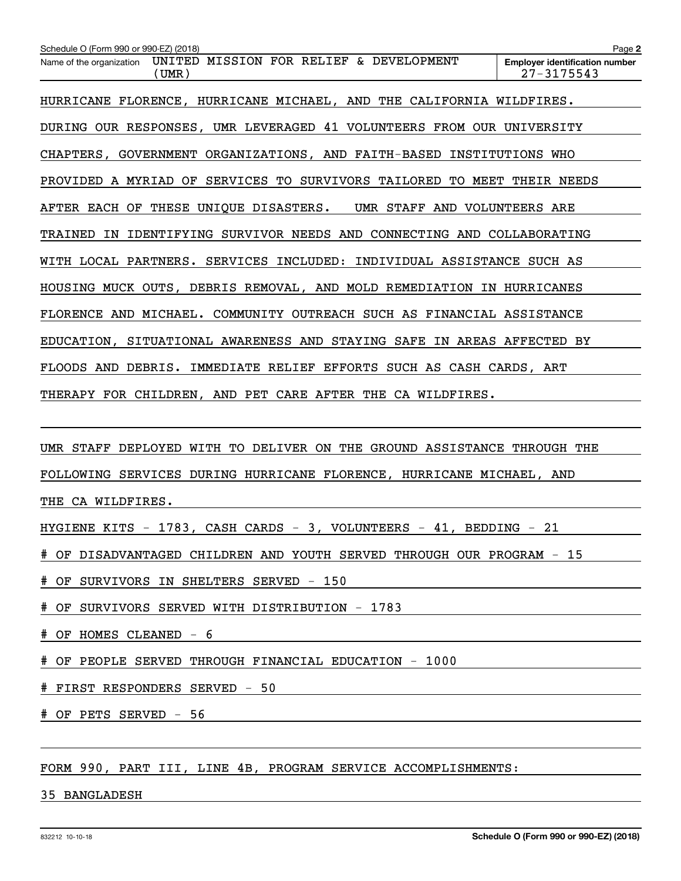| Schedule O (Form 990 or 990-EZ) (2018)                                       | Page 2                                                  |
|------------------------------------------------------------------------------|---------------------------------------------------------|
| UNITED MISSION FOR RELIEF & DEVELOPMENT<br>Name of the organization<br>(UMR) | <b>Employer identification number</b><br>$27 - 3175543$ |
| HURRICANE FLORENCE, HURRICANE MICHAEL, AND THE CALIFORNIA WILDFIRES.         |                                                         |
| DURING OUR RESPONSES, UMR LEVERAGED 41 VOLUNTEERS FROM OUR UNIVERSITY        |                                                         |
| CHAPTERS, GOVERNMENT ORGANIZATIONS, AND FAITH-BASED INSTITUTIONS WHO         |                                                         |
| PROVIDED A MYRIAD OF SERVICES TO SURVIVORS TAILORED TO MEET THEIR NEEDS      |                                                         |
| AFTER EACH OF THESE UNIQUE DISASTERS.<br>UMR STAFF AND VOLUNTEERS ARE        |                                                         |
| TRAINED IN IDENTIFYING SURVIVOR NEEDS AND CONNECTING AND COLLABORATING       |                                                         |
| WITH LOCAL PARTNERS. SERVICES INCLUDED: INDIVIDUAL ASSISTANCE SUCH AS        |                                                         |
| HOUSING MUCK OUTS, DEBRIS REMOVAL, AND MOLD REMEDIATION IN HURRICANES        |                                                         |
| FLORENCE AND MICHAEL. COMMUNITY OUTREACH SUCH AS FINANCIAL ASSISTANCE        |                                                         |
| EDUCATION, SITUATIONAL AWARENESS AND STAYING SAFE IN AREAS AFFECTED BY       |                                                         |
| FLOODS AND DEBRIS. IMMEDIATE RELIEF EFFORTS SUCH AS CASH CARDS, ART          |                                                         |
| THERAPY FOR CHILDREN, AND PET CARE AFTER THE CA WILDFIRES.                   |                                                         |
|                                                                              |                                                         |
| UMR STAFF DEPLOYED WITH TO DELIVER ON THE GROUND ASSISTANCE THROUGH THE      |                                                         |
| FOLLOWING SERVICES DURING HURRICANE FLORENCE, HURRICANE MICHAEL, AND         |                                                         |
| THE CA WILDFIRES.                                                            |                                                         |
| HYGIENE KITS - 1783, CASH CARDS - 3, VOLUNTEERS - 41, BEDDING - 21           |                                                         |
| # OF DISADVANTAGED CHILDREN AND YOUTH SERVED THROUGH OUR PROGRAM - 15        |                                                         |

# OF SURVIVORS IN SHELTERS SERVED - 150

# OF SURVIVORS SERVED WITH DISTRIBUTION - 1783

# OF HOMES CLEANED - 6

# OF PEOPLE SERVED THROUGH FINANCIAL EDUCATION - 1000

# FIRST RESPONDERS SERVED - 50

# OF PETS SERVED - 56

FORM 990, PART III, LINE 4B, PROGRAM SERVICE ACCOMPLISHMENTS:

35 BANGLADESH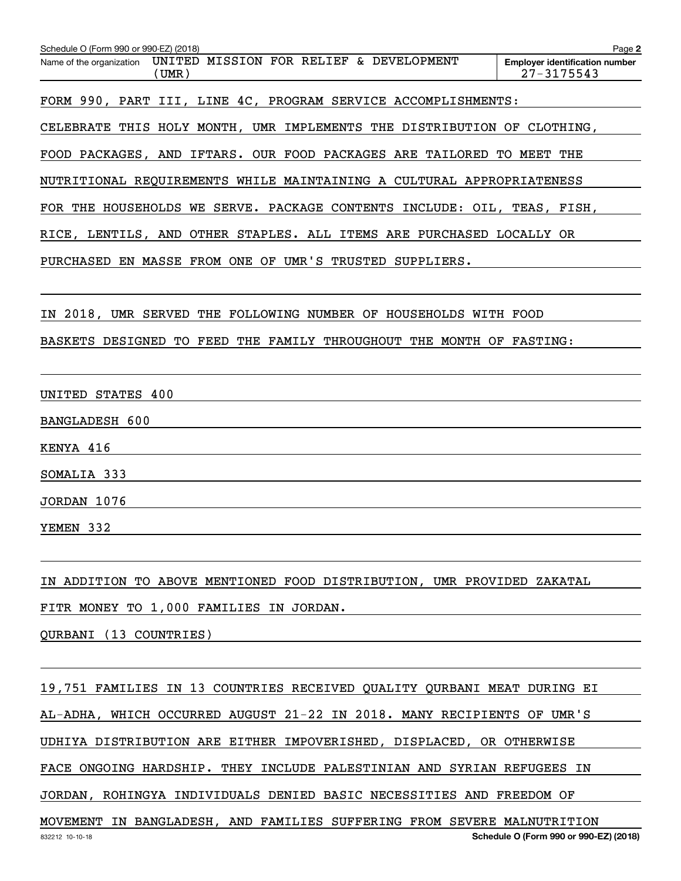| Schedule O (Form 990 or 990-EZ) (2018)                                       | Page 2                                                  |
|------------------------------------------------------------------------------|---------------------------------------------------------|
| UNITED MISSION FOR RELIEF & DEVELOPMENT<br>Name of the organization<br>(UMR) | <b>Employer identification number</b><br>$27 - 3175543$ |
| FORM 990, PART III, LINE 4C, PROGRAM SERVICE ACCOMPLISHMENTS:                |                                                         |
| CELEBRATE THIS HOLY MONTH, UMR IMPLEMENTS THE DISTRIBUTION OF CLOTHING,      |                                                         |
| FOOD PACKAGES, AND IFTARS. OUR FOOD PACKAGES ARE TAILORED TO MEET THE        |                                                         |
| NUTRITIONAL REQUIREMENTS WHILE MAINTAINING A CULTURAL APPROPRIATENESS        |                                                         |
| FOR THE HOUSEHOLDS WE SERVE. PACKAGE CONTENTS INCLUDE: OIL, TEAS, FISH,      |                                                         |
| RICE, LENTILS, AND OTHER STAPLES. ALL ITEMS ARE PURCHASED LOCALLY OR         |                                                         |
| PURCHASED EN MASSE FROM ONE OF UMR'S TRUSTED SUPPLIERS.                      |                                                         |
|                                                                              |                                                         |
| IN 2018, UMR SERVED THE FOLLOWING NUMBER OF HOUSEHOLDS WITH FOOD             |                                                         |
| BASKETS DESIGNED TO FEED THE FAMILY THROUGHOUT THE MONTH OF FASTING:         |                                                         |
|                                                                              |                                                         |
| UNITED STATES 400                                                            |                                                         |
| BANGLADESH 600                                                               |                                                         |
| KENYA 416                                                                    |                                                         |
| SOMALIA 333                                                                  |                                                         |
| JORDAN 1076                                                                  |                                                         |
| YEMEN 332                                                                    |                                                         |
|                                                                              |                                                         |
| IN ADDITION TO ABOVE MENTIONED FOOD DISTRIBUTION, UMR PROVIDED ZAKATAL       |                                                         |
| FITR MONEY TO 1,000 FAMILIES IN JORDAN.                                      |                                                         |
| QURBANI (13 COUNTRIES)                                                       |                                                         |

19,751 FAMILIES IN 13 COUNTRIES RECEIVED QUALITY QURBANI MEAT DURING EI AL-ADHA, WHICH OCCURRED AUGUST 21-22 IN 2018. MANY RECIPIENTS OF UMR'S UDHIYA DISTRIBUTION ARE EITHER IMPOVERISHED, DISPLACED, OR OTHERWISE FACE ONGOING HARDSHIP. THEY INCLUDE PALESTINIAN AND SYRIAN REFUGEES IN JORDAN, ROHINGYA INDIVIDUALS DENIED BASIC NECESSITIES AND FREEDOM OF MOVEMENT IN BANGLADESH, AND FAMILIES SUFFERING FROM SEVERE MALNUTRITION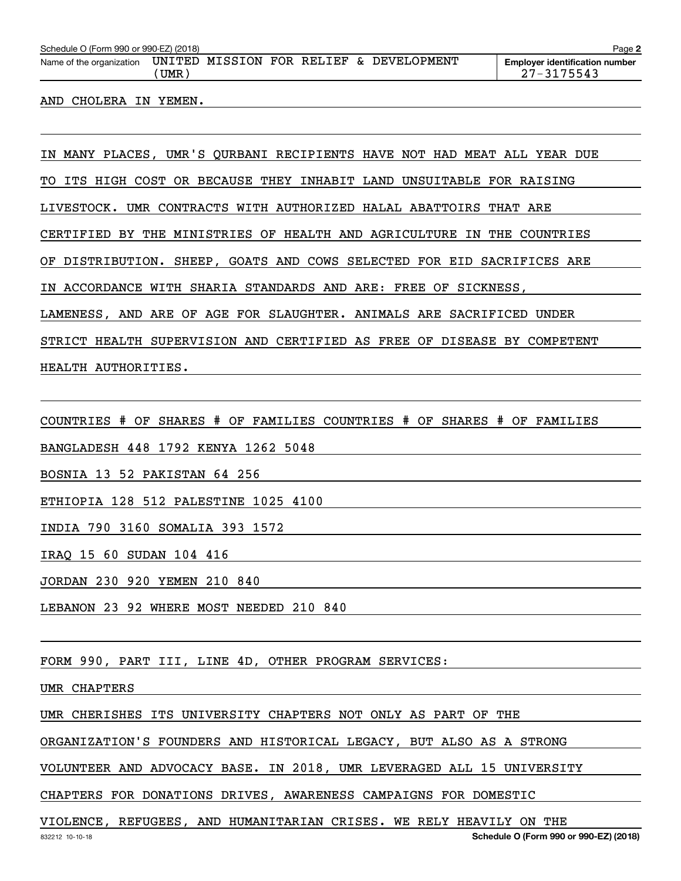| Schedule O (Form 990 or 990-EZ) (2018)<br>Page 2 |       |  |  |  |  |                                         |                                                     |
|--------------------------------------------------|-------|--|--|--|--|-----------------------------------------|-----------------------------------------------------|
| Name of the organization                         | UMR . |  |  |  |  | UNITED MISSION FOR RELIEF & DEVELOPMENT | <b>Employer identification number</b><br>27-3175543 |
|                                                  |       |  |  |  |  |                                         |                                                     |

#### AND CHOLERA IN YEMEN.

IN MANY PLACES, UMR'S QURBANI RECIPIENTS HAVE NOT HAD MEAT ALL YEAR DUE

TO ITS HIGH COST OR BECAUSE THEY INHABIT LAND UNSUITABLE FOR RAISING

LIVESTOCK. UMR CONTRACTS WITH AUTHORIZED HALAL ABATTOIRS THAT ARE

CERTIFIED BY THE MINISTRIES OF HEALTH AND AGRICULTURE IN THE COUNTRIES

OF DISTRIBUTION. SHEEP, GOATS AND COWS SELECTED FOR EID SACRIFICES ARE

IN ACCORDANCE WITH SHARIA STANDARDS AND ARE: FREE OF SICKNESS,

LAMENESS, AND ARE OF AGE FOR SLAUGHTER. ANIMALS ARE SACRIFICED UNDER

STRICT HEALTH SUPERVISION AND CERTIFIED AS FREE OF DISEASE BY COMPETENT

HEALTH AUTHORITIES.

COUNTRIES # OF SHARES # OF FAMILIES COUNTRIES # OF SHARES # OF FAMILIES

BANGLADESH 448 1792 KENYA 1262 5048

BOSNIA 13 52 PAKISTAN 64 256

ETHIOPIA 128 512 PALESTINE 1025 4100

INDIA 790 3160 SOMALIA 393 1572

IRAQ 15 60 SUDAN 104 416

JORDAN 230 920 YEMEN 210 840

LEBANON 23 92 WHERE MOST NEEDED 210 840

FORM 990, PART III, LINE 4D, OTHER PROGRAM SERVICES:

UMR CHAPTERS

UMR CHERISHES ITS UNIVERSITY CHAPTERS NOT ONLY AS PART OF THE

ORGANIZATION'S FOUNDERS AND HISTORICAL LEGACY, BUT ALSO AS A STRONG

VOLUNTEER AND ADVOCACY BASE. IN 2018, UMR LEVERAGED ALL 15 UNIVERSITY

CHAPTERS FOR DONATIONS DRIVES, AWARENESS CAMPAIGNS FOR DOMESTIC

VIOLENCE, REFUGEES, AND HUMANITARIAN CRISES. WE RELY HEAVILY ON THE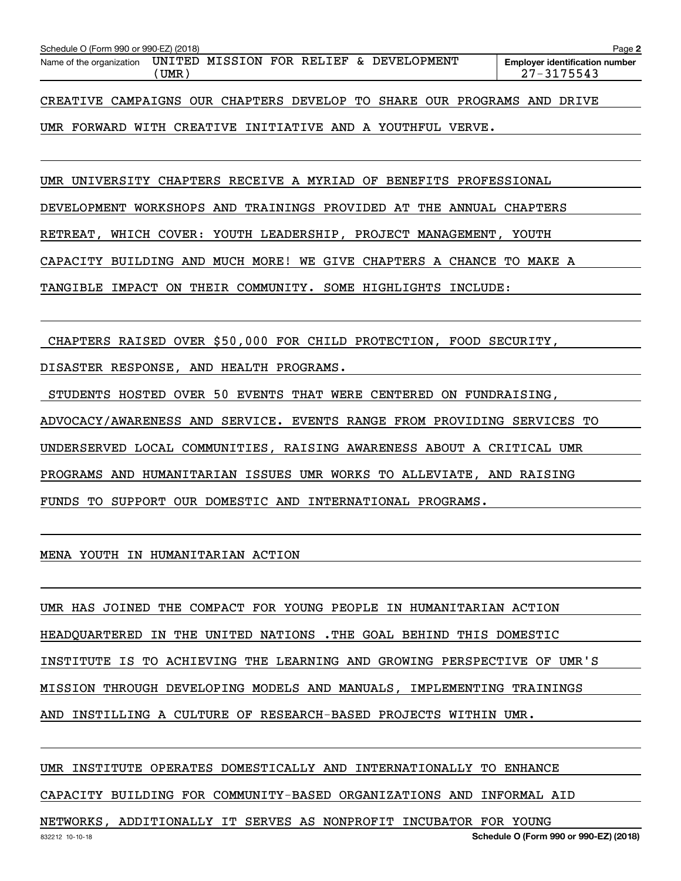| Schedule O (Form 990 or 990-EZ) (2018) |     |  |  |                                         | Page 2                                                  |
|----------------------------------------|-----|--|--|-----------------------------------------|---------------------------------------------------------|
| Name of the organization               | UMR |  |  | UNITED MISSION FOR RELIEF & DEVELOPMENT | <b>Employer identification number</b><br>$27 - 3175543$ |
|                                        |     |  |  |                                         |                                                         |

CREATIVE CAMPAIGNS OUR CHAPTERS DEVELOP TO SHARE OUR PROGRAMS AND DRIVE

# UMR FORWARD WITH CREATIVE INITIATIVE AND A YOUTHFUL VERVE.

UMR UNIVERSITY CHAPTERS RECEIVE A MYRIAD OF BENEFITS PROFESSIONAL

DEVELOPMENT WORKSHOPS AND TRAININGS PROVIDED AT THE ANNUAL CHAPTERS

RETREAT, WHICH COVER: YOUTH LEADERSHIP, PROJECT MANAGEMENT, YOUTH

CAPACITY BUILDING AND MUCH MORE! WE GIVE CHAPTERS A CHANCE TO MAKE A

TANGIBLE IMPACT ON THEIR COMMUNITY. SOME HIGHLIGHTS INCLUDE:

CHAPTERS RAISED OVER \$50,000 FOR CHILD PROTECTION, FOOD SECURITY,

DISASTER RESPONSE, AND HEALTH PROGRAMS.

STUDENTS HOSTED OVER 50 EVENTS THAT WERE CENTERED ON FUNDRAISING,

ADVOCACY/AWARENESS AND SERVICE. EVENTS RANGE FROM PROVIDING SERVICES TO

UNDERSERVED LOCAL COMMUNITIES, RAISING AWARENESS ABOUT A CRITICAL UMR

PROGRAMS AND HUMANITARIAN ISSUES UMR WORKS TO ALLEVIATE, AND RAISING

FUNDS TO SUPPORT OUR DOMESTIC AND INTERNATIONAL PROGRAMS.

MENA YOUTH IN HUMANITARIAN ACTION

UMR HAS JOINED THE COMPACT FOR YOUNG PEOPLE IN HUMANITARIAN ACTION HEADQUARTERED IN THE UNITED NATIONS .THE GOAL BEHIND THIS DOMESTIC INSTITUTE IS TO ACHIEVING THE LEARNING AND GROWING PERSPECTIVE OF UMR'S MISSION THROUGH DEVELOPING MODELS AND MANUALS, IMPLEMENTING TRAININGS AND INSTILLING A CULTURE OF RESEARCH-BASED PROJECTS WITHIN UMR.

UMR INSTITUTE OPERATES DOMESTICALLY AND INTERNATIONALLY TO ENHANCE

CAPACITY BUILDING FOR COMMUNITY-BASED ORGANIZATIONS AND INFORMAL AID

NETWORKS, ADDITIONALLY IT SERVES AS NONPROFIT INCUBATOR FOR YOUNG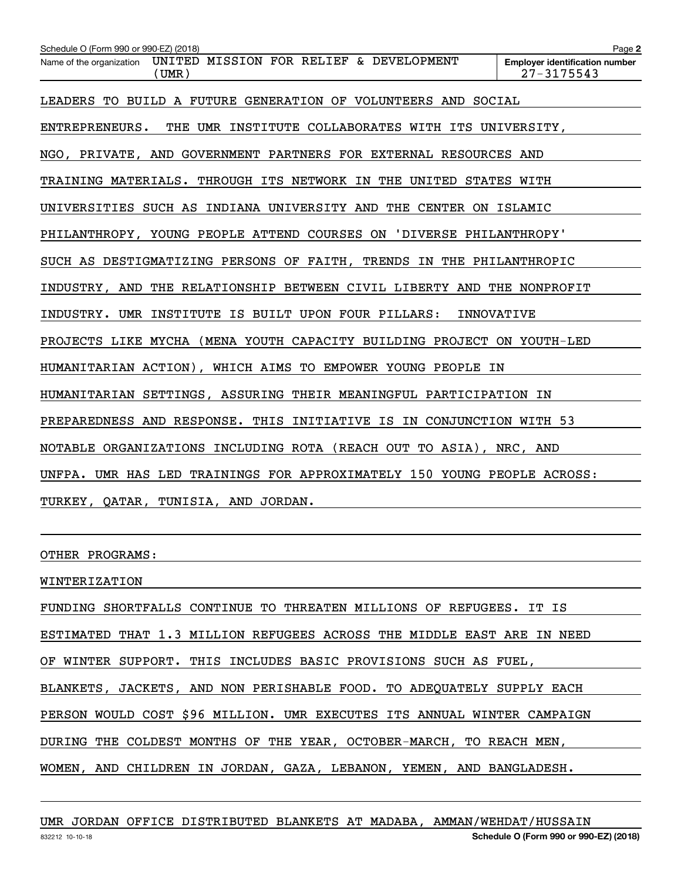| Schedule O (Form 990 or 990-EZ) (2018)                                       | Page 2                                                  |
|------------------------------------------------------------------------------|---------------------------------------------------------|
| UNITED MISSION FOR RELIEF & DEVELOPMENT<br>Name of the organization<br>(UMR) | <b>Employer identification number</b><br>$27 - 3175543$ |
| LEADERS TO BUILD A FUTURE GENERATION OF VOLUNTEERS AND SOCIAL                |                                                         |
| ENTREPRENEURS. THE UMR INSTITUTE COLLABORATES WITH ITS UNIVERSITY,           |                                                         |
| NGO, PRIVATE, AND GOVERNMENT PARTNERS FOR EXTERNAL RESOURCES AND             |                                                         |
| TRAINING MATERIALS. THROUGH ITS NETWORK IN THE UNITED STATES WITH            |                                                         |
| UNIVERSITIES SUCH AS INDIANA UNIVERSITY AND THE CENTER ON ISLAMIC            |                                                         |
| PHILANTHROPY, YOUNG PEOPLE ATTEND COURSES ON 'DIVERSE PHILANTHROPY'          |                                                         |
| SUCH AS DESTIGMATIZING PERSONS OF FAITH, TRENDS IN THE PHILANTHROPIC         |                                                         |
| INDUSTRY, AND THE RELATIONSHIP BETWEEN CIVIL LIBERTY AND THE NONPROFIT       |                                                         |
| INDUSTRY. UMR INSTITUTE IS BUILT UPON FOUR PILLARS:                          | <b>INNOVATIVE</b>                                       |
| PROJECTS LIKE MYCHA (MENA YOUTH CAPACITY BUILDING PROJECT ON YOUTH-LED       |                                                         |
| HUMANITARIAN ACTION), WHICH AIMS TO EMPOWER YOUNG PEOPLE IN                  |                                                         |
| HUMANITARIAN SETTINGS, ASSURING THEIR MEANINGFUL PARTICIPATION IN            |                                                         |
| PREPAREDNESS AND RESPONSE. THIS INITIATIVE IS IN CONJUNCTION WITH 53         |                                                         |
| NOTABLE ORGANIZATIONS INCLUDING ROTA (REACH OUT TO ASIA), NRC, AND           |                                                         |
| UNFPA. UMR HAS LED TRAININGS FOR APPROXIMATELY 150 YOUNG PEOPLE ACROSS:      |                                                         |
| TURKEY, QATAR, TUNISIA, AND JORDAN.                                          |                                                         |
|                                                                              |                                                         |

OTHER PROGRAMS:

WINTERIZATION

FUNDING SHORTFALLS CONTINUE TO THREATEN MILLIONS OF REFUGEES. IT IS

ESTIMATED THAT 1.3 MILLION REFUGEES ACROSS THE MIDDLE EAST ARE IN NEED

OF WINTER SUPPORT. THIS INCLUDES BASIC PROVISIONS SUCH AS FUEL,

BLANKETS, JACKETS, AND NON PERISHABLE FOOD. TO ADEQUATELY SUPPLY EACH

PERSON WOULD COST \$96 MILLION. UMR EXECUTES ITS ANNUAL WINTER CAMPAIGN

DURING THE COLDEST MONTHS OF THE YEAR, OCTOBER-MARCH, TO REACH MEN,

WOMEN, AND CHILDREN IN JORDAN, GAZA, LEBANON, YEMEN, AND BANGLADESH.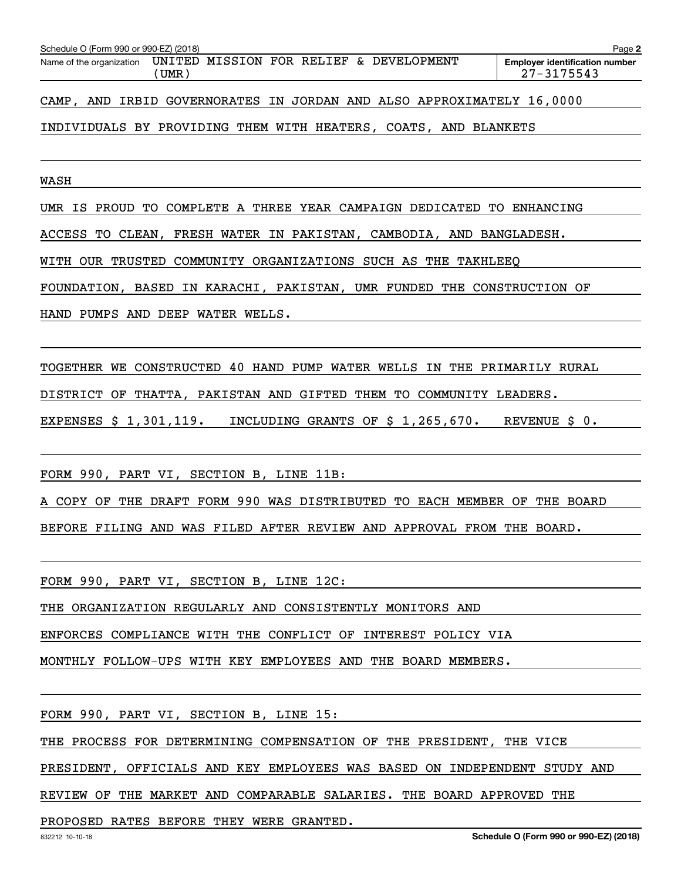| Schedule O (Form 990 or 990-EZ) (2018) |               |  |  |                                  | Page 2                                                  |
|----------------------------------------|---------------|--|--|----------------------------------|---------------------------------------------------------|
| Name of the organization               | UNITED<br>UMR |  |  | MISSION FOR RELIEF & DEVELOPMENT | <b>Employer identification number</b><br>$27 - 3175543$ |
|                                        |               |  |  |                                  |                                                         |

CAMP, AND IRBID GOVERNORATES IN JORDAN AND ALSO APPROXIMATELY 16,0000

# INDIVIDUALS BY PROVIDING THEM WITH HEATERS, COATS, AND BLANKETS

WASH

UMR IS PROUD TO COMPLETE A THREE YEAR CAMPAIGN DEDICATED TO ENHANCING

ACCESS TO CLEAN, FRESH WATER IN PAKISTAN, CAMBODIA, AND BANGLADESH.

WITH OUR TRUSTED COMMUNITY ORGANIZATIONS SUCH AS THE TAKHLEEQ

FOUNDATION, BASED IN KARACHI, PAKISTAN, UMR FUNDED THE CONSTRUCTION OF

HAND PUMPS AND DEEP WATER WELLS.

TOGETHER WE CONSTRUCTED 40 HAND PUMP WATER WELLS IN THE PRIMARILY RURAL

DISTRICT OF THATTA, PAKISTAN AND GIFTED THEM TO COMMUNITY LEADERS.

EXPENSES \$ 1,301,119. INCLUDING GRANTS OF \$ 1,265,670. REVENUE \$ 0.

FORM 990, PART VI, SECTION B, LINE 11B:

A COPY OF THE DRAFT FORM 990 WAS DISTRIBUTED TO EACH MEMBER OF THE BOARD

BEFORE FILING AND WAS FILED AFTER REVIEW AND APPROVAL FROM THE BOARD.

FORM 990, PART VI, SECTION B, LINE 12C:

THE ORGANIZATION REGULARLY AND CONSISTENTLY MONITORS AND

ENFORCES COMPLIANCE WITH THE CONFLICT OF INTEREST POLICY VIA

MONTHLY FOLLOW-UPS WITH KEY EMPLOYEES AND THE BOARD MEMBERS.

FORM 990, PART VI, SECTION B, LINE 15:

THE PROCESS FOR DETERMINING COMPENSATION OF THE PRESIDENT, THE VICE

PRESIDENT, OFFICIALS AND KEY EMPLOYEES WAS BASED ON INDEPENDENT STUDY AND

REVIEW OF THE MARKET AND COMPARABLE SALARIES. THE BOARD APPROVED THE

PROPOSED RATES BEFORE THEY WERE GRANTED.